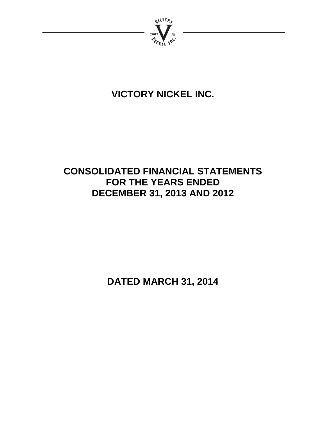

# **VICTORY NICKEL INC.**

# **CONSOLIDATED FINANCIAL STATEMENTS FOR THE YEARS ENDED DECEMBER 31, 2013 AND 2012**

**DATED MARCH 31, 2014**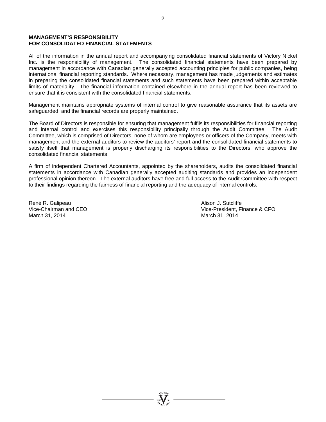#### **MANAGEMENT'S RESPONSIBILITY FOR CONSOLIDATED FINANCIAL STATEMENTS**

All of the information in the annual report and accompanying consolidated financial statements of Victory Nickel Inc. is the responsibility of management. The consolidated financial statements have been prepared by management in accordance with Canadian generally accepted accounting principles for public companies, being international financial reporting standards. Where necessary, management has made judgements and estimates in preparing the consolidated financial statements and such statements have been prepared within acceptable limits of materiality. The financial information contained elsewhere in the annual report has been reviewed to ensure that it is consistent with the consolidated financial statements.

Management maintains appropriate systems of internal control to give reasonable assurance that its assets are safeguarded, and the financial records are properly maintained.

The Board of Directors is responsible for ensuring that management fulfils its responsibilities for financial reporting and internal control and exercises this responsibility principally through the Audit Committee. The Audit Committee, which is comprised of Directors, none of whom are employees or officers of the Company, meets with management and the external auditors to review the auditors' report and the consolidated financial statements to satisfy itself that management is properly discharging its responsibilities to the Directors, who approve the consolidated financial statements.

A firm of independent Chartered Accountants, appointed by the shareholders, audits the consolidated financial statements in accordance with Canadian generally accepted auditing standards and provides an independent professional opinion thereon. The external auditors have free and full access to the Audit Committee with respect to their findings regarding the fairness of financial reporting and the adequacy of internal controls.

René R. Galipeau **Alison J. Sutcliffe** March 31, 2014 March 31, 2014

Vice-Chairman and CEO Vice-President, Finance & CFO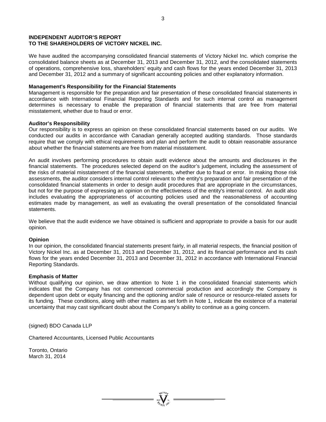#### **INDEPENDENT AUDITOR'S REPORT TO THE SHAREHOLDERS OF VICTORY NICKEL INC.**

We have audited the accompanying consolidated financial statements of Victory Nickel Inc. which comprise the consolidated balance sheets as at December 31, 2013 and December 31, 2012, and the consolidated statements of operations, comprehensive loss, shareholders' equity and cash flows for the years ended December 31, 2013 and December 31, 2012 and a summary of significant accounting policies and other explanatory information.

#### **Management's Responsibility for the Financial Statements**

Management is responsible for the preparation and fair presentation of these consolidated financial statements in accordance with International Financial Reporting Standards and for such internal control as management determines is necessary to enable the preparation of financial statements that are free from material misstatement, whether due to fraud or error.

#### **Auditor's Responsibility**

Our responsibility is to express an opinion on these consolidated financial statements based on our audits. We conducted our audits in accordance with Canadian generally accepted auditing standards. Those standards require that we comply with ethical requirements and plan and perform the audit to obtain reasonable assurance about whether the financial statements are free from material misstatement.

An audit involves performing procedures to obtain audit evidence about the amounts and disclosures in the financial statements. The procedures selected depend on the auditor's judgement, including the assessment of the risks of material misstatement of the financial statements, whether due to fraud or error. In making those risk assessments, the auditor considers internal control relevant to the entity's preparation and fair presentation of the consolidated financial statements in order to design audit procedures that are appropriate in the circumstances, but not for the purpose of expressing an opinion on the effectiveness of the entity's internal control. An audit also includes evaluating the appropriateness of accounting policies used and the reasonableness of accounting estimates made by management, as well as evaluating the overall presentation of the consolidated financial statements.

We believe that the audit evidence we have obtained is sufficient and appropriate to provide a basis for our audit opinion.

#### **Opinion**

In our opinion, the consolidated financial statements present fairly, in all material respects, the financial position of Victory Nickel Inc. as at December 31, 2013 and December 31, 2012, and its financial performance and its cash flows for the years ended December 31, 2013 and December 31, 2012 in accordance with International Financial Reporting Standards.

#### **Emphasis of Matter**

Without qualifying our opinion, we draw attention to Note 1 in the consolidated financial statements which indicates that the Company has not commenced commercial production and accordingly the Company is dependent upon debt or equity financing and the optioning and/or sale of resource or resource-related assets for its funding. These conditions, along with other matters as set forth in Note 1, indicate the existence of a material uncertainty that may cast significant doubt about the Company's ability to continue as a going concern.

(signed) BDO Canada LLP

Chartered Accountants, Licensed Public Accountants

Toronto, Ontario March 31, 2014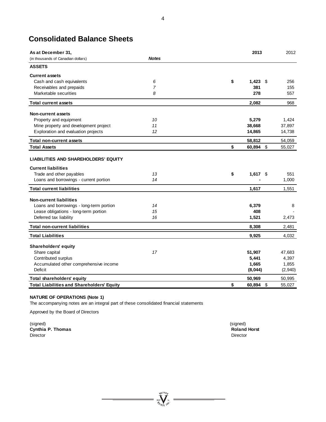## **Consolidated Balance Sheets**

| As at December 31,                                                                                    |              | 2013             | 2012         |
|-------------------------------------------------------------------------------------------------------|--------------|------------------|--------------|
| (in thousands of Canadian dollars)                                                                    | <b>Notes</b> |                  |              |
| <b>ASSETS</b>                                                                                         |              |                  |              |
| <b>Current assets</b>                                                                                 |              |                  |              |
| Cash and cash equivalents                                                                             | 6            | \$<br>$1,423$ \$ | 256          |
| Receivables and prepaids                                                                              | 7            | 381              | 155          |
| Marketable securities                                                                                 | 8            | 278              | 557          |
| <b>Total current assets</b>                                                                           |              | 2,082            | 968          |
| <b>Non-current assets</b>                                                                             |              |                  |              |
| Property and equipment                                                                                | 10           | 5,279            | 1,424        |
| Mine property and development project                                                                 | 11           | 38,668           | 37,897       |
| Exploration and evaluation projects                                                                   | 12           | 14,865           | 14,738       |
| <b>Total non-current assets</b>                                                                       |              | 58,812           | 54,059       |
| <b>Total Assets</b>                                                                                   |              | \$<br>60,894     | \$<br>55,027 |
| <b>LIABILITIES AND SHAREHOLDERS' EQUITY</b><br><b>Current liabilities</b><br>Trade and other payables | 13           | \$<br>$1,617$ \$ | 551          |
| Loans and borrowings - current portion                                                                | 14           |                  | 1,000        |
| <b>Total current liabilities</b>                                                                      |              | 1,617            | 1,551        |
| <b>Non-current liabilities</b>                                                                        |              |                  |              |
| Loans and borrowings - long-term portion                                                              | 14           | 6,379            | 8            |
| Lease obligations - long-term portion                                                                 | 15           | 408              |              |
| Deferred tax liability                                                                                | 16           | 1,521            | 2,473        |
| <b>Total non-current liabilities</b>                                                                  |              | 8,308            | 2,481        |
| <b>Total Liabilities</b>                                                                              |              | 9.925            | 4,032        |
| <b>Shareholders' equity</b>                                                                           |              |                  |              |
| Share capital                                                                                         | 17           | 51,907           | 47,683       |
| Contributed surplus                                                                                   |              | 5,441            | 4,397        |
| Accumulated other comprehensive income                                                                |              | 1,665            | 1,855        |
| Deficit                                                                                               |              | (8,044)          | (2,940)      |
| Total shareholders' equity                                                                            |              | 50,969           | 50,995       |
| <b>Total Liabilities and Shareholders' Equity</b>                                                     |              | \$<br>60,894     | \$<br>55,027 |

 $\sum_{\mathcal{H}_{\ell}}\sum_{n}$ 

#### **NATURE OF OPERATIONS (Note 1)**

The accompanying notes are an integral part of these consolidated financial statements

Approved by the Board of Directors

(signed) (signed) **Cynthia P. Thomas Roland Horst Roland Horst Roland Horst Roland Horst** *Roland Horst Roland Horst* Director Director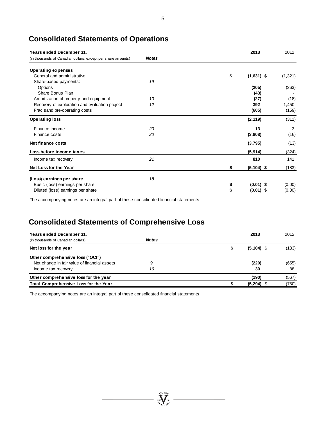### **Consolidated Statements of Operations**

| Years ended December 31,                                     |              | 2013                | 2012    |
|--------------------------------------------------------------|--------------|---------------------|---------|
| (in thousands of Canadian dollars, except per share amounts) | <b>Notes</b> |                     |         |
| <b>Operating expenses</b>                                    |              |                     |         |
| General and administrative                                   |              | \$<br>$(1,631)$ \$  | (1,321) |
| Share-based payments:                                        | 19           |                     |         |
| Options                                                      |              | (205)               | (263)   |
| Share Bonus Plan                                             |              | (43)                |         |
| Amortization of property and equipment                       | 10           | (27)                | (18)    |
| Recovery of exploration and evaluation project               | 12           | 392                 | 1,450   |
| Frac sand pre-operating costs                                |              | (605)               | (159)   |
| <b>Operating loss</b>                                        |              | (2, 119)            | (311)   |
| Finance income                                               | 20           | 13                  | 3       |
| Finance costs                                                | 20           | (3,808)             | (16)    |
| Net finance costs                                            |              | (3,795)             | (13)    |
| Loss before income taxes                                     |              | (5, 914)            | (324)   |
| Income tax recovery                                          | 21           | 810                 | 141     |
| Net Loss for the Year                                        |              | \$<br>$(5, 104)$ \$ | (183)   |
| (Loss) earnings per share                                    | 18           |                     |         |
| Basic (loss) earnings per share                              |              | \$<br>$(0.01)$ \$   | (0.00)  |
| Diluted (loss) earnings per share                            |              | \$<br>$(0.01)$ \$   | (0.00)  |
|                                                              |              |                     |         |

The accompanying notes are an integral part of these consolidated financial statements

## **Consolidated Statements of Comprehensive Loss**

| Years ended December 31,                     |              | 2013          | 2012  |
|----------------------------------------------|--------------|---------------|-------|
| (in thousands of Canadian dollars)           | <b>Notes</b> |               |       |
| Net loss for the year                        |              | $(5, 104)$ \$ | (183) |
| Other comprehensive loss ("OCI")             |              |               |       |
| Net change in fair value of financial assets | 9            | (220)         | (655) |
| Income tax recovery                          | 16           | 30            | 88    |
| Other comprehensive loss for the year        |              | (190)         | (567) |
| <b>Total Comprehensive Loss for the Year</b> |              | (5, 294)      | (750) |

 $\sum_{i=1}^{N^{(10)}p}$ 

The accompanying notes are an integral part of these consolidated financial statements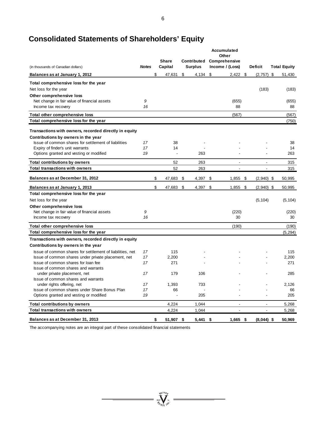# **Consolidated Statements of Shareholders' Equity**

|                                                           |              |              |           |    |                | Accumulated |                                           |    |                          |    |                     |
|-----------------------------------------------------------|--------------|--------------|-----------|----|----------------|-------------|-------------------------------------------|----|--------------------------|----|---------------------|
|                                                           |              | <b>Share</b> |           |    |                |             | Other<br><b>Contributed Comprehensive</b> |    |                          |    |                     |
| (in thousands of Canadian dollars)                        | <b>Notes</b> |              | Capital   |    | <b>Surplus</b> |             | Income / (Loss)                           |    | <b>Deficit</b>           |    | <b>Total Equity</b> |
| Balances as at January 1, 2012                            |              | \$           | 47,631    | \$ | 4,134          | \$          | 2,422                                     | \$ | (2,757)                  | \$ | 51,430              |
| Total comprehensive loss for the year                     |              |              |           |    |                |             |                                           |    |                          |    |                     |
| Net loss for the year                                     |              |              |           |    |                |             |                                           |    | (183)                    |    | (183)               |
| Other comprehensive loss                                  |              |              |           |    |                |             |                                           |    |                          |    |                     |
| Net change in fair value of financial assets              | 9            |              |           |    |                |             | (655)                                     |    |                          |    | (655)               |
| Income tax recovery                                       | 16           |              |           |    |                |             | 88                                        |    |                          |    | 88                  |
| Total other comprehensive loss                            |              |              |           |    |                |             | (567)                                     |    |                          |    | (567)               |
| Total comprehensive loss for the year                     |              |              |           |    |                |             |                                           |    |                          |    | (750)               |
| Transactions with owners, recorded directly in equity     |              |              |           |    |                |             |                                           |    |                          |    |                     |
| Contributions by owners in the year                       |              |              |           |    |                |             |                                           |    |                          |    |                     |
| Issue of common shares for settlement of liabilities      | 17           |              | 38        |    |                |             |                                           |    |                          |    | 38                  |
| Expiry of finder's unit warrants                          | 17           |              | 14        |    |                |             |                                           |    |                          |    | 14                  |
| Options granted and vesting or modified                   | 19           |              |           |    | 263            |             |                                           |    |                          |    | 263                 |
| <b>Total contributions by owners</b>                      |              |              | 52        |    | 263            |             | $\overline{a}$                            |    | ÷.                       |    | 315                 |
| <b>Total transactions with owners</b>                     |              |              | 52        |    | 263            |             |                                           |    |                          |    | 315                 |
| Balances as at December 31, 2012                          |              | \$           | 47,683    | \$ | 4,397 \$       |             | 1,855                                     | \$ | $(2,940)$ \$             |    | 50,995              |
| Balances as at January 1, 2013                            |              | \$           | 47,683    | \$ | 4,397 \$       |             | 1,855                                     | \$ | $(2,940)$ \$             |    | 50,995              |
| Total comprehensive loss for the year                     |              |              |           |    |                |             |                                           |    |                          |    |                     |
| Net loss for the year                                     |              |              |           |    |                |             |                                           |    | (5, 104)                 |    | (5, 104)            |
| Other comprehensive loss                                  |              |              |           |    |                |             |                                           |    |                          |    |                     |
| Net change in fair value of financial assets              | 9            |              |           |    |                |             | (220)                                     |    |                          |    | (220)               |
| Income tax recovery                                       | 16           |              |           |    |                |             | 30                                        |    |                          |    | 30                  |
| Total other comprehensive loss                            |              |              |           |    |                |             | (190)                                     |    |                          |    | (190)               |
| Total comprehensive loss for the year                     |              |              |           |    |                |             |                                           |    |                          |    | (5, 294)            |
| Transactions with owners, recorded directly in equity     |              |              |           |    |                |             |                                           |    |                          |    |                     |
| Contributions by owners in the year                       |              |              |           |    |                |             |                                           |    |                          |    |                     |
| Issue of common shares for settlement of liabilities, net | 17           |              | 115       |    |                |             |                                           |    |                          |    | 115                 |
| Issue of common shares under private placement, net       | 17           |              | 2,200     |    |                |             |                                           |    |                          |    | 2.200               |
| Issue of common shares for loan fee                       | 17           |              | 271       |    |                |             |                                           |    |                          |    | 271                 |
| Issue of common shares and warrants                       |              |              |           |    |                |             |                                           |    |                          |    |                     |
| under private placement, net                              | 17           |              | 179       |    | 106            |             |                                           |    |                          |    | 285                 |
| Issue of common shares and warrants                       |              |              |           |    |                |             |                                           |    |                          |    |                     |
| under rights offering, net                                | 17           |              | 1,393     |    | 733            |             |                                           |    |                          |    | 2,126               |
| Issue of common shares under Share Bonus Plan             | 17           |              | 66        |    |                |             |                                           |    |                          |    | 66                  |
| Options granted and vesting or modified                   | 19           |              | ÷,        |    | 205            |             |                                           |    |                          |    | 205                 |
| <b>Total contributions by owners</b>                      |              |              | 4,224     |    | 1,044          |             |                                           |    |                          |    | 5,268               |
| <b>Total transactions with owners</b>                     |              |              | 4,224     |    | 1,044          |             | $\overline{\phantom{a}}$                  |    | $\overline{\phantom{a}}$ |    | 5,268               |
| Balances as at December 31, 2013                          |              | \$           | 51,907 \$ |    | 5,441          | \$          | $1,665$ \$                                |    | $(8,044)$ \$             |    | 50,969              |

=  $\sum_{y_0 \in \mathcal{Y}_{\text{out}}}^{y_0 \in \mathcal{Y}_{\text{out}}}$  =

The accompanying notes are an integral part of these consolidated financial statements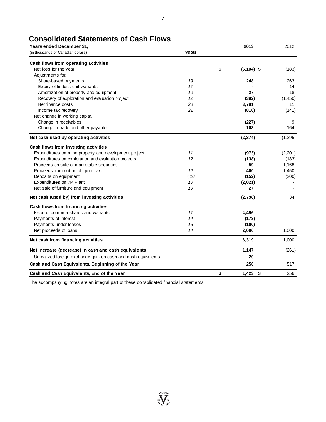### **Consolidated Statements of Cash Flows**

| Years ended December 31,                                      |              | 2013                | 2012     |
|---------------------------------------------------------------|--------------|---------------------|----------|
| (in thousands of Canadian dollars)                            | <b>Notes</b> |                     |          |
| Cash flows from operating activities                          |              |                     |          |
| Net loss for the year                                         |              | \$<br>$(5, 104)$ \$ | (183)    |
| Adjustments for:                                              |              |                     |          |
| Share-based payments                                          | 19           | 248                 | 263      |
| Expiry of finder's unit warrants                              | 17           |                     | 14       |
| Amortization of property and equipment                        | 10           | 27                  | 18       |
| Recovery of exploration and evaluation project                | 12           | (392)               | (1, 450) |
| Net finance costs                                             | 20           | 3,781               | 11       |
| Income tax recovery                                           | 21           | (810)               | (141)    |
| Net change in working capital:                                |              |                     |          |
| Change in receivables                                         |              | (227)               | 9        |
| Change in trade and other payables                            |              | 103                 | 164      |
| Net cash used by operating activities                         |              | (2, 374)            | (1, 295) |
| Cash flows from investing activities                          |              |                     |          |
| Expenditures on mine property and development project         | 11           | (973)               | (2,201)  |
| Expenditures on exploration and evaluation projects           | 12           | (138)               | (183)    |
| Proceeds on sale of marketable securities                     |              | 59                  | 1,168    |
| Proceeds from option of Lynn Lake                             | 12           | 400                 | 1,450    |
| Deposits on equipment                                         | 7,10         | (152)               | (200)    |
| Expenditures on 7P Plant                                      | 10           | (2,021)             |          |
| Net sale of furniture and equipment                           | 10           | 27                  |          |
| Net cash (used by) from investing activities                  |              | (2,798)             | 34       |
| Cash flows from financing activities                          |              |                     |          |
| Issue of common shares and warrants                           | 17           | 4,496               |          |
| Payments of interest                                          | 14           | (173)               |          |
| Payments under leases                                         | 15           | (100)               |          |
| Net proceeds of loans                                         | 14           | 2,096               | 1,000    |
| Net cash from financing activities                            |              | 6,319               | 1,000    |
| Net increase (decrease) in cash and cash equivalents          |              | 1,147               | (261)    |
| Unrealized foreign exchange gain on cash and cash equivalents |              | 20                  |          |
| Cash and Cash Equivalents, Beginning of the Year              |              | 256                 | 517      |
| Cash and Cash Equivalents, End of the Year                    |              | \$<br>1,423<br>\$   | 256      |

 $\sum_{\substack{\mathfrak{N}\in\mathcal{N} \\ \mathfrak{N}'\in\mathcal{N} \\ \mathfrak{N}'\in\mathcal{N}'}}\frac{\mathfrak{N}^{(10\mathfrak{N}_p)}}{\mathfrak{N}^{(1)}\mathfrak{N}^{(1)}}$ 

 $\overline{\phantom{0}}$ 

The accompanying notes are an integral part of these consolidated financial statements

7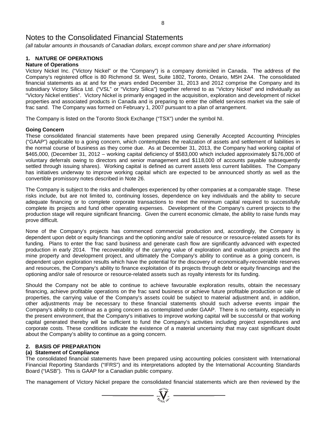*(all tabular amounts in thousands of Canadian dollars, except common share and per share information)*

#### **1. NATURE OF OPERATIONS**

#### **Nature of Operations**

Victory Nickel Inc. ("Victory Nickel" or the "Company") is a company domiciled in Canada. The address of the Company's registered office is 80 Richmond St. West, Suite 1802, Toronto, Ontario, M5H 2A4. The consolidated financial statements as at and for the years ended December 31, 2013 and 2012 comprise the Company and its subsidiary Victory Silica Ltd. ("VSL" or "Victory Silica") together referred to as "Victory Nickel" and individually as "Victory Nickel entities". Victory Nickel is primarily engaged in the acquisition, exploration and development of nickel properties and associated products in Canada and is preparing to enter the oilfield services market via the sale of frac sand. The Company was formed on February 1, 2007 pursuant to a plan of arrangement.

The Company is listed on the Toronto Stock Exchange ("TSX") under the symbol NI.

#### **Going Concern**

These consolidated financial statements have been prepared using Generally Accepted Accounting Principles ("GAAP") applicable to a going concern, which contemplates the realization of assets and settlement of liabilities in the normal course of business as they come due. As at December 31, 2013, the Company had working capital of \$465,000, (December 31, 2012 – working capital deficiency of \$583,000 which included approximately \$176,000 of voluntary deferrals owing to directors and senior management and \$118,000 of accounts payable subsequently settled through issuing shares). Working capital is defined as current assets less current liabilities. The Company has initiatives underway to improve working capital which are expected to be announced shortly as well as the convertible promissory notes described in Note 26.

The Company is subject to the risks and challenges experienced by other companies at a comparable stage. These risks include, but are not limited to, continuing losses, dependence on key individuals and the ability to secure adequate financing or to complete corporate transactions to meet the minimum capital required to successfully complete its projects and fund other operating expenses. Development of the Company's current projects to the production stage will require significant financing. Given the current economic climate, the ability to raise funds may prove difficult.

None of the Company's projects has commenced commercial production and, accordingly, the Company is dependent upon debt or equity financings and the optioning and/or sale of resource or resource-related assets for its funding. Plans to enter the frac sand business and generate cash flow are significantly advanced with expected production in early 2014. The recoverability of the carrying value of exploration and evaluation projects and the mine property and development project, and ultimately the Company's ability to continue as a going concern, is dependent upon exploration results which have the potential for the discovery of economically-recoverable reserves and resources, the Company's ability to finance exploitation of its projects through debt or equity financings and the optioning and/or sale of resource or resource-related assets such as royalty interests for its funding.

Should the Company not be able to continue to achieve favourable exploration results, obtain the necessary financing, achieve profitable operations on the frac sand business or achieve future profitable production or sale of properties, the carrying value of the Company's assets could be subject to material adjustment and, in addition, other adjustments may be necessary to these financial statements should such adverse events impair the Company's ability to continue as a going concern as contemplated under GAAP. There is no certainty, especially in the present environment, that the Company's initiatives to improve working capital will be successful or that working capital generated thereby will be sufficient to fund the Company's activities including project expenditures and corporate costs. These conditions indicate the existence of a material uncertainty that may cast significant doubt about the Company's ability to continue as a going concern.

#### **2. BASIS OF PREPARATION**

#### **(a) Statement of Compliance**

The consolidated financial statements have been prepared using accounting policies consistent with International Financial Reporting Standards ("IFRS") and its interpretations adopted by the International Accounting Standards Board ("IASB"). This is GAAP for a Canadian public company.

The management of Victory Nickel prepare the consolidated financial statements which are then reviewed by the  $\frac{W_{\text{N}}}{W_{\text{N}}}\frac{W_{\text{N}}}{W_{\text{N}}}\frac{W_{\text{N}}}{W_{\text{N}}}\frac{W_{\text{N}}}{W_{\text{N}}}\frac{W_{\text{N}}}{W_{\text{N}}}\frac{W_{\text{N}}}{W_{\text{N}}}\frac$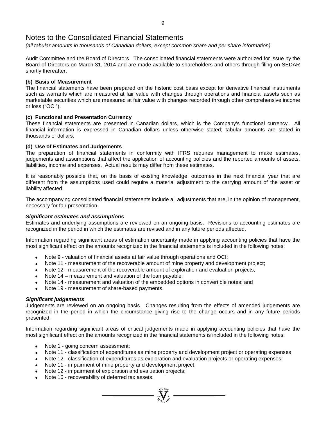*(all tabular amounts in thousands of Canadian dollars, except common share and per share information)*

Audit Committee and the Board of Directors. The consolidated financial statements were authorized for issue by the Board of Directors on March 31, 2014 and are made available to shareholders and others through filing on SEDAR shortly thereafter.

#### **(b) Basis of Measurement**

The financial statements have been prepared on the historic cost basis except for derivative financial instruments such as warrants which are measured at fair value with changes through operations and financial assets such as marketable securities which are measured at fair value with changes recorded through other comprehensive income or loss ("OCI").

#### **(c) Functional and Presentation Currency**

These financial statements are presented in Canadian dollars, which is the Company's functional currency. All financial information is expressed in Canadian dollars unless otherwise stated; tabular amounts are stated in thousands of dollars.

#### **(d) Use of Estimates and Judgements**

The preparation of financial statements in conformity with IFRS requires management to make estimates, judgements and assumptions that affect the application of accounting policies and the reported amounts of assets, liabilities, income and expenses. Actual results may differ from these estimates.

It is reasonably possible that, on the basis of existing knowledge, outcomes in the next financial year that are different from the assumptions used could require a material adjustment to the carrying amount of the asset or liability affected.

The accompanying consolidated financial statements include all adjustments that are, in the opinion of management, necessary for fair presentation.

#### *Significant estimates and assumptions*

Estimates and underlying assumptions are reviewed on an ongoing basis. Revisions to accounting estimates are recognized in the period in which the estimates are revised and in any future periods affected.

Information regarding significant areas of estimation uncertainty made in applying accounting policies that have the most significant effect on the amounts recognized in the financial statements is included in the following notes:

- Note 9 valuation of financial assets at fair value through operations and OCI;
- Note 11 measurement of the recoverable amount of mine property and development project;
- Note 12 measurement of the recoverable amount of exploration and evaluation projects;
- Note 14 measurement and valuation of the loan payable;
- Note 14 measurement and valuation of the embedded options in convertible notes; and
- Note 19 measurement of share-based payments.

#### *Significant judgements*

Judgements are reviewed on an ongoing basis. Changes resulting from the effects of amended judgements are recognized in the period in which the circumstance giving rise to the change occurs and in any future periods presented.

Information regarding significant areas of critical judgements made in applying accounting policies that have the most significant effect on the amounts recognized in the financial statements is included in the following notes:

- Note 1 going concern assessment;
- Note 11 classification of expenditures as mine property and development project or operating expenses;

 $\sum_{\substack{i=1\\i\neq j}}^{N^{(10)}h_{j}}$ 

- Note 12 classification of expenditures as exploration and evaluation projects or operating expenses;
- Note 11 impairment of mine property and development project;
- Note 12 impairment of exploration and evaluation projects;
- Note 16 recoverability of deferred tax assets.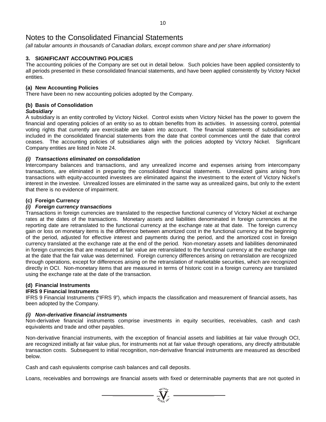*(all tabular amounts in thousands of Canadian dollars, except common share and per share information)*

#### **3. SIGNIFICANT ACCOUNTING POLICIES**

The accounting policies of the Company are set out in detail below. Such policies have been applied consistently to all periods presented in these consolidated financial statements, and have been applied consistently by Victory Nickel entities.

#### **(a) New Accounting Policies**

There have been no new accounting policies adopted by the Company.

#### **(b) Basis of Consolidation**

#### *Subsidiary*

A subsidiary is an entity controlled by Victory Nickel. Control exists when Victory Nickel has the power to govern the financial and operating policies of an entity so as to obtain benefits from its activities. In assessing control, potential voting rights that currently are exercisable are taken into account. The financial statements of subsidiaries are included in the consolidated financial statements from the date that control commences until the date that control ceases. The accounting policies of subsidiaries align with the policies adopted by Victory Nickel. Significant Company entities are listed in Note 24.

#### *(i) Transactions eliminated on consolidation*

Intercompany balances and transactions, and any unrealized income and expenses arising from intercompany transactions, are eliminated in preparing the consolidated financial statements. Unrealized gains arising from transactions with equity-accounted investees are eliminated against the investment to the extent of Victory Nickel's interest in the investee. Unrealized losses are eliminated in the same way as unrealized gains, but only to the extent that there is no evidence of impairment.

#### **(c) Foreign Currency**

#### *(i) Foreign currency transactions*

Transactions in foreign currencies are translated to the respective functional currency of Victory Nickel at exchange rates at the dates of the transactions. Monetary assets and liabilities denominated in foreign currencies at the reporting date are retranslated to the functional currency at the exchange rate at that date. The foreign currency gain or loss on monetary items is the difference between amortized cost in the functional currency at the beginning of the period, adjusted for effective interest and payments during the period, and the amortized cost in foreign currency translated at the exchange rate at the end of the period. Non-monetary assets and liabilities denominated in foreign currencies that are measured at fair value are retranslated to the functional currency at the exchange rate at the date that the fair value was determined. Foreign currency differences arising on retranslation are recognized through operations, except for differences arising on the retranslation of marketable securities, which are recognized directly in OCI. Non-monetary items that are measured in terms of historic cost in a foreign currency are translated using the exchange rate at the date of the transaction.

#### **(d) Financial Instruments**

#### **IFRS 9 Financial Instruments**

IFRS 9 Financial Instruments ("IFRS 9"), which impacts the classification and measurement of financial assets, has been adopted by the Company.

#### *(i) Non-derivative financial instruments*

Non-derivative financial instruments comprise investments in equity securities, receivables, cash and cash equivalents and trade and other payables.

Non-derivative financial instruments, with the exception of financial assets and liabilities at fair value through OCI, are recognized initially at fair value plus, for instruments not at fair value through operations, any directly attributable transaction costs. Subsequent to initial recognition, non-derivative financial instruments are measured as described below.

Cash and cash equivalents comprise cash balances and call deposits.

Loans, receivables and borrowings are financial assets with fixed or determinable payments that are not quoted in

 $\sum_{2007}$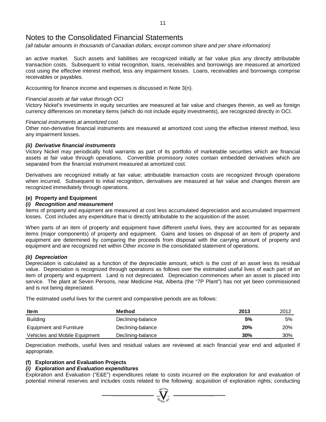*(all tabular amounts in thousands of Canadian dollars, except common share and per share information)*

an active market. Such assets and liabilities are recognized initially at fair value plus any directly attributable transaction costs. Subsequent to initial recognition, loans, receivables and borrowings are measured at amortized cost using the effective interest method, less any impairment losses. Loans, receivables and borrowings comprise receivables or payables.

Accounting for finance income and expenses is discussed in Note 3(n).

#### *Financial assets at fair value through OCI*

Victory Nickel's investments in equity securities are measured at fair value and changes therein, as well as foreign currency differences on monetary items (which do not include equity investments), are recognized directly in OCI.

#### *Financial instruments at amortized cost*

Other non-derivative financial instruments are measured at amortized cost using the effective interest method, less any impairment losses.

#### *(ii) Derivative financial instruments*

Victory Nickel may periodically hold warrants as part of its portfolio of marketable securities which are financial assets at fair value through operations. Convertible promissory notes contain embedded derivatives which are separated from the financial instrument measured at amortized cost.

Derivatives are recognized initially at fair value; attributable transaction costs are recognized through operations when incurred. Subsequent to initial recognition, derivatives are measured at fair value and changes therein are recognized immediately through operations.

#### **(e) Property and Equipment**

#### *(i) Recognition and measurement*

Items of property and equipment are measured at cost less accumulated depreciation and accumulated impairment losses. Cost includes any expenditure that is directly attributable to the acquisition of the asset.

When parts of an item of property and equipment have different useful lives, they are accounted for as separate items (major components) of property and equipment. Gains and losses on disposal of an item of property and equipment are determined by comparing the proceeds from disposal with the carrying amount of property and equipment and are recognized net within *Other income* in the consolidated statement of operations.

#### *(ii) Depreciation*

Depreciation is calculated as a function of the depreciable amount, which is the cost of an asset less its residual value. Depreciation is recognized through operations as follows over the estimated useful lives of each part of an item of property and equipment. Land is not depreciated. Depreciation commences when an asset is placed into service. The plant at Seven Persons, near Medicine Hat, Alberta (the "7P Plant") has not yet been commissioned and is not being depreciated.

The estimated useful lives for the current and comparative periods are as follows:

| <b>Item</b>                   | <b>Method</b>     | 2013 | 2012       |
|-------------------------------|-------------------|------|------------|
| <b>Building</b>               | Declining-balance | 5%   | 5%         |
| Equipment and Furniture       | Declining-balance | 20%  | <b>20%</b> |
| Vehicles and Mobile Equipment | Declining-balance | 30%  | 30%        |

Depreciation methods, useful lives and residual values are reviewed at each financial year end and adjusted if appropriate.

#### **(f) Exploration and Evaluation Projects**

#### *(i) Exploration and Evaluation expenditures*

Exploration and Evaluation ("E&E") expenditures relate to costs incurred on the exploration for and evaluation of potential mineral reserves and includes costs related to the following: acquisition of exploration rights; conducting

 $\sum_{\alpha}$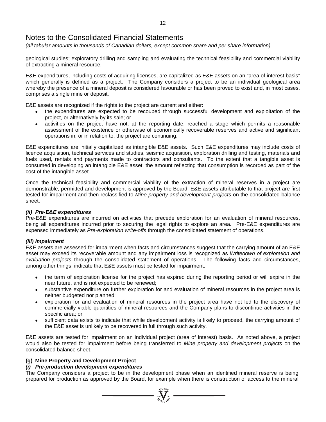*(all tabular amounts in thousands of Canadian dollars, except common share and per share information)*

geological studies; exploratory drilling and sampling and evaluating the technical feasibility and commercial viability of extracting a mineral resource.

E&E expenditures, including costs of acquiring licenses, are capitalized as E&E assets on an "area of interest basis" which generally is defined as a project. The Company considers a project to be an individual geological area whereby the presence of a mineral deposit is considered favourable or has been proved to exist and, in most cases, comprises a single mine or deposit.

E&E assets are recognized if the rights to the project are current and either:

- the expenditures are expected to be recouped through successful development and exploitation of the project, or alternatively by its sale; or
- activities on the project have not, at the reporting date, reached a stage which permits a reasonable assessment of the existence or otherwise of economically recoverable reserves and active and significant operations in, or in relation to, the project are continuing.

E&E expenditures are initially capitalized as intangible E&E assets. Such E&E expenditures may include costs of licence acquisition, technical services and studies, seismic acquisition, exploration drilling and testing, materials and fuels used, rentals and payments made to contractors and consultants. To the extent that a tangible asset is consumed in developing an intangible E&E asset, the amount reflecting that consumption is recorded as part of the cost of the intangible asset.

Once the technical feasibility and commercial viability of the extraction of mineral reserves in a project are demonstrable, permitted and development is approved by the Board, E&E assets attributable to that project are first tested for impairment and then reclassified to *Mine property and development projects* on the consolidated balance sheet.

#### *(ii) Pre-E&E expenditures*

Pre-E&E expenditures are incurred on activities that precede exploration for an evaluation of mineral resources, being all expenditures incurred prior to securing the legal rights to explore an area. Pre-E&E expenditures are expensed immediately as *Pre-exploration write-offs* through the consolidated statement of operations.

#### *(iii) Impairment*

E&E assets are assessed for impairment when facts and circumstances suggest that the carrying amount of an E&E asset may exceed its recoverable amount and any impairment loss is recognized as *Writedown of exploration and evaluation projects* through the consolidated statement of operations. The following facts and circumstances, among other things, indicate that E&E assets must be tested for impairment:

- the term of exploration license for the project has expired during the reporting period or will expire in the near future, and is not expected to be renewed;
- substantive expenditure on further exploration for and evaluation of mineral resources in the project area is neither budgeted nor planned;
- exploration for and evaluation of mineral resources in the project area have not led to the discovery of commercially viable quantities of mineral resources and the Company plans to discontinue activities in the specific area; or
- sufficient data exists to indicate that while development activity is likely to proceed, the carrying amount of the E&E asset is unlikely to be recovered in full through such activity.

E&E assets are tested for impairment on an individual project (area of interest) basis. As noted above, a project would also be tested for impairment before being transferred to *Mine property and development projects* on the consolidated balance sheet.

#### **(g) Mine Property and Development Project**

#### *(i) Pre-production development expenditures*

The Company considers a project to be in the development phase when an identified mineral reserve is being prepared for production as approved by the Board, for example when there is construction of access to the mineral

 $\sum_{\alpha}$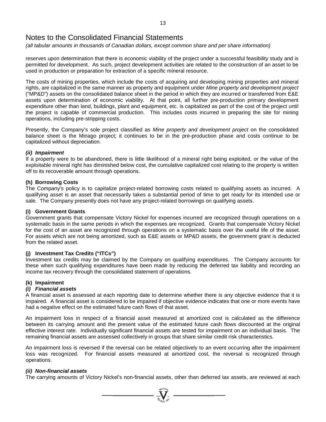*(all tabular amounts in thousands of Canadian dollars, except common share and per share information)*

reserves upon determination that there is economic viability of the project under a successful feasibility study and is permitted for development. As such, project development activities are related to the construction of an asset to be used in production or preparation for extraction of a specific mineral resource.

The costs of mining properties, which include the costs of acquiring and developing mining properties and mineral rights, are capitalized in the same manner as property and equipment under *Mine property and development project* ("MP&D") assets on the consolidated balance sheet in the period in which they are incurred or transferred from E&E assets upon determination of economic viability. At that point, all further pre-production primary development expenditure other than land, buildings, plant and equipment, etc. is capitalized as part of the cost of the project until the project is capable of commercial production. This includes costs incurred in preparing the site for mining operations, including pre-stripping costs.

Presently, the Company's sole project classified as *Mine property and development project* on the consolidated balance sheet is the Minago project; it continues to be in the pre-production phase and costs continue to be capitalized without depreciation.

#### *(ii) Impairment*

If a property were to be abandoned, there is little likelihood of a mineral right being exploited, or the value of the exploitable mineral right has diminished below cost, the cumulative capitalized cost relating to the property is written off to its recoverable amount through operations.

#### **(h) Borrowing Costs**

The Company's policy is to capitalize project-related borrowing costs related to qualifying assets as incurred. A qualifying asset is an asset that necessarily takes a substantial period of time to get ready for its intended use or sale. The Company presently does not have any project-related borrowings on qualifying assets.

#### **(i) Government Grants**

Government grants that compensate Victory Nickel for expenses incurred are recognized through operations on a systematic basis in the same periods in which the expenses are recognized. Grants that compensate Victory Nickel for the cost of an asset are recognized through operations on a systematic basis over the useful life of the asset. For assets which are not being amortized, such as E&E assets or MP&D assets, the government grant is deducted from the related asset.

#### **(j) Investment Tax Credits ("ITCs")**

Investment tax credits may be claimed by the Company on qualifying expenditures. The Company accounts for these when such qualifying expenditures have been made by reducing the deferred tax liability and recording an income tax recovery through the consolidated statement of operations.

#### **(k) Impairment**

#### *(i) Financial assets*

A financial asset is assessed at each reporting date to determine whether there is any objective evidence that it is impaired. A financial asset is considered to be impaired if objective evidence indicates that one or more events have had a negative effect on the estimated future cash flows of that asset.

An impairment loss in respect of a financial asset measured at amortized cost is calculated as the difference between its carrying amount and the present value of the estimated future cash flows discounted at the original effective interest rate. Individually significant financial assets are tested for impairment on an individual basis. The remaining financial assets are assessed collectively in groups that share similar credit risk characteristics.

An impairment loss is reversed if the reversal can be related objectively to an event occurring after the impairment loss was recognized. For financial assets measured at amortized cost, the reversal is recognized through operations.

#### *(ii) Non-financial assets*

The carrying amounts of Victory Nickel's non-financial assets, other than deferred tax assets, are reviewed at each

 $\sum_{\substack{300\\ \text{odd }n}}^{\text{Nato}_{n}} =$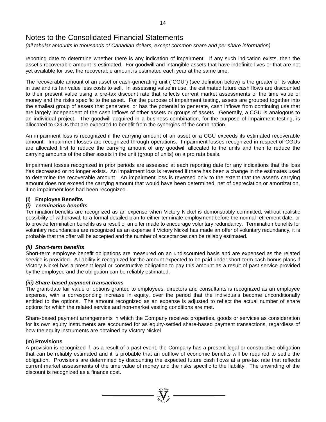*(all tabular amounts in thousands of Canadian dollars, except common share and per share information)*

reporting date to determine whether there is any indication of impairment. If any such indication exists, then the asset's recoverable amount is estimated. For goodwill and intangible assets that have indefinite lives or that are not yet available for use, the recoverable amount is estimated each year at the same time.

The recoverable amount of an asset or cash-generating unit ("CGU") (see definition below) is the greater of its value in use and its fair value less costs to sell. In assessing value in use, the estimated future cash flows are discounted to their present value using a pre-tax discount rate that reflects current market assessments of the time value of money and the risks specific to the asset. For the purpose of impairment testing, assets are grouped together into the smallest group of assets that generates, or has the potential to generate, cash inflows from continuing use that are largely independent of the cash inflows of other assets or groups of assets. Generally, a CGU is analogous to an individual project. The goodwill acquired in a business combination, for the purpose of impairment testing, is allocated to CGUs that are expected to benefit from the synergies of the combination.

An impairment loss is recognized if the carrying amount of an asset or a CGU exceeds its estimated recoverable amount. Impairment losses are recognized through operations. Impairment losses recognized in respect of CGUs are allocated first to reduce the carrying amount of any goodwill allocated to the units and then to reduce the carrying amounts of the other assets in the unit (group of units) on a pro rata basis.

Impairment losses recognized in prior periods are assessed at each reporting date for any indications that the loss has decreased or no longer exists. An impairment loss is reversed if there has been a change in the estimates used to determine the recoverable amount. An impairment loss is reversed only to the extent that the asset's carrying amount does not exceed the carrying amount that would have been determined, net of depreciation or amortization, if no impairment loss had been recognized.

#### **(l) Employee Benefits**

#### *(i) Termination benefits*

Termination benefits are recognized as an expense when Victory Nickel is demonstrably committed, without realistic possibility of withdrawal, to a formal detailed plan to either terminate employment before the normal retirement date, or to provide termination benefits as a result of an offer made to encourage voluntary redundancy. Termination benefits for voluntary redundancies are recognized as an expense if Victory Nickel has made an offer of voluntary redundancy, it is probable that the offer will be accepted and the number of acceptances can be reliably estimated.

#### *(ii) Short-term benefits*

Short-term employee benefit obligations are measured on an undiscounted basis and are expensed as the related service is provided. A liability is recognized for the amount expected to be paid under short-term cash bonus plans if Victory Nickel has a present legal or constructive obligation to pay this amount as a result of past service provided by the employee and the obligation can be reliably estimated.

#### *(iii) Share-based payment transactions*

The grant-date fair value of options granted to employees, directors and consultants is recognized as an employee expense, with a corresponding increase in equity, over the period that the individuals become unconditionally entitled to the options. The amount recognized as an expense is adjusted to reflect the actual number of share options for which the related service and non-market vesting conditions are met.

Share-based payment arrangements in which the Company receives properties, goods or services as consideration for its own equity instruments are accounted for as equity-settled share-based payment transactions, regardless of how the equity instruments are obtained by Victory Nickel.

#### **(m) Provisions**

A provision is recognized if, as a result of a past event, the Company has a present legal or constructive obligation that can be reliably estimated and it is probable that an outflow of economic benefits will be required to settle the obligation. Provisions are determined by discounting the expected future cash flows at a pre-tax rate that reflects current market assessments of the time value of money and the risks specific to the liability. The unwinding of the discount is recognized as a finance cost.

 $\sum_{\substack{\omega \in \mathcal{N} \\ \text{val}(\omega) \\ \text{val}}} \mathbb{E}$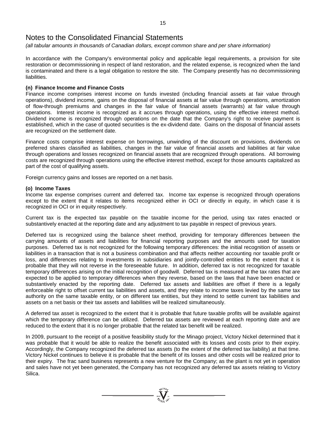*(all tabular amounts in thousands of Canadian dollars, except common share and per share information)*

In accordance with the Company's environmental policy and applicable legal requirements, a provision for site restoration or decommissioning in respect of land restoration, and the related expense, is recognized when the land is contaminated and there is a legal obligation to restore the site. The Company presently has no decommissioning liabilities.

#### **(n) Finance Income and Finance Costs**

Finance income comprises interest income on funds invested (including financial assets at fair value through operations), dividend income, gains on the disposal of financial assets at fair value through operations, amortization of flow-through premiums and changes in the fair value of financial assets (warrants) at fair value through operations. Interest income is recognized as it accrues through operations, using the effective interest method. Dividend income is recognized through operations on the date that the Company's right to receive payment is established, which in the case of quoted securities is the ex-dividend date. Gains on the disposal of financial assets are recognized on the settlement date.

Finance costs comprise interest expense on borrowings, unwinding of the discount on provisions, dividends on preferred shares classified as liabilities, changes in the fair value of financial assets and liabilities at fair value through operations and losses recognized on financial assets that are recognized through operations. All borrowing costs are recognized through operations using the effective interest method, except for those amounts capitalized as part of the cost of qualifying assets.

Foreign currency gains and losses are reported on a net basis.

#### **(o) Income Taxes**

Income tax expense comprises current and deferred tax. Income tax expense is recognized through operations except to the extent that it relates to items recognized either in OCI or directly in equity, in which case it is recognized in OCI or in equity respectively.

Current tax is the expected tax payable on the taxable income for the period, using tax rates enacted or substantively enacted at the reporting date and any adjustment to tax payable in respect of previous years.

Deferred tax is recognized using the balance sheet method, providing for temporary differences between the carrying amounts of assets and liabilities for financial reporting purposes and the amounts used for taxation purposes. Deferred tax is not recognized for the following temporary differences: the initial recognition of assets or liabilities in a transaction that is not a business combination and that affects neither accounting nor taxable profit or loss, and differences relating to investments in subsidiaries and jointly-controlled entities to the extent that it is probable that they will not reverse in the foreseeable future. In addition, deferred tax is not recognized for taxable temporary differences arising on the initial recognition of goodwill. Deferred tax is measured at the tax rates that are expected to be applied to temporary differences when they reverse, based on the laws that have been enacted or substantively enacted by the reporting date. Deferred tax assets and liabilities are offset if there is a legally enforceable right to offset current tax liabilities and assets, and they relate to income taxes levied by the same tax authority on the same taxable entity, or on different tax entities, but they intend to settle current tax liabilities and assets on a net basis or their tax assets and liabilities will be realized simultaneously.

A deferred tax asset is recognized to the extent that it is probable that future taxable profits will be available against which the temporary difference can be utilized. Deferred tax assets are reviewed at each reporting date and are reduced to the extent that it is no longer probable that the related tax benefit will be realized.

In 2009, pursuant to the receipt of a positive feasibility study for the Minago project, Victory Nickel determined that it was probable that it would be able to realize the benefit associated with its losses and costs prior to their expiry. Accordingly, the Company recognized the deferred tax assets (to the extent of the deferred tax liability) at that time. Victory Nickel continues to believe it is probable that the benefit of its losses and other costs will be realized prior to their expiry. The frac sand business represents a new venture for the Company; as the plant is not yet in operation and sales have not yet been generated, the Company has not recognized any deferred tax assets relating to Victory Silica.

 $\sum_{\substack{\omega \in \mathcal{N}^{\text{out}}} \omega}}^{\omega \text{out}} =$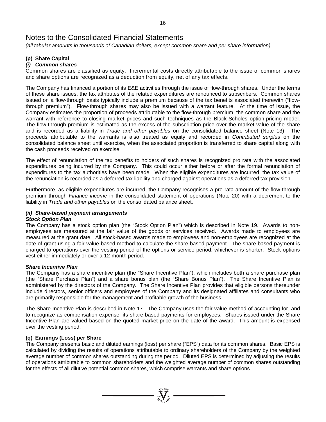*(all tabular amounts in thousands of Canadian dollars, except common share and per share information)*

#### **(p) Share Capital**

#### *(i) Common shares*

Common shares are classified as equity. Incremental costs directly attributable to the issue of common shares and share options are recognized as a deduction from equity, net of any tax effects.

The Company has financed a portion of its E&E activities through the issue of flow-through shares. Under the terms of these share issues, the tax attributes of the related expenditures are renounced to subscribers. Common shares issued on a flow-through basis typically include a premium because of the tax benefits associated therewith ("flowthrough premium"). Flow-through shares may also be issued with a warrant feature. At the time of issue, the Company estimates the proportion of proceeds attributable to the flow-through premium, the common share and the warrant with reference to closing market prices and such techniques as the Black-Scholes option-pricing model. The flow-through premium is estimated as the excess of the subscription price over the market value of the share and is recorded as a liability in *Trade and other payables* on the consolidated balance sheet (Note 13). The proceeds attributable to the warrants is also treated as equity and recorded in *Contributed surplus* on the consolidated balance sheet until exercise, when the associated proportion is transferred to share capital along with the cash proceeds received on exercise.

The effect of renunciation of the tax benefits to holders of such shares is recognized pro rata with the associated expenditures being incurred by the Company. This could occur either before or after the formal renunciation of expenditures to the tax authorities have been made. When the eligible expenditures are incurred, the tax value of the renunciation is recorded as a deferred tax liability and charged against operations as a deferred tax provision.

Furthermore, as eligible expenditures are incurred, the Company recognises a pro rata amount of the flow-through premium through *Finance income* in the consolidated statement of operations (Note 20) with a decrement to the liability in *Trade and other payables* on the consolidated balance sheet.

#### *(ii) Share-based payment arrangements*

#### *Stock Option Plan*

The Company has a stock option plan (the "Stock Option Plan") which is described in Note 19. Awards to nonemployees are measured at the fair value of the goods or services received. Awards made to employees are measured at the grant date. All stock-based awards made to employees and non-employees are recognized at the date of grant using a fair-value-based method to calculate the share-based payment. The share-based payment is charged to operations over the vesting period of the options or service period, whichever is shorter. Stock options vest either immediately or over a 12-month period.

#### *Share Incentive Plan*

The Company has a share incentive plan (the "Share Incentive Plan"), which includes both a share purchase plan (the "Share Purchase Plan") and a share bonus plan (the "Share Bonus Plan"). The Share Incentive Plan is administered by the directors of the Company. The Share Incentive Plan provides that eligible persons thereunder include directors, senior officers and employees of the Company and its designated affiliates and consultants who are primarily responsible for the management and profitable growth of the business.

The Share Incentive Plan is described in Note 17. The Company uses the fair value method of accounting for, and to recognize as compensation expense, its share-based payments for employees. Shares issued under the Share Incentive Plan are valued based on the quoted market price on the date of the award. This amount is expensed over the vesting period.

#### **(q) Earnings (Loss) per Share**

The Company presents basic and diluted earnings (loss) per share ("EPS") data for its common shares. Basic EPS is calculated by dividing the results of operations attributable to ordinary shareholders of the Company by the weighted average number of common shares outstanding during the period. Diluted EPS is determined by adjusting the results of operations attributable to common shareholders and the weighted average number of common shares outstanding for the effects of all dilutive potential common shares, which comprise warrants and share options.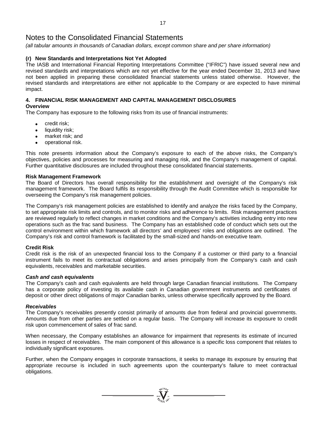*(all tabular amounts in thousands of Canadian dollars, except common share and per share information)*

#### **(r) New Standards and Interpretations Not Yet Adopted**

The IASB and International Financial Reporting Interpretations Committee ("IFRIC") have issued several new and revised standards and interpretations which are not yet effective for the year ended December 31, 2013 and have not been applied in preparing these consolidated financial statements unless stated otherwise. However, the revised standards and interpretations are either not applicable to the Company or are expected to have minimal impact.

#### **4. FINANCIAL RISK MANAGEMENT AND CAPITAL MANAGEMENT DISCLOSURES**

#### **Overview**

The Company has exposure to the following risks from its use of financial instruments:

- credit risk;
- liquidity risk;
- market risk; and
- operational risk.

This note presents information about the Company's exposure to each of the above risks, the Company's objectives, policies and processes for measuring and managing risk, and the Company's management of capital. Further quantitative disclosures are included throughout these consolidated financial statements.

#### **Risk Management Framework**

The Board of Directors has overall responsibility for the establishment and oversight of the Company's risk management framework. The Board fulfils its responsibility through the Audit Committee which is responsible for overseeing the Company's risk management policies.

The Company's risk management policies are established to identify and analyze the risks faced by the Company, to set appropriate risk limits and controls, and to monitor risks and adherence to limits. Risk management practices are reviewed regularly to reflect changes in market conditions and the Company's activities including entry into new operations such as the frac sand business. The Company has an established code of conduct which sets out the control environment within which framework all directors' and employees' roles and obligations are outlined. The Company's risk and control framework is facilitated by the small-sized and hands-on executive team.

#### **Credit Risk**

Credit risk is the risk of an unexpected financial loss to the Company if a customer or third party to a financial instrument fails to meet its contractual obligations and arises principally from the Company's cash and cash equivalents, receivables and marketable securities.

#### *Cash and cash equivalents*

The Company's cash and cash equivalents are held through large Canadian financial institutions. The Company has a corporate policy of investing its available cash in Canadian government instruments and certificates of deposit or other direct obligations of major Canadian banks, unless otherwise specifically approved by the Board.

#### *Receivables*

The Company's receivables presently consist primarily of amounts due from federal and provincial governments. Amounts due from other parties are settled on a regular basis. The Company will increase its exposure to credit risk upon commencement of sales of frac sand.

When necessary, the Company establishes an allowance for impairment that represents its estimate of incurred losses in respect of receivables. The main component of this allowance is a specific loss component that relates to individually significant exposures.

Further, when the Company engages in corporate transactions, it seeks to manage its exposure by ensuring that appropriate recourse is included in such agreements upon the counterparty's failure to meet contractual obligations.

**WCIOF**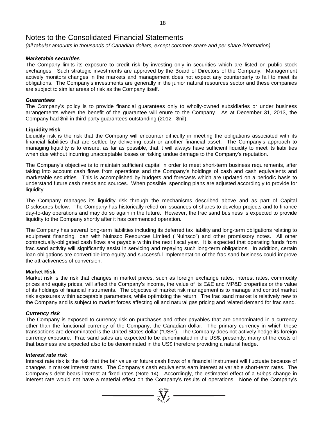*(all tabular amounts in thousands of Canadian dollars, except common share and per share information)*

#### *Marketable securities*

The Company limits its exposure to credit risk by investing only in securities which are listed on public stock exchanges. Such strategic investments are approved by the Board of Directors of the Company. Management actively monitors changes in the markets and management does not expect any counterparty to fail to meet its obligations. The Company's investments are generally in the junior natural resources sector and these companies are subject to similar areas of risk as the Company itself.

#### *Guarantees*

The Company's policy is to provide financial guarantees only to wholly-owned subsidiaries or under business arrangements where the benefit of the guarantee will enure to the Company. As at December 31, 2013, the Company had \$nil in third party guarantees outstanding (2012 - \$nil).

#### **Liquidity Risk**

Liquidity risk is the risk that the Company will encounter difficulty in meeting the obligations associated with its financial liabilities that are settled by delivering cash or another financial asset. The Company's approach to managing liquidity is to ensure, as far as possible, that it will always have sufficient liquidity to meet its liabilities when due without incurring unacceptable losses or risking undue damage to the Company's reputation.

The Company's objective is to maintain sufficient capital in order to meet short-term business requirements, after taking into account cash flows from operations and the Company's holdings of cash and cash equivalents and marketable securities. This is accomplished by budgets and forecasts which are updated on a periodic basis to understand future cash needs and sources. When possible, spending plans are adjusted accordingly to provide for liquidity.

The Company manages its liquidity risk through the mechanisms described above and as part of Capital Disclosures below. The Company has historically relied on issuances of shares to develop projects and to finance day-to-day operations and may do so again in the future. However, the frac sand business is expected to provide liquidity to the Company shortly after it has commenced operation.

The Company has several long-term liabilities including its deferred tax liability and long-term obligations relating to equipment financing, loan with Nuinsco Resources Limited ("Nuinsco") and other promissory notes. All other contractually-obligated cash flows are payable within the next fiscal year. It is expected that operating funds from frac sand activity will significantly assist in servicing and repaying such long-term obligations. In addition, certain loan obligations are convertible into equity and successful implementation of the frac sand business could improve the attractiveness of conversion.

#### **Market Risk**

Market risk is the risk that changes in market prices, such as foreign exchange rates, interest rates, commodity prices and equity prices, will affect the Company's income, the value of its E&E and MP&D properties or the value of its holdings of financial instruments. The objective of market risk management is to manage and control market risk exposures within acceptable parameters, while optimizing the return. The frac sand market is relatively new to the Company and is subject to market forces affecting oil and natural gas pricing and related demand for frac sand.

#### *Currency risk*

The Company is exposed to currency risk on purchases and other payables that are denominated in a currency other than the functional currency of the Company; the Canadian dollar. The primary currency in which these transactions are denominated is the United States dollar ("US\$"). The Company does not actively hedge its foreign currency exposure. Frac sand sales are expected to be denominated in the US\$; presently, many of the costs of that business are expected also to be denominated in the US\$ therefore providing a natural hedge.

#### *Interest rate risk*

Interest rate risk is the risk that the fair value or future cash flows of a financial instrument will fluctuate because of changes in market interest rates. The Company's cash equivalents earn interest at variable short-term rates. The Company's debt bears interest at fixed rates (Note 14). Accordingly, the estimated effect of a 50bps change in interest rate would not have a material effect on the Company's results of operations. None of the Company's

 $\sum_{n=1}^{\text{NLOB}}$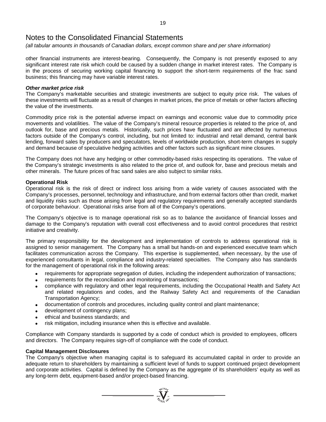*(all tabular amounts in thousands of Canadian dollars, except common share and per share information)*

other financial instruments are interest-bearing. Consequently, the Company is not presently exposed to any significant interest rate risk which could be caused by a sudden change in market interest rates. The Company is in the process of securing working capital financing to support the short-term requirements of the frac sand business; this financing may have variable interest rates.

#### *Other market price risk*

The Company's marketable securities and strategic investments are subject to equity price risk. The values of these investments will fluctuate as a result of changes in market prices, the price of metals or other factors affecting the value of the investments.

Commodity price risk is the potential adverse impact on earnings and economic value due to commodity price movements and volatilities. The value of the Company's mineral resource properties is related to the price of, and outlook for, base and precious metals. Historically, such prices have fluctuated and are affected by numerous factors outside of the Company's control, including, but not limited to: industrial and retail demand, central bank lending, forward sales by producers and speculators, levels of worldwide production, short-term changes in supply and demand because of speculative hedging activities and other factors such as significant mine closures.

The Company does not have any hedging or other commodity-based risks respecting its operations. The value of the Company's strategic investments is also related to the price of, and outlook for, base and precious metals and other minerals. The future prices of frac sand sales are also subject to similar risks.

#### **Operational Risk**

Operational risk is the risk of direct or indirect loss arising from a wide variety of causes associated with the Company's processes, personnel, technology and infrastructure, and from external factors other than credit, market and liquidity risks such as those arising from legal and regulatory requirements and generally accepted standards of corporate behaviour. Operational risks arise from all of the Company's operations.

The Company's objective is to manage operational risk so as to balance the avoidance of financial losses and damage to the Company's reputation with overall cost effectiveness and to avoid control procedures that restrict initiative and creativity.

The primary responsibility for the development and implementation of controls to address operational risk is assigned to senior management. The Company has a small but hands-on and experienced executive team which facilitates communication across the Company. This expertise is supplemented, when necessary, by the use of experienced consultants in legal, compliance and industry-related specialties. The Company also has standards for the management of operational risk in the following areas:

- requirements for appropriate segregation of duties, including the independent authorization of transactions;
- requirements for the reconciliation and monitoring of transactions;
- compliance with regulatory and other legal requirements, including the Occupational Health and Safety Act and related regulations and codes, and the Railway Safety Act and requirements of the Canadian Transportation Agency;
- documentation of controls and procedures, including quality control and plant maintenance;
- development of contingency plans;
- ethical and business standards; and
- risk mitigation, including insurance when this is effective and available.

Compliance with Company standards is supported by a code of conduct which is provided to employees, officers and directors. The Company requires sign-off of compliance with the code of conduct.

#### **Capital Management Disclosures**

The Company's objective when managing capital is to safeguard its accumulated capital in order to provide an adequate return to shareholders by maintaining a sufficient level of funds to support continued project development and corporate activities. Capital is defined by the Company as the aggregate of its shareholders' equity as well as any long-term debt, equipment-based and/or project-based financing.

 $\sum_{\substack{\mathbf{307}}{q \times 10^{h_{\mathbf{y}}}}}}$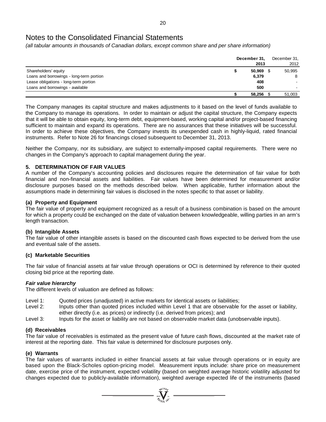*(all tabular amounts in thousands of Canadian dollars, except common share and per share information)*

|                                          | December 31,<br>2013 | December 31,<br>2012 |
|------------------------------------------|----------------------|----------------------|
| Shareholders' equity                     | 50,969               | 50,995               |
| Loans and borrowings - long-term portion | 6,379                | 8                    |
| Lease obligations - long-term portion    | 408                  |                      |
| Loans and borrowings - available         | 500                  |                      |
|                                          | 58,256               | 51,003               |

The Company manages its capital structure and makes adjustments to it based on the level of funds available to the Company to manage its operations. In order to maintain or adjust the capital structure, the Company expects that it will be able to obtain equity, long-term debt, equipment-based, working capital and/or project-based financing sufficient to maintain and expand its operations. There are no assurances that these initiatives will be successful. In order to achieve these objectives, the Company invests its unexpended cash in highly-liquid, rated financial instruments. Refer to Note 26 for financings closed subsequent to December 31, 2013.

Neither the Company, nor its subsidiary, are subject to externally-imposed capital requirements. There were no changes in the Company's approach to capital management during the year.

#### **5. DETERMINATION OF FAIR VALUES**

A number of the Company's accounting policies and disclosures require the determination of fair value for both financial and non-financial assets and liabilities. Fair values have been determined for measurement and/or disclosure purposes based on the methods described below. When applicable, further information about the assumptions made in determining fair values is disclosed in the notes specific to that asset or liability.

#### **(a) Property and Equipment**

The fair value of property and equipment recognized as a result of a business combination is based on the amount for which a property could be exchanged on the date of valuation between knowledgeable, willing parties in an arm's length transaction.

#### **(b) Intangible Assets**

The fair value of other intangible assets is based on the discounted cash flows expected to be derived from the use and eventual sale of the assets.

#### **(c) Marketable Securities**

The fair value of financial assets at fair value through operations or OCI is determined by reference to their quoted closing bid price at the reporting date.

#### *Fair value hierarchy*

The different levels of valuation are defined as follows:

- Level 1: Quoted prices (unadjusted) in active markets for identical assets or liabilities;
- Level 2: Inputs other than quoted prices included within Level 1 that are observable for the asset or liability, either directly (i.e. as prices) or indirectly (i.e. derived from prices); and
- Level 3: Inputs for the asset or liability are not based on observable market data (unobservable inputs).

#### **(d) Receivables**

The fair value of receivables is estimated as the present value of future cash flows, discounted at the market rate of interest at the reporting date. This fair value is determined for disclosure purposes only.

#### **(e) Warrants**

The fair values of warrants included in either financial assets at fair value through operations or in equity are based upon the Black-Scholes option-pricing model. Measurement inputs include: share price on measurement date, exercise price of the instrument, expected volatility (based on weighted average historic volatility adjusted for changes expected due to publicly-available information), weighted average expected life of the instruments (based

 $\sum_{\alpha}$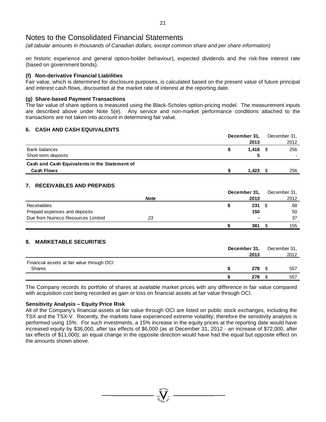*(all tabular amounts in thousands of Canadian dollars, except common share and per share information)*

on historic experience and general option-holder behaviour), expected dividends and the risk-free interest rate (based on government bonds).

#### **(f) Non-derivative Financial Liabilities**

Fair value, which is determined for disclosure purposes, is calculated based on the present value of future principal and interest cash flows, discounted at the market rate of interest at the reporting date.

#### **(g) Share-based Payment Transactions**

The fair value of share options is measured using the Black-Scholes option-pricing model. The measurement inputs are described above under Note 5(e). Any service and non-market performance conditions attached to the transactions are not taken into account in determining fair value.

#### **6. CASH AND CASH EQUIVALENTS**

|                                               | December 31, | December 31, |
|-----------------------------------------------|--------------|--------------|
|                                               | 2013         | 2012         |
| Bank balances                                 | 1.418        | 256<br>- \$  |
| Short-term deposits                           |              |              |
| Cash and Cash Equivalents in the Statement of |              |              |
| <b>Cash Flows</b>                             | 1.423        | 256          |

#### **7. RECEIVABLES AND PREPAIDS**

|                                    |             | December 31, |                | December 31, |
|------------------------------------|-------------|--------------|----------------|--------------|
|                                    | <b>Note</b> |              | 2013           | 2012         |
| <b>Receivables</b>                 |             |              | 231            | 68           |
| Prepaid expenses and deposits      |             |              | 150            | 50           |
| Due from Nuinsco Resources Limited | 23          |              | $\blacksquare$ | 37           |
|                                    |             |              | 381            | 155          |

#### **8. MARKETABLE SECURITIES**

| December 31, |
|--------------|
| 2012         |
|              |
| 557          |
| 557          |
|              |

The Company records its portfolio of shares at available market prices with any difference in fair value compared with acquisition cost being recorded as gain or loss on financial assets at fair value through OCI.

#### **Sensitivity Analysis – Equity Price Risk**

All of the Company's financial assets at fair value through OCI are listed on public stock exchanges, including the TSX and the TSX-V. Recently, the markets have experienced extreme volatility; therefore the sensitivity analysis is performed using 15%. For such investments, a 15% increase in the equity prices at the reporting date would have increased equity by \$36,000, after tax effects of \$6,000 (as at December 31, 2012 - an increase of \$72,000, after tax effects of \$11,000); an equal change in the opposite direction would have had the equal but opposite effect on the amounts shown above.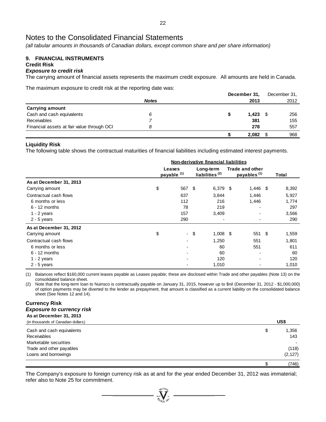*(all tabular amounts in thousands of Canadian dollars, except common share and per share information)*

#### **9. FINANCIAL INSTRUMENTS Credit Risk**

### *Exposure to credit risk*

The carrying amount of financial assets represents the maximum credit exposure. All amounts are held in Canada.

The maximum exposure to credit risk at the reporting date was:

|                                            |              | December 31, |     |      | December 31, |
|--------------------------------------------|--------------|--------------|-----|------|--------------|
|                                            | <b>Notes</b> | 2013         |     |      | 2012         |
| <b>Carrying amount</b>                     |              |              |     |      |              |
| Cash and cash equivalents                  | 6            | 1,423        |     | - \$ | 256          |
| <b>Receivables</b>                         |              |              | 381 |      | 155          |
| Financial assets at fair value through OCI | 8            |              | 278 |      | 557          |
|                                            |              | 2,082        |     |      | 968          |

#### **Liquidity Risk**

The following table shows the contractual maturities of financial liabilities including estimated interest payments.

|                         | Non-derivative financial liabilities |                                  |     |                                         |  |                                                   |  |       |
|-------------------------|--------------------------------------|----------------------------------|-----|-----------------------------------------|--|---------------------------------------------------|--|-------|
|                         |                                      | Leases<br>payable <sup>(1)</sup> |     | Long-term<br>liabilities <sup>(2)</sup> |  | <b>Trade and other</b><br>payables <sup>(1)</sup> |  | Total |
| As at December 31, 2013 |                                      |                                  |     |                                         |  |                                                   |  |       |
| Carrying amount         | \$                                   | 567                              | \$  | $6,379$ \$                              |  | $1,446$ \$                                        |  | 8,392 |
| Contractual cash flows  |                                      | 637                              |     | 3,844                                   |  | 1,446                                             |  | 5,927 |
| 6 months or less        |                                      | 112                              |     | 216                                     |  | 1,446                                             |  | 1,774 |
| $6 - 12$ months         |                                      | 78                               |     | 219                                     |  |                                                   |  | 297   |
| $1 - 2$ years           |                                      | 157                              |     | 3,409                                   |  |                                                   |  | 3,566 |
| $2 - 5$ years           |                                      | 290                              |     | $\overline{\phantom{a}}$                |  |                                                   |  | 290   |
| As at December 31, 2012 |                                      |                                  |     |                                         |  |                                                   |  |       |
| Carrying amount         | \$                                   | $\sim$                           | -\$ | $1,008$ \$                              |  | 551 \$                                            |  | 1,559 |
| Contractual cash flows  |                                      |                                  |     | 1,250                                   |  | 551                                               |  | 1,801 |
| 6 months or less        |                                      |                                  |     | 60                                      |  | 551                                               |  | 611   |
| $6 - 12$ months         |                                      |                                  |     | 60                                      |  |                                                   |  | 60    |
| $1 - 2$ years           |                                      |                                  |     | 120                                     |  |                                                   |  | 120   |
| $2 - 5$ years           |                                      |                                  |     | 1,010                                   |  |                                                   |  | 1,010 |

(1) Balances reflect \$160,000 current leases payable as Leases payable; these are disclosed within Trade and other payables (Note 13) on the consolidated balance sheet.

(2) Note that the long-term loan to Nuinsco is contractually payable on January 31, 2015, however up to \$nil (December 31, 2012 - \$1,000,000) of option payments may be diverted to the lender as prepayment, that amount is classified as a current liability on the consolidated balance sheet (See Notes 12 and 14).

#### **Currency Risk** *Exposure to currency risk*

| As at December 31, 2013            |             |
|------------------------------------|-------------|
| (in thousands of Canadian dollars) | US\$        |
| Cash and cash equivalents          | \$<br>1,356 |
| Receivables                        | 143         |
| Marketable securities              |             |
| Trade and other payables           | (118)       |
| Loans and borrowings               | (2, 127)    |
|                                    | (746)       |

The Company's exposure to foreign currency risk as at and for the year ended December 31, 2012 was immaterial; refer also to Note 25 for commitment.

 $\sum_{\mathcal{U}_{\ell}}\sum_{\mathbf{r}}\mathbf{v}_{\mathbf{r}}$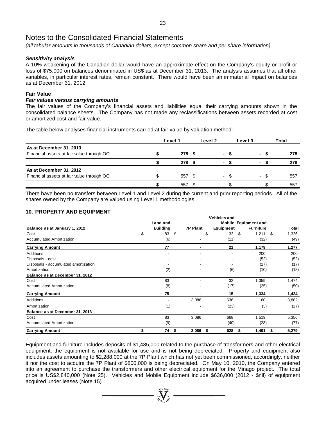*(all tabular amounts in thousands of Canadian dollars, except common share and per share information)*

#### *Sensitivity analysis*

A 10% weakening of the Canadian dollar would have an approximate effect on the Company's equity or profit or loss of \$75,000 on balances denominated in US\$ as at December 31, 2013. The analysis assumes that all other variables, in particular interest rates, remain constant. There would have been an immaterial impact on balances as at December 31, 2012.

#### **Fair Value**

#### *Fair values versus carrying amounts*

The fair values of the Company's financial assets and liabilities equal their carrying amounts shown in the consolidated balance sheets. The Company has not made any reclassifications between assets recorded at cost or amortized cost and fair value.

The table below analyses financial instruments carried at fair value by valuation method:

|                                            | Level 1          | Level 2 |                          | Level 3                  |      | Total |
|--------------------------------------------|------------------|---------|--------------------------|--------------------------|------|-------|
| As at December 31, 2013                    |                  |         |                          |                          |      |       |
| Financial assets at fair value through OCI | 278 <sup>5</sup> |         | - 5                      |                          | - \$ | 278   |
|                                            | 278              |         |                          |                          |      | 278   |
| As at December 31, 2012                    |                  |         |                          |                          |      |       |
| Financial assets at fair value through OCI | 557 \$           |         |                          |                          |      | 557   |
|                                            | 557              |         | $\overline{\phantom{a}}$ | $\overline{\phantom{a}}$ |      | 557   |

There have been no transfers between Level 1 and Level 2 during the current and prior reporting periods. All of the shares owned by the Company are valued using Level 1 methodologies.

#### **10. PROPERTY AND EQUIPMENT**

|                                      |    | Land and        |                                |                          | <b>Mobile Equipment and</b> |       |
|--------------------------------------|----|-----------------|--------------------------------|--------------------------|-----------------------------|-------|
| Balance as at January 1, 2012        |    | <b>Building</b> | <b>7P Plant</b>                | Equipment                | <b>Furniture</b>            | Total |
| Cost                                 | \$ | \$<br>83        | \$<br>$\overline{\phantom{a}}$ | \$<br>32                 | \$<br>1,211                 | 1,326 |
| <b>Accumulated Amortization</b>      |    | (6)             |                                | (11)                     | (32)                        | (49)  |
| <b>Carrying Amount</b>               |    | 77              |                                | 21                       | 1,179                       | 1,277 |
| <b>Additions</b>                     |    |                 |                                |                          | 200                         | 200   |
| Disposals - cost                     |    |                 |                                |                          | (52)                        | (52)  |
| Disposals - accumulated amortization |    |                 |                                | $\overline{\phantom{a}}$ | (17)                        | (17)  |
| Amortization                         |    | (2)             |                                | (6)                      | (10)                        | (18)  |
| Balance as at December 31, 2012      |    |                 |                                |                          |                             |       |
| Cost                                 |    | 83              |                                | 32                       | 1,359                       | 1,474 |
| <b>Accumulated Amortization</b>      |    | (8)             |                                | (17)                     | (25)                        | (50)  |
| <b>Carrying Amount</b>               |    | 75              |                                | 15                       | 1,334                       | 1,424 |
| Additions                            |    |                 | 3,086                          | 636                      | 160                         | 3,882 |
| Amortization                         |    | (1)             |                                | (23)                     | (3)                         | (27)  |
| Balance as at December 31, 2013      |    |                 |                                |                          |                             |       |
| Cost                                 |    | 83              | 3,086                          | 668                      | 1,519                       | 5,356 |
| <b>Accumulated Amortization</b>      |    | (9)             |                                | (40)                     | (28)                        | (77)  |
| <b>Carrying Amount</b>               | \$ | 74<br>\$        | 3,086<br>\$                    | 628<br>\$                | 1,491<br>\$                 | 5,279 |

Equipment and furniture includes deposits of \$1,485,000 related to the purchase of transformers and other electrical equipment; the equipment is not available for use and is not being depreciated. Property and equipment also includes assets amounting to \$2,288,000 at the 7P Plant which has not yet been commissioned, accordingly, neither it nor the cost to acquire the 7P Plant of \$800,000 is being depreciated. On May 10, 2010, the Company entered into an agreement to purchase the transformers and other electrical equipment for the Minago project. The total price is US\$2,840,000 (Note 25). Vehicles and Mobile Equipment include \$636,000 (2012 - \$nil) of equipment acquired under leases (Note 15).

**Wellon**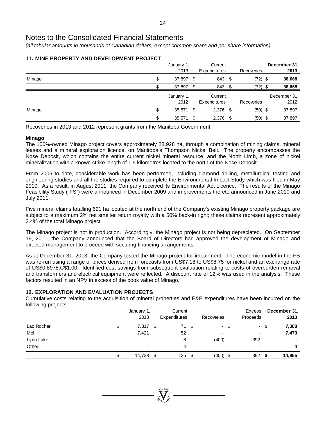*(all tabular amounts in thousands of Canadian dollars, except common share and per share information)*

#### **11. MINE PROPERTY AND DEVELOPMENT PROJECT**

|        | January 1,      |     | Current      |            | December 31, |
|--------|-----------------|-----|--------------|------------|--------------|
|        | 2013            |     | Expenditures | Recoveries | 2013         |
| Minago | \$<br>37,897 \$ |     | 843 \$       | $(72)$ \$  | 38,668       |
|        | 37,897          | S   | 843 \$       | (72) \$    | 38,668       |
|        | January 1,      |     | Current      |            | December 31, |
|        | 2012            |     | Expenditures | Recoveries | 2012         |
| Minago | \$<br>35,571 \$ |     | $2,376$ \$   | $(50)$ \$  | 37,897       |
|        | 35,571          | \$. | $2,376$ \$   | $(50)$ \$  | 37,897       |

Recoveries in 2013 and 2012 represent grants from the Manitoba Government.

#### **Minago**

The 100%-owned Minago project covers approximately 28,928 ha, through a combination of mining claims, mineral leases and a mineral exploration licence, on Manitoba's Thompson Nickel Belt. The property encompasses the Nose Deposit, which contains the entire current nickel mineral resource, and the North Limb, a zone of nickel mineralization with a known strike length of 1.5 kilometres located to the north of the Nose Deposit.

From 2006 to date, considerable work has been performed, including diamond drilling, metallurgical testing and engineering studies and all the studies required to complete the Environmental Impact Study which was filed in May 2010. As a result, in August 2011, the Company received its Environmental Act Licence. The results of the Minago Feasibility Study ("FS") were announced in December 2009 and improvements thereto announced in June 2010 and July 2011.

Five mineral claims totalling 691 ha located at the north end of the Company's existing Minago property package are subject to a maximum 2% net smelter return royalty with a 50% back-in right; these claims represent approximately 2.4% of the total Minago project.

The Minago project is not in production. Accordingly, the Minago project is not being depreciated. On September 19, 2011, the Company announced that the Board of Directors had approved the development of Minago and directed management to proceed with securing financing arrangements.

As at December 31, 2013, the Company tested the Minago project for impairment. The economic model in the FS was re-run using a range of prices derived from forecasts from US\$7.18 to US\$8.75 for nickel and an exchange rate of US\$0.8978:C\$1.00. Identified cost savings from subsequent evaluation relating to costs of overburden removal and transformers and electrical equipment were reflected. A discount rate of 12% was used in the analysis. These factors resulted in an NPV in excess of the book value of Minago.

#### **12. EXPLORATION AND EVALUATION PROJECTS**

Cumulative costs relating to the acquisition of mineral properties and E&E expenditures have been incurred on the following projects:

|            | January 1,               |      | Current      |      |                          |      | Excess                   |   | December 31,   |
|------------|--------------------------|------|--------------|------|--------------------------|------|--------------------------|---|----------------|
|            | 2013                     |      | Expenditures |      | Recoveries               |      | Proceeds                 |   | 2013           |
| Lac Rocher | \$<br>7,317              | - \$ | 71           | - \$ | ۰                        | - \$ | ٠                        | ъ | 7,388          |
| Mel        | 7,421                    |      | 52           |      | -                        |      | $\overline{\phantom{a}}$ |   | 7,473          |
| Lynn Lake  | ٠                        |      | 8            |      | (400)                    |      | 392                      |   | $\blacksquare$ |
| Other      | $\overline{\phantom{a}}$ |      | 4            |      | $\overline{\phantom{0}}$ |      | $\overline{\phantom{0}}$ |   | 4              |
|            | 14,738                   | \$   | 135          |      | (400)                    | \$   | 392                      |   | 14,865         |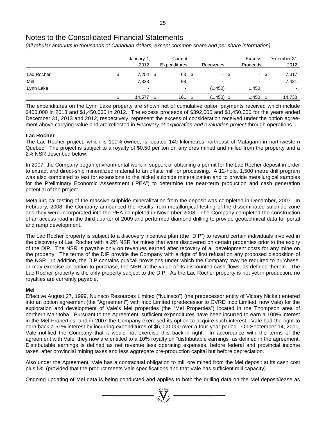*(all tabular amounts in thousands of Canadian dollars, except common share and per share information)*

|            | January 1,<br>2012       |     | Current<br><b>Expenditures</b> |    | Recoveries               |      | <b>Excess</b><br>Proceeds |      | December 31,<br>2012 |
|------------|--------------------------|-----|--------------------------------|----|--------------------------|------|---------------------------|------|----------------------|
| Lac Rocher | \$<br>7,254              | \$. | 63                             | S  | $\overline{\phantom{a}}$ | - \$ | $\sim$                    | - \$ | 7,317                |
| Mel        | 7,323                    |     | 98                             |    | $\overline{\phantom{a}}$ |      | ٠                         |      | 7,421                |
| Lynn Lake  | $\overline{\phantom{a}}$ |     | $\overline{\phantom{a}}$       |    | (1,450)                  |      | 1,450                     |      |                      |
|            | 14,577                   |     | 161                            | \$ | (1, 450)                 | \$   | 1,450                     | S    | 14,738               |

The expenditures on the Lynn Lake property are shown net of cumulative option payments received which include \$400,000 in 2013 and \$1,450,000 in 2012. The excess proceeds of \$392,000 and \$1,450,000 for the years ended December 31, 2013 and 2012, respectively, represent the excess of consideration received under the option agreement above carrying value and are reflected in *Recovery of exploration and evaluation project* through operations.

#### **Lac Rocher**

The Lac Rocher project, which is 100%-owned, is located 140 kilometres northeast of Matagami in northwestern Québec. The project is subject to a royalty of \$0.50 per ton on any ores mined and milled from the property and a 2% NSR described below.

In 2007, the Company began environmental work in support of obtaining a permit for the Lac Rocher deposit in order to extract and direct-ship mineralized material to an offsite mill for processing. A 12-hole, 1,500 metre drill program was also completed to test for extensions to the nickel sulphide mineralization and to provide metallurgical samples for the Preliminary Economic Assessment ("PEA") to determine the near-term production and cash generation potential of the project.

Metallurgical testing of the massive sulphide mineralization from the deposit was completed in December, 2007. In February, 2008, the Company announced the results from metallurgical testing of the disseminated sulphide zone and they were incorporated into the PEA completed in November 2008. The Company completed the construction of an access road in the third quarter of 2009 and performed diamond drilling to provide geotechnical data for portal and ramp development.

The Lac Rocher property is subject to a discovery incentive plan (the "DIP") to reward certain individuals involved in the discovery of Lac Rocher with a 2% NSR for mines that were discovered on certain properties prior to the expiry of the DIP. The NSR is payable only on revenues earned after recovery of all development costs for any mine on the property. The terms of the DIP provide the Company with a right of first refusal on any proposed disposition of the NSR. In addition, the DIP contains put/call provisions under which the Company may be required to purchase, or may exercise an option to purchase, the NSR at the value of its discounted cash flows, as defined therein. The Lac Rocher property is the only property subject to the DIP. As the Lac Rocher property is not yet in production, no royalties are currently payable.

#### **Mel**

Effective August 27, 1999, Nuinsco Resources Limited ("Nuinsco") (the predecessor entity of Victory Nickel) entered into an option agreement (the "Agreement") with Inco Limited (predecessor to CVRD Inco Limited, now Vale) for the exploration and development of Vale's Mel properties (the "Mel Properties") located in the Thompson area of northern Manitoba. Pursuant to the Agreement, sufficient expenditures have been incurred to earn a 100% interest in the Mel Properties, and in 2007 the Company exercised its option to acquire such interest. Vale had the right to earn back a 51% interest by incurring expenditures of \$6,000,000 over a four-year period. On September 14, 2010, Vale notified the Company that it would not exercise this back-in right. In accordance with the terms of the agreement with Vale, they now are entitled to a 10% royalty on "distributable earnings" as defined in the agreement. Distributable earnings is defined as net revenue less operating expenses, before federal and provincial income taxes, after provincial mining taxes and less aggregate pre-production capital but before depreciation.

Also under the Agreement, Vale has a contractual obligation to mill ore mined from the Mel deposit at its cash cost plus 5% (provided that the product meets Vale specifications and that Vale has sufficient mill capacity).

Ongoing updating of Mel data is being conducted and applies to both the drilling data on the Mel deposit/lease as

 $\sum_{n=1}^{\infty} \sum_{k=1}^{\infty}$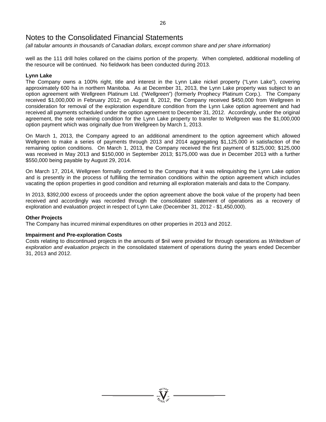*(all tabular amounts in thousands of Canadian dollars, except common share and per share information)*

well as the 111 drill holes collared on the claims portion of the property. When completed, additional modelling of the resource will be continued. No fieldwork has been conducted during 2013.

#### **Lynn Lake**

The Company owns a 100% right, title and interest in the Lynn Lake nickel property ("Lynn Lake"), covering approximately 600 ha in northern Manitoba. As at December 31, 2013, the Lynn Lake property was subject to an option agreement with Wellgreen Platinum Ltd. ("Wellgreen") (formerly Prophecy Platinum Corp.). The Company received \$1,000,000 in February 2012; on August 8, 2012, the Company received \$450,000 from Wellgreen in consideration for removal of the exploration expenditure condition from the Lynn Lake option agreement and had received all payments scheduled under the option agreement to December 31, 2012. Accordingly, under the original agreement, the sole remaining condition for the Lynn Lake property to transfer to Wellgreen was the \$1,000,000 option payment which was originally due from Wellgreen by March 1, 2013.

On March 1, 2013, the Company agreed to an additional amendment to the option agreement which allowed Wellgreen to make a series of payments through 2013 and 2014 aggregating \$1,125,000 in satisfaction of the remaining option conditions. On March 1, 2013, the Company received the first payment of \$125,000; \$125,000 was received in May 2013 and \$150,000 in September 2013; \$175,000 was due in December 2013 with a further \$550,000 being payable by August 29, 2014.

On March 17, 2014, Wellgreen formally confirmed to the Company that it was relinquishing the Lynn Lake option and is presently in the process of fulfilling the termination conditions within the option agreement which includes vacating the option properties in good condition and returning all exploration materials and data to the Company.

In 2013, \$392,000 excess of proceeds under the option agreement above the book value of the property had been received and accordingly was recorded through the consolidated statement of operations as a recovery of exploration and evaluation project in respect of Lynn Lake (December 31, 2012 - \$1,450,000).

#### **Other Projects**

The Company has incurred minimal expenditures on other properties in 2013 and 2012.

#### **Impairment and Pre-exploration Costs**

Costs relating to discontinued projects in the amounts of \$nil were provided for through operations as *Writedown of exploration and evaluation projects* in the consolidated statement of operations during the years ended December 31, 2013 and 2012.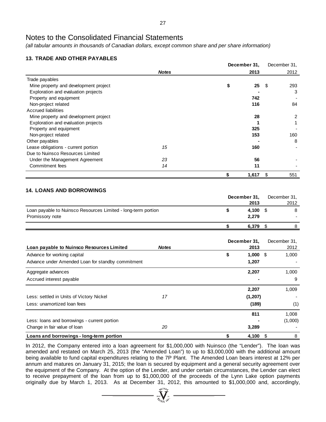*(all tabular amounts in thousands of Canadian dollars, except common share and per share information)*

#### **13. TRADE AND OTHER PAYABLES**

|                                       |              | December 31, |      | December 31, |  |
|---------------------------------------|--------------|--------------|------|--------------|--|
|                                       | <b>Notes</b> |              | 2013 | 2012         |  |
| Trade payables                        |              |              |      |              |  |
| Mine property and development project |              | \$           | 25   | -\$<br>293   |  |
| Exploration and evaluation projects   |              |              |      | 3            |  |
| Property and equipment                |              |              | 742  |              |  |
| Non-project related                   |              |              | 116  | 84           |  |
| <b>Accrued liabilities</b>            |              |              |      |              |  |
| Mine property and development project |              |              | 28   | 2            |  |
| Exploration and evaluation projects   |              |              |      |              |  |
| Property and equipment                |              |              | 325  |              |  |
| Non-project related                   |              |              | 153  | 160          |  |
| Other payables                        |              |              |      | 8            |  |
| Lease obligations - current portion   | 15           |              | 160  |              |  |
| Due to Nuinsco Resources Limited      |              |              |      |              |  |
| Under the Management Agreement        | 23           |              | 56   |              |  |
| Commitment fees                       | 14           |              | 11   |              |  |
|                                       |              | 1,617<br>\$  |      | \$<br>551    |  |

#### **14. LOANS AND BORROWINGS**

|                                                               | December 31, |       | December 31, |  |
|---------------------------------------------------------------|--------------|-------|--------------|--|
|                                                               |              | 2013  | 2012         |  |
| Loan payable to Nuinsco Resources Limited - long-term portion |              | 4.100 | 8            |  |
| Promissory note                                               |              | 2,279 |              |  |
|                                                               |              | 6.379 |              |  |

|                                                   |              | December 31, | December 31, |      |         |
|---------------------------------------------------|--------------|--------------|--------------|------|---------|
| Loan payable to Nuinsco Resources Limited         | <b>Notes</b> |              | 2013         |      | 2012    |
| Advance for working capital                       |              | \$           | 1,000        | - \$ | 1,000   |
| Advance under Amended Loan for standby commitment |              |              | 1,207        |      |         |
| Aggregate advances                                |              |              | 2,207        |      | 1,000   |
| Accrued interest payable                          |              |              |              |      | 9       |
|                                                   |              |              | 2,207        |      | 1,009   |
| Less: settled in Units of Victory Nickel          | 17           |              | (1, 207)     |      |         |
| Less: unamortized loan fees                       |              |              | (189)        |      | (1)     |
|                                                   |              |              | 811          |      | 1.008   |
| Less: loans and borrowings - current portion      |              |              |              |      | (1,000) |
| Change in fair value of loan                      | 20           |              | 3,289        |      |         |
| Loans and borrowings - long-term portion          |              | S            | 4,100        | S    | 8       |

In 2012, the Company entered into a loan agreement for \$1,000,000 with Nuinsco (the "Lender"). The loan was amended and restated on March 25, 2013 (the "Amended Loan") to up to \$3,000,000 with the additional amount being available to fund capital expenditures relating to the 7P Plant. The Amended Loan bears interest at 12% per annum and matures on January 31, 2015; the loan is secured by equipment and a general security agreement over the equipment of the Company. At the option of the Lender, and under certain circumstances, the Lender can elect to receive prepayment of the loan from up to \$1,000,000 of the proceeds of the Lynn Lake option payments originally due by March 1, 2013. As at December 31, 2012, this amounted to \$1,000,000 and, accordingly,

> $ACIOB$  $\sum_{\mathcal{D}_{f}}$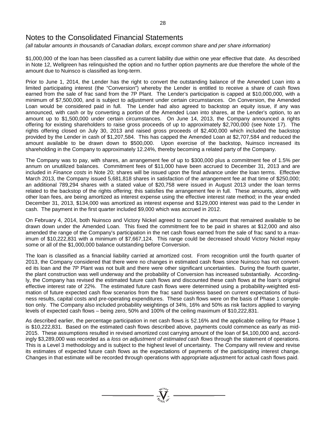*(all tabular amounts in thousands of Canadian dollars, except common share and per share information)*

\$1,000,000 of the loan has been classified as a current liability due within one year effective that date. As described in Note 12, Wellgreen has relinquished the option and no further option payments are due therefore the whole of the amount due to Nuinsco is classified as long-term.

Prior to June 1, 2014, the Lender has the right to convert the outstanding balance of the Amended Loan into a limited participating interest (the "Conversion") whereby the Lender is entitled to receive a share of cash flows earned from the sale of frac sand from the 7P Plant. The Lender's participation is capped at \$10,000,000, with a minimum of \$7,500,000, and is subject to adjustment under certain circumstances. On Conversion, the Amended Loan would be considered paid in full. The Lender had also agreed to backstop an equity issue, if any was announced, with cash or by converting a portion of the Amended Loan into shares, at the Lender's option, to an amount up to \$1,500,000 under certain circumstances. On June 14, 2013, the Company announced a rights offering for existing shareholders to raise gross proceeds of up to approximately \$2,700,000 (see Note 17). The rights offering closed on July 30, 2013 and raised gross proceeds of \$2,400,000 which included the backstop provided by the Lender in cash of \$1,207,584. This has capped the Amended Loan at \$2,707,584 and reduced the amount available to be drawn down to \$500,000. Upon exercise of the backstop, Nuinsco increased its shareholding in the Company to approximately 12.24%, thereby becoming a related party of the Company.

The Company was to pay, with shares, an arrangement fee of up to \$300,000 plus a commitment fee of 1.5% per annum on unutilized balances. Commitment fees of \$11,000 have been accrued to December 31, 2013 and are included in *Finance costs* in Note 20; shares will be issued upon the final advance under the loan terms. Effective March 2013, the Company issued 5,681,818 shares in satisfaction of the arrangement fee at that time of \$250,000; an additional 789,294 shares with a stated value of \$20,758 were issued in August 2013 under the loan terms related to the backstop of the rights offering; this satisfies the arrangement fee in full. These amounts, along with other loan fees, are being amortized as interest expense using the effective interest rate method; in the year ended December 31, 2013, \$134,000 was amortized as interest expense and \$129,000 interest was paid to the Lender in cash. The payment in the first quarter included \$9,000 which was accrued in 2012.

On February 4, 2014, both Nuinsco and Victory Nickel agreed to cancel the amount that remained available to be drawn down under the Amended Loan. This fixed the commitment fee to be paid in shares at \$12,000 and also amended the range of the Company's participation in the net cash flows earned from the sale of frac sand to a maximum of \$10,222,831 with a minimum of \$7,667,124. This range could be decreased should Victory Nickel repay some or all of the \$1,000,000 balance outstanding before Conversion.

The loan is classified as a financial liability carried at amortized cost. From recognition until the fourth quarter of 2013, the Company considered that there were no changes in estimated cash flows since Nuinsco has not converted its loan and the 7P Plant was not built and there were other significant uncertainties. During the fourth quarter, the plant construction was well underway and the probability of Conversion has increased substantially. Accordingly, the Company has revised the estimated future cash flows and discounted these cash flows at the loan's original effective interest rate of 22%. The estimated future cash flows were determined using a probability-weighted estimation of future expected cash flow scenarios from the frac sand business based on current expectations of business results, capital costs and pre-operating expenditures. These cash flows were on the basis of Phase 1 completion only. The Company also included probability weightings of 34%, 16% and 50% as risk factors applied to varying levels of expected cash flows – being zero, 50% and 100% of the ceiling maximum of \$10,222,831.

As described earlier, the percentage participation in net cash flows is 52.16% and the applicable ceiling for Phase 1 is \$10,222,831. Based on the estimated cash flows described above, payments could commence as early as mid-2015. These assumptions resulted in revised amortized cost carrying amount of the loan of \$4,100,000 and, accordingly \$3,289,000 was recorded as a *loss on adjustment of estimated cash flows* through the statement of operations. This is a Level 3 methodology and is subject to the highest level of uncertainty. The Company will review and revise its estimates of expected future cash flows as the expectations of payments of the participating interest change. Changes in that estimate will be recorded through operations with appropriate adjustment for actual cash flows paid.

**WEIGAL**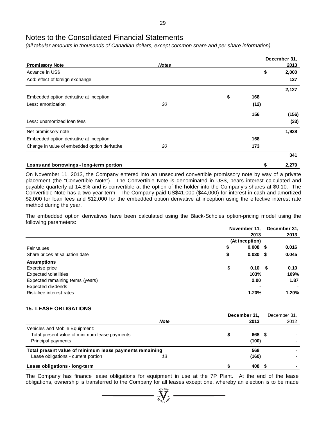*(all tabular amounts in thousands of Canadian dollars, except common share and per share information)*

|                                               |              |           | December 31, |
|-----------------------------------------------|--------------|-----------|--------------|
| <b>Promissory Note</b>                        | <b>Notes</b> |           | 2013         |
| Advance in US\$                               |              | \$        | 2,000        |
| Add: effect of foreign exchange               |              |           | 127          |
|                                               |              |           | 2,127        |
| Embedded option derivative at inception       |              | \$<br>168 |              |
| Less: amortization                            | 20           | (12)      |              |
|                                               |              | 156       | (156)        |
| Less: unamortized loan fees                   |              |           | (33)         |
| Net promissory note                           |              |           | 1,938        |
| Embedded option derivative at inception       |              | 168       |              |
| Change in value of embedded option derivative | 20           | 173       |              |
|                                               |              |           | 341          |
| Loans and borrowings - long-term portion      |              | \$        | 2,279        |

On November 11, 2013, the Company entered into an unsecured convertible promissory note by way of a private placement (the "Convertible Note"). The Convertible Note is denominated in US\$, bears interest calculated and payable quarterly at 14.8% and is convertible at the option of the holder into the Company's shares at \$0.10. The Convertible Note has a two-year term. The Company paid US\$41,000 (\$44,000) for interest in cash and amortized \$2,000 for loan fees and \$12,000 for the embedded option derivative at inception using the effective interest rate method during the year.

The embedded option derivatives have been calculated using the Black-Scholes option-pricing model using the following parameters:

|                                  | November 11, |                |      | December 31, |
|----------------------------------|--------------|----------------|------|--------------|
|                                  |              | 2013           |      | 2013         |
|                                  |              | (At inception) |      |              |
| Fair values                      | \$           | $0.008$ \$     |      | 0.016        |
| Share prices at valuation date   | \$           | $0.030$ \$     |      | 0.045        |
| <b>Assumptions</b>               |              |                |      |              |
| Exercise price                   | \$           | 0.10           | - \$ | 0.10         |
| Expected volatilities            |              | 103%           |      | 109%         |
| Expected remaining terms (years) |              | 2.00           |      | 1.87         |
| <b>Expected dividends</b>        |              |                |      |              |
| Risk-free interest rates         |              | 1.20%          |      | 1.20%        |

#### **15. LEASE OBLIGATIONS**

|                                                         |             | December 31, |       | December 31. |
|---------------------------------------------------------|-------------|--------------|-------|--------------|
|                                                         | <b>Note</b> |              | 2013  | 2012         |
| Vehicles and Mobile Equipment:                          |             |              |       |              |
| Total present value of minimum lease payments           |             |              | 668   |              |
| Principal payments                                      |             |              | (100) |              |
| Total present value of minimum lease payments remaining |             |              | 568   |              |
| Lease obligations - current portion                     | 13          |              | (160) |              |
| Lease obligations - long-term                           |             |              | 408   |              |

The Company has finance lease obligations for equipment in use at the 7P Plant. At the end of the lease obligations, ownership is transferred to the Company for all leases except one, whereby an election is to be made<br>  $\frac{N_{\text{tot}}^{(\text{10})}N_{\text{tot}}^{(\text{10})}}{N_{\text{tot}}^{(\text{10})}N_{\text{tot}}^{(\text{10})}}$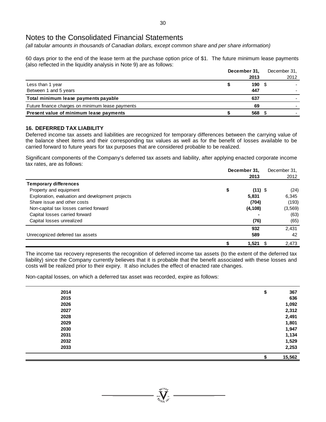*(all tabular amounts in thousands of Canadian dollars, except common share and per share information)*

60 days prior to the end of the lease term at the purchase option price of \$1. The future minimum lease payments (also reflected in the liquidity analysis in Note 9) are as follows:

|                                                  | December 31, |      |  | December 31. |
|--------------------------------------------------|--------------|------|--|--------------|
|                                                  |              | 2013 |  | 2012         |
| Less than 1 year                                 |              | 190  |  |              |
| Between 1 and 5 years                            |              | 447  |  |              |
| Total minimum lease payments payable             |              | 637  |  |              |
| Future finance charges on minimum lease payments |              | 69   |  |              |
| Present value of minimum lease payments          |              | 568  |  |              |

#### **16. DEFERRED TAX LIABILITY**

Deferred income tax assets and liabilities are recognized for temporary differences between the carrying value of the balance sheet items and their corresponding tax values as well as for the benefit of losses available to be carried forward to future years for tax purposes that are considered probable to be realized.

Significant components of the Company's deferred tax assets and liability, after applying enacted corporate income tax rates, are as follows:

|                                                  | December 31, | December 31. |              |
|--------------------------------------------------|--------------|--------------|--------------|
|                                                  |              | 2013         | 2012         |
| <b>Temporary differences</b>                     |              |              |              |
| Property and equipment                           | \$           | $(11)$ \$    | (24)         |
| Exploration, evaluation and development projects |              | 5,831        | 6,345        |
| Share issue and other costs                      |              | (704)        | (193)        |
| Non-capital tax losses carried forward           |              | (4, 108)     | (3, 569)     |
| Capital losses carried forward                   |              |              | (63)         |
| Capital losses unrealized                        |              | (76)         | (65)         |
|                                                  |              | 932          | 2,431        |
| Unrecognized deferred tax assets                 |              | 589          | 42           |
|                                                  |              | 1,521        | 2,473<br>\$. |

The income tax recovery represents the recognition of deferred income tax assets (to the extent of the deferred tax liability) since the Company currently believes that it is probable that the benefit associated with these losses and costs will be realized prior to their expiry. It also includes the effect of enacted rate changes.

Non-capital losses, on which a deferred tax asset was recorded, expire as follows:

| 2014 | \$ | 367    |
|------|----|--------|
| 2015 |    | 636    |
| 2026 |    | 1,092  |
| 2027 |    | 2,312  |
| 2028 |    | 2,491  |
| 2029 |    | 1,801  |
| 2030 |    | 1,947  |
| 2031 |    | 1,134  |
| 2032 |    | 1,529  |
| 2033 |    | 2,253  |
|      | э  | 15,562 |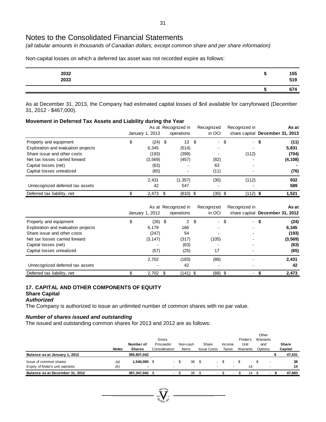*(all tabular amounts in thousands of Canadian dollars, except common share and per share information)*

Non-capital losses on which a deferred tax asset was not recorded expire as follows:

| 2032<br>2033 | 155<br>519 |
|--------------|------------|
|              | 674        |

As at December 31, 2013, the Company had estimated capital losses of \$nil available for carryforward (December 31, 2012 - \$467,000).

#### **Movement in Deferred Tax Assets and Liability during the Year**

|                                     | January 1, 2013 | As at Recognized in<br>operations |     | Recognized<br>in OCI | Recognized in    | As at<br>share capital December 31, 2013 |
|-------------------------------------|-----------------|-----------------------------------|-----|----------------------|------------------|------------------------------------------|
| Property and equipment              | \$<br>$(24)$ \$ | 13                                | -\$ | - \$                 | $\sim$           | (11)                                     |
| Exploration and evaluation projects | 6.345           | (514)                             |     |                      |                  | 5,831                                    |
| Share issue and other costs         | (193)           | (399)                             |     |                      | (112)            | (704)                                    |
| Net tax losses carried forward      | (3, 569)        | (457)                             |     | (82)                 |                  | (4, 108)                                 |
| Capital losses (net)                | (63)            | $\overline{\phantom{0}}$          |     | 63                   |                  |                                          |
| Capital losses unrealized           | (65)            | $\overline{\phantom{0}}$          |     | (11)                 |                  | (76)                                     |
|                                     | 2,431           | (1, 357)                          |     | (30)                 | (112)            | 932                                      |
| Unrecognized deferred tax assets    | 42              | 547                               |     |                      |                  | 589                                      |
| Deferred tax liability, net         | $2,473$ \$      | $(810)$ \$                        |     | (30)                 | (112) \$<br>- \$ | 1,521                                    |

|                                     | January 1, 2012 | As at Recognized in<br>operations | Recognized<br>in OCI | Recognized in        | As at<br>share capital December 31, 2012 |
|-------------------------------------|-----------------|-----------------------------------|----------------------|----------------------|------------------------------------------|
| Property and equipment              | \$<br>$(26)$ \$ | $\overline{2}$                    | \$<br>$\sim$         | \$<br>$\blacksquare$ | (24)                                     |
| Exploration and evaluation projects | 6.179           | 166                               |                      |                      | 6,345                                    |
| Share issue and other costs         | (247)           | 54                                |                      |                      | (193)                                    |
| Net tax losses carried forward      | (3, 147)        | (317)                             | (105)                |                      | (3, 569)                                 |
| Capital losses (net)                |                 | (63)                              |                      |                      | (63)                                     |
| Capital losses unrealized           | (57)            | (25)                              | 17                   |                      | (65)                                     |
|                                     | 2,702           | (183)                             | (88)                 |                      | 2,431                                    |
| Unrecognized deferred tax assets    |                 | 42                                |                      |                      | 42                                       |
| Deferred tax liability, net         | $2,702$ \$      | $(141)$ \$                        | (88)                 |                      | 2,473                                    |

### **17. CAPITAL AND OTHER COMPONENTS OF EQUITY**

#### **Share Capital**

#### *Authorized*

The Company is authorized to issue an unlimited number of common shares with no par value.

#### *Number of shares issued and outstanding*

The issued and outstanding common shares for 2013 and 2012 are as follows:

|                                                            | <b>Notes</b> | Number of<br><b>Shares</b>     | Gross<br>Proceeds/<br>Consideration | Non-cash<br>Items | Share<br><b>Issue Costs</b>           | Income<br>Taxes                  | Finder's<br>Unit<br>Warrants | Other<br>Warrants<br>and<br>Options | <b>Share</b><br>Capital |
|------------------------------------------------------------|--------------|--------------------------------|-------------------------------------|-------------------|---------------------------------------|----------------------------------|------------------------------|-------------------------------------|-------------------------|
| Balance as at January 1, 2012                              |              | 395,807,042                    |                                     |                   |                                       |                                  |                              |                                     | 47,631                  |
| Issue of common shares<br>Expiry of finder's unit warrants | (a)<br>(b)   | 1,540,000 \$<br>$\blacksquare$ | ۰                                   | 38<br>- \$        | -\$<br>۰.<br>$\overline{\phantom{a}}$ | $\overline{\phantom{a}}$<br>$\,$ | $\sim$<br>14                 | $\overline{\phantom{a}}$            | 38<br>14                |
| Balance as at December 31, 2012                            |              | 397.347.042 \$                 | $\sim$                              | 38                |                                       |                                  | 14                           |                                     | 47,683                  |

**WEIGHT** NI

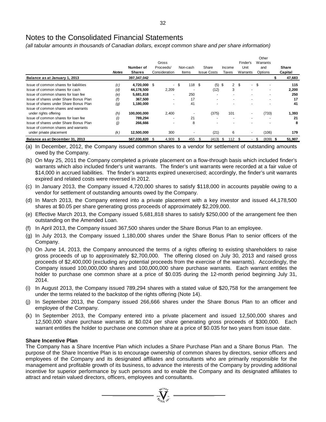*(all tabular amounts in thousands of Canadian dollars, except common share and per share information)*

|                                        |              |               |   |               |      |          |     |                    |      |                |     |          |      | Other    |    |         |
|----------------------------------------|--------------|---------------|---|---------------|------|----------|-----|--------------------|------|----------------|-----|----------|------|----------|----|---------|
|                                        |              |               |   | Gross         |      |          |     |                    |      |                |     | Finder's |      | Warrants |    |         |
|                                        |              | Number of     |   | Proceeds/     |      | Non-cash |     | Share              |      | Income         |     | Unit     |      | and      |    | Share   |
|                                        | <b>Notes</b> | <b>Shares</b> |   | Consideration |      | Items    |     | <b>Issue Costs</b> |      | Taxes          |     | Warrants |      | Options  |    | Capital |
| Balance as at January 1, 2013          |              | 397,347,042   |   |               |      |          |     |                    |      |                |     |          |      |          |    | 47,683  |
| Issue of common shares for liabilities | (c)          | 4,720,000 \$  |   |               | - \$ | 118S     |     | $(5)$ \$           |      | 2 <sup>5</sup> |     |          | - \$ |          |    | 115     |
| Issue of common shares for cash        | (d)          | 44,178,500    |   | 2,209         |      |          |     | (12)               |      | 3              |     |          |      |          |    | 2,200   |
| Issue of common shares for loan fee    | (e)          | 5,681,818     |   | ٠             |      | 250      |     |                    |      |                |     |          |      |          |    | 250     |
| Issue of shares under Share Bonus Plan | (f)          | 367,500       |   | $\sim$        |      | 17       |     | ۰                  |      |                |     |          |      |          |    | 17      |
| Issue of shares under Share Bonus Plan | (g)          | 1,180,000     |   | ۰             |      | 41       |     | ۰                  |      |                |     |          |      |          |    | 41      |
| Issue of common shares and warrants    |              |               |   |               |      |          |     |                    |      |                |     |          |      |          |    |         |
| under rights offering                  | (h)          | 100,000,000   |   | 2,400         |      |          |     | (375)              |      | 101            |     |          |      | (733)    |    | 1,393   |
| Issue of common shares for loan fee    | (i)          | 789,294       |   | ٠             |      | 21       |     |                    |      |                |     |          |      |          |    | 21      |
| Issue of shares under Share Bonus Plan | (j)          | 266,666       |   | ٠             |      | 8        |     |                    |      |                |     |          |      |          |    | 8       |
| Issue of common shares and warrants    |              |               |   |               |      |          |     |                    |      |                |     |          |      |          |    |         |
| under private placement                | (k)          | 12,500,000    |   | 300           |      |          |     | (21)               |      | 6              |     | ۰        |      | (106)    |    | 179     |
| Balance as at December 31, 2013        |              | 567,030,820   | S | 4,909         | \$.  | 455      | \$. | (413)              | - \$ | 112            | \$. |          | S    | (839)    | 55 | 51,907  |

(a) In December, 2012, the Company issued common shares to a vendor for settlement of outstanding amounts owed by the Company.

(b) On May 25, 2011 the Company completed a private placement on a flow-through basis which included finder's warrants which also included finder's unit warrants. The finder's unit warrants were recorded at a fair value of \$14,000 in accrued liabilities. The finder's warrants expired unexercised; accordingly, the finder's unit warrants expired and related costs were reversed in 2012.

- (c) In January 2013, the Company issued 4,720,000 shares to satisfy \$118,000 in accounts payable owing to a vendor for settlement of outstanding amounts owed by the Company.
- (d) In March 2013, the Company entered into a private placement with a key investor and issued 44,178,500 shares at \$0.05 per share generating gross proceeds of approximately \$2,209,000.
- (e) Effective March 2013, the Company issued 5,681,818 shares to satisfy \$250,000 of the arrangement fee then outstanding on the Amended Loan.
- (f) In April 2013, the Company issued 367,500 shares under the Share Bonus Plan to an employee.
- (g) In July 2013, the Company issued 1,180,000 shares under the Share Bonus Plan to senior officers of the Company.
- (h) On June 14, 2013, the Company announced the terms of a rights offering to existing shareholders to raise gross proceeds of up to approximately \$2,700,000. The offering closed on July 30, 2013 and raised gross proceeds of \$2,400,000 (excluding any potential proceeds from the exercise of the warrants). Accordingly, the Company issued 100,000,000 shares and 100,000,000 share purchase warrants. Each warrant entitles the holder to purchase one common share at a price of \$0.035 during the 12-month period beginning July 31, 2014.
- (i) In August 2013, the Company issued 789,294 shares with a stated value of \$20,758 for the arrangement fee under the terms related to the backstop of the rights offering (Note 14).
- (j) In September 2013, the Company issued 266,666 shares under the Share Bonus Plan to an officer and employee of the Company.
- (k) In September 2013, the Company entered into a private placement and issued 12,500,000 shares and 12,500,000 share purchase warrants at \$0.024 per share generating gross proceeds of \$300,000. Each warrant entitles the holder to purchase one common share at a price of \$0.035 for two years from issue date.

#### **Share Incentive Plan**

The Company has a Share Incentive Plan which includes a Share Purchase Plan and a Share Bonus Plan. The purpose of the Share Incentive Plan is to encourage ownership of common shares by directors, senior officers and employees of the Company and its designated affiliates and consultants who are primarily responsible for the management and profitable growth of its business, to advance the interests of the Company by providing additional incentive for superior performance by such persons and to enable the Company and its designated affiliates to attract and retain valued directors, officers, employees and consultants.

 $\sum_{1007}$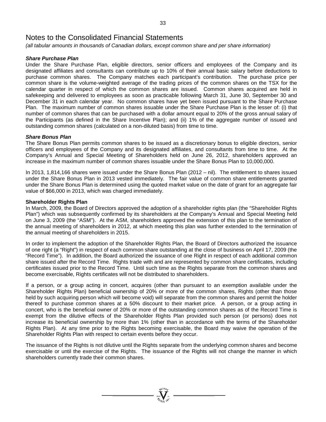*(all tabular amounts in thousands of Canadian dollars, except common share and per share information)*

#### *Share Purchase Plan*

Under the Share Purchase Plan, eligible directors, senior officers and employees of the Company and its designated affiliates and consultants can contribute up to 10% of their annual basic salary before deductions to purchase common shares. The Company matches each participant's contribution. The purchase price per common share is the volume-weighted average of the trading prices of the common shares on the TSX for the calendar quarter in respect of which the common shares are issued. Common shares acquired are held in safekeeping and delivered to employees as soon as practicable following March 31, June 30, September 30 and December 31 in each calendar year. No common shares have yet been issued pursuant to the Share Purchase Plan. The maximum number of common shares issuable under the Share Purchase Plan is the lesser of: (i) that number of common shares that can be purchased with a dollar amount equal to 20% of the gross annual salary of the Participants (as defined in the Share Incentive Plan); and (ii) 1% of the aggregate number of issued and outstanding common shares (calculated on a non-diluted basis) from time to time.

#### *Share Bonus Plan*

The Share Bonus Plan permits common shares to be issued as a discretionary bonus to eligible directors, senior officers and employees of the Company and its designated affiliates, and consultants from time to time. At the Company's Annual and Special Meeting of Shareholders held on June 26, 2012, shareholders approved an increase in the maximum number of common shares issuable under the Share Bonus Plan to 10,000,000.

In 2013, 1,814,166 shares were issued under the Share Bonus Plan (2012 – nil). The entitlement to shares issued under the Share Bonus Plan in 2013 vested immediately. The fair value of common share entitlements granted under the Share Bonus Plan is determined using the quoted market value on the date of grant for an aggregate fair value of \$66,000 in 2013, which was charged immediately.

#### **Shareholder Rights Plan**

In March, 2009, the Board of Directors approved the adoption of a shareholder rights plan (the "Shareholder Rights Plan") which was subsequently confirmed by its shareholders at the Company's Annual and Special Meeting held on June 3, 2009 (the "ASM"). At the ASM, shareholders approved the extension of this plan to the termination of the annual meeting of shareholders in 2012, at which meeting this plan was further extended to the termination of the annual meeting of shareholders in 2015.

In order to implement the adoption of the Shareholder Rights Plan, the Board of Directors authorized the issuance of one right (a "Right") in respect of each common share outstanding at the close of business on April 17, 2009 (the "Record Time"). In addition, the Board authorized the issuance of one Right in respect of each additional common share issued after the Record Time. Rights trade with and are represented by common share certificates, including certificates issued prior to the Record Time. Until such time as the Rights separate from the common shares and become exercisable, Rights certificates will not be distributed to shareholders.

If a person, or a group acting in concert, acquires (other than pursuant to an exemption available under the Shareholder Rights Plan) beneficial ownership of 20% or more of the common shares, Rights (other than those held by such acquiring person which will become void) will separate from the common shares and permit the holder thereof to purchase common shares at a 50% discount to their market price. A person, or a group acting in concert, who is the beneficial owner of 20% or more of the outstanding common shares as of the Record Time is exempt from the dilutive effects of the Shareholder Rights Plan provided such person (or persons) does not increase its beneficial ownership by more than 1% (other than in accordance with the terms of the Shareholder Rights Plan). At any time prior to the Rights becoming exercisable, the Board may waive the operation of the Shareholder Rights Plan with respect to certain events before they occur.

The issuance of the Rights is not dilutive until the Rights separate from the underlying common shares and become exercisable or until the exercise of the Rights. The issuance of the Rights will not change the manner in which shareholders currently trade their common shares.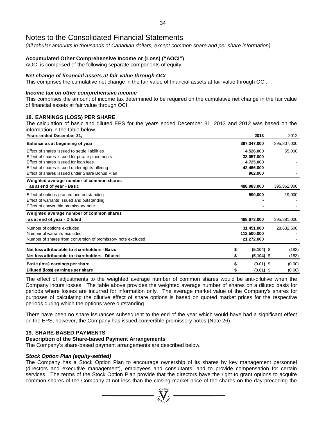*(all tabular amounts in thousands of Canadian dollars, except common share and per share information)*

#### **Accumulated Other Comprehensive Income or (Loss) ("AOCI")**

AOCI is comprised of the following separate components of equity:

#### *Net change of financial assets at fair value through OCI*

This comprises the cumulative net change in the fair value of financial assets at fair value through OCI.

#### *Income tax on other comprehensive income*

This comprises the amount of income tax determined to be required on the cumulative net change in the fair value of financial assets at fair value through OCI.

#### **18. EARNINGS (LOSS) PER SHARE**

The calculation of basic and diluted EPS for the years ended December 31, 2013 and 2012 was based on the information in the table below.

| <b>Years ended December 31.</b>                                                                                                                                                           | 2013                                               | 2012             |
|-------------------------------------------------------------------------------------------------------------------------------------------------------------------------------------------|----------------------------------------------------|------------------|
| Balance as at beginning of year                                                                                                                                                           | 397,347,000                                        | 395,807,000      |
| Effect of shares issued to settle liabilities<br>Effect of shares issued for private placements<br>Effect of shares issued for loan fees<br>Effect of shares issued under rights offering | 4,526,000<br>38,057,000<br>4,725,000<br>42,466,000 | 55,000           |
| Effect of shares issued under Share Bonus Plan                                                                                                                                            | 962,000                                            |                  |
| Weighted average number of common shares<br>as at end of year - Basic                                                                                                                     | 488,083,000                                        | 395,862,000      |
| Effect of options granted and outstanding<br>Effect of warrants issued and outstanding<br>Effect of convertible promissory note                                                           | 590,000                                            | 19,000           |
| Weighted average number of common shares<br>as at end of year - Diluted                                                                                                                   | 488,673,000                                        | 395,881,000      |
| Number of options excluded<br>Number of warrants excluded<br>Number of shares from conversion of promissory note excluded                                                                 | 31,451,000<br>112,500,000<br>21,272,000            | 28,632,500       |
| Net loss attributable to shareholders - Basic<br>Net loss attributable to shareholders - Diluted                                                                                          | $(5, 104)$ \$<br>$(5, 104)$ \$                     | (183)<br>(183)   |
| Basic (loss) earnings per share<br>Diluted (loss) earnings per share                                                                                                                      | $(0.01)$ \$<br>$(0.01)$ \$                         | (0.00)<br>(0.00) |

The effect of adjustments to the weighted average number of common shares would be anti-dilutive when the Company incurs losses. The table above provides the weighted average number of shares on a diluted basis for periods where losses are incurred for information only. The average market value of the Company's shares for purposes of calculating the dilutive effect of share options is based on quoted market prices for the respective periods during which the options were outstanding.

There have been no share issuances subsequent to the end of the year which would have had a significant effect on the EPS; however, the Company has issued convertible promissory notes (Note 26).

#### **19. SHARE-BASED PAYMENTS**

#### **Description of the Share-based Payment Arrangements**

The Company's share-based payment arrangements are described below.

#### *Stock Option Plan (equity-settled)*

The Company has a Stock Option Plan to encourage ownership of its shares by key management personnel (directors and executive management), employees and consultants, and to provide compensation for certain services. The terms of the Stock Option Plan provide that the directors have the right to grant options to acquire common shares of the Company at not less than the closing market price of the shares on the day preceding the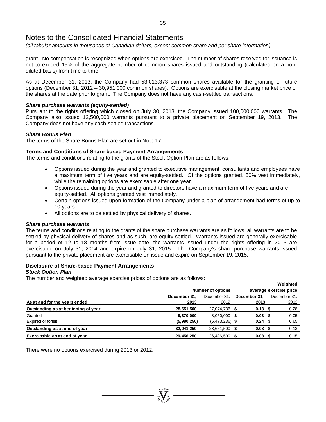*(all tabular amounts in thousands of Canadian dollars, except common share and per share information)*

grant. No compensation is recognized when options are exercised. The number of shares reserved for issuance is not to exceed 15% of the aggregate number of common shares issued and outstanding (calculated on a nondiluted basis) from time to time

As at December 31, 2013, the Company had 53,013,373 common shares available for the granting of future options (December 31, 2012 – 30,951,000 common shares). Options are exercisable at the closing market price of the shares at the date prior to grant. The Company does not have any cash-settled transactions.

#### *Share purchase warrants (equity-settled)*

Pursuant to the rights offering which closed on July 30, 2013, the Company issued 100,000,000 warrants. The Company also issued 12,500,000 warrants pursuant to a private placement on September 19, 2013. The Company does not have any cash-settled transactions.

#### *Share Bonus Plan*

The terms of the Share Bonus Plan are set out in Note 17.

#### **Terms and Conditions of Share-based Payment Arrangements**

The terms and conditions relating to the grants of the Stock Option Plan are as follows:

- Options issued during the year and granted to executive management, consultants and employees have a maximum term of five years and are equity-settled. Of the options granted, 50% vest immediately, while the remaining options are exercisable after one year.
- Options issued during the year and granted to directors have a maximum term of five years and are equity-settled. All options granted vest immediately.
- Certain options issued upon formation of the Company under a plan of arrangement had terms of up to 10 years.
- All options are to be settled by physical delivery of shares.

#### *Share purchase warrants*

The terms and conditions relating to the grants of the share purchase warrants are as follows: all warrants are to be settled by physical delivery of shares and as such, are equity-settled. Warrants issued are generally exercisable for a period of 12 to 18 months from issue date; the warrants issued under the rights offering in 2013 are exercisable on July 31, 2014 and expire on July 31, 2015. The Company's share purchase warrants issued pursuant to the private placement are exercisable on issue and expire on September 19, 2015.

#### **Disclosure of Share-based Payment Arrangements**

#### *Stock Option Plan*

The number and weighted average exercise prices of options are as follows:

| $\cdot$                             |              |                          |                 | Weighted               |  |  |
|-------------------------------------|--------------|--------------------------|-----------------|------------------------|--|--|
|                                     |              | <b>Number of options</b> |                 | average exercise price |  |  |
|                                     | December 31. | December 31.             | December 31.    | December 31.           |  |  |
| As at and for the years ended       | 2013         | 2012                     | 2013            | 2012                   |  |  |
| Outstanding as at beginning of year | 28,651,500   | 27,074,736               | $0.13$ \$       | 0.28                   |  |  |
| Granted                             | 9,370,000    | $8.050.000$ \$           | $0.03 \quad$ \$ | 0.05                   |  |  |
| Expired or forfeit                  | (5,980,250)  | $(6,473,236)$ \$         | 0.24            | 0.65<br>- \$           |  |  |
| Outstanding as at end of year       | 32,041,250   | 28,651,500               | 0.08            | 0.13                   |  |  |
| Exercisable as at end of year       | 29,456,250   | 26,426,500               | 0.08            | 0.15<br>-S             |  |  |

There were no options exercised during 2013 or 2012.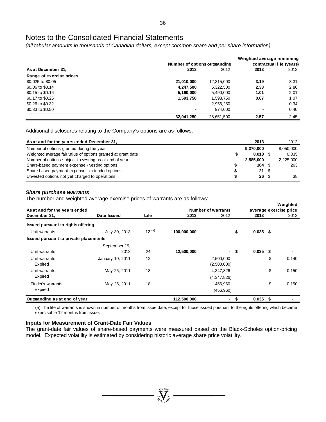*(all tabular amounts in thousands of Canadian dollars, except common share and per share information)*

|                          | Weighted average remaining<br>contractual life (years) |                               |      |      |  |  |  |  |
|--------------------------|--------------------------------------------------------|-------------------------------|------|------|--|--|--|--|
|                          |                                                        | Number of options outstanding |      |      |  |  |  |  |
| As at December 31,       | 2013                                                   | 2012                          | 2013 | 2012 |  |  |  |  |
| Range of exercise prices |                                                        |                               |      |      |  |  |  |  |
| \$0.025 to \$0.05        | 21,010,000                                             | 12,315,000                    | 3.19 | 3.31 |  |  |  |  |
| \$0.06 to \$0.14         | 4,247,500                                              | 5,322,500                     | 2.33 | 2.86 |  |  |  |  |
| \$0.15 to \$0.16         | 5,190,000                                              | 5.490.000                     | 1.01 | 2.01 |  |  |  |  |
| \$0.17 to \$0.25         | 1,593,750                                              | 1,593,750                     | 0.07 | 1.07 |  |  |  |  |
| \$0.26 to \$0.32         | $\blacksquare$                                         | 2,956,250                     | -    | 0.34 |  |  |  |  |
| \$0.33 to \$0.50         | $\blacksquare$                                         | 974.000                       | -    | 0.40 |  |  |  |  |
|                          | 32,041,250                                             | 28,651,500                    | 2.57 | 2.45 |  |  |  |  |

Additional disclosures relating to the Company's options are as follows:

| As at and for the years ended December 31,                   | 2013       |      | 2012      |
|--------------------------------------------------------------|------------|------|-----------|
| Number of options granted during the year                    | 9.370.000  |      | 8.050.000 |
| Weighted average fair value of options granted at grant date | $0.018$ \$ |      | 0.035     |
| Number of options subject to vesting as at end of year       | 2.585.000  |      | 2,225,000 |
| Share-based payment expense - vesting options                | 184        |      | 263       |
| Share-based payment expense - extended options               | 21         | - \$ |           |
| Unvested options not yet charged to operations               | 26         | -S   | 38        |

#### *Share purchase warrants*

The number and weighted average exercise prices of warrants are as follows:

|                                       |                  |            |                    |                |      |                        |      | Weighted |
|---------------------------------------|------------------|------------|--------------------|----------------|------|------------------------|------|----------|
| As at and for the years ended         |                  |            | Number of warrants |                |      | average exercise price |      |          |
| December 31,                          | Date Issued      | Life       | 2013               | 2012           |      | 2013                   |      | 2012     |
| Issued pursuant to rights offering    |                  |            |                    |                |      |                        |      |          |
| Unit warrants                         | July 30, 2013    | $12^{(a)}$ | 100,000,000        |                | - \$ | $0.035$ \$             |      |          |
| Issued pursuant to private placements |                  |            |                    |                |      |                        |      |          |
|                                       | September 19,    |            |                    |                |      |                        |      |          |
| Unit warrants                         | 2013             | 24         | 12,500,000         | $\blacksquare$ | \$   | 0.035                  | - \$ |          |
| Unit warrants                         | January 10, 2011 | 12         |                    | 2,500,000      |      |                        | \$   | 0.140    |
| Expired                               |                  |            |                    | (2,500,000)    |      |                        |      |          |
| Unit warrants                         | May 25, 2011     | 18         |                    | 4,347,826      |      |                        | \$   | 0.150    |
| Expired                               |                  |            |                    | (4,347,826)    |      |                        |      |          |
| Finder's warrants                     | May 25, 2011     | 18         |                    | 456,960        |      |                        | \$   | 0.150    |
| Expired                               |                  |            |                    | (456,960)      |      |                        |      |          |
| Outstanding as at end of year         |                  |            | 112,500,000        | $\blacksquare$ |      | 0.035                  | \$   |          |

(a) The life of warrants is shown in number of months from issue date, except for those issued pursuant to the rights offering which became exercisable 12 months from issue.

#### **Inputs for Measurement of Grant-Date Fair Values**

The grant-date fair values of share-based payments were measured based on the Black-Scholes option-pricing model. Expected volatility is estimated by considering historic average share price volatility.

**WEIGHT**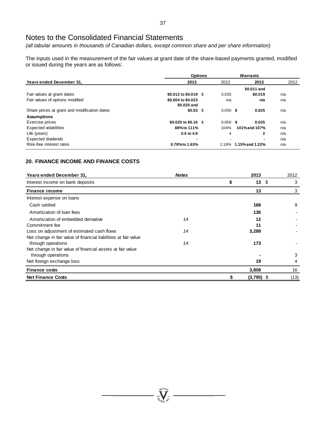*(all tabular amounts in thousands of Canadian dollars, except common share and per share information)*

The inputs used in the measurement of the fair values at grant date of the share-based payments granted, modified or issued during the years are as follows:

|                                              | <b>Options</b>                         |            | Warrants              |      |  |
|----------------------------------------------|----------------------------------------|------------|-----------------------|------|--|
| Years ended December 31.                     | 2013                                   | 2012       | 2013                  | 2012 |  |
|                                              |                                        |            | \$0.011 and           |      |  |
| Fair values at grant dates                   | $$0.012 \text{ to } $0.019 \text{ } $$ | 0.035      | \$0.019               | n/a  |  |
| Fair values of options modified              | \$0.004 to \$0.023                     | n/a        | n/a                   | n/a  |  |
|                                              | \$0.025 and                            |            |                       |      |  |
| Share prices at grant and modification dates | \$0.03\$                               | $0.050$ \$ | 0.025                 | n/a  |  |
| <b>Assumptions</b>                           |                                        |            |                       |      |  |
| Exercise prices                              | $$0.025$ to $$0.16$ \ \$               | $0.050$ \$ | 0.035                 | n/a  |  |
| <b>Expected volatilities</b>                 | 88%to 111%                             | 104%       | 101% and 107%         | n/a  |  |
| Life (years)                                 | 0.5 to 4.9                             | 4          | 2                     | n/a  |  |
| <b>Expected dividends</b>                    |                                        |            |                       | n/a  |  |
| Risk-free interest rates                     | 0.78% to 1.63%                         |            | 1.18% 1.15% and 1.22% | n/a  |  |

# **20. FINANCE INCOME AND FINANCE COSTS**

| Years ended December 31,                                        | <b>Notes</b> | 2013         |      | 2012 |
|-----------------------------------------------------------------|--------------|--------------|------|------|
| Interest income on bank deposits                                |              | \$<br>13     | - \$ | 3    |
| <b>Finance income</b>                                           |              | 13           |      | 3    |
| Interest expense on loans                                       |              |              |      |      |
| Cash settled                                                    |              | 168          |      | 9    |
| Amortization of loan fees                                       |              | 136          |      |      |
| Amortization of embedded derivative                             | 14           | 12           |      |      |
| Commitment fee                                                  |              | 11           |      |      |
| Loss on adjustment of estimated cash flows                      | 14           | 3,289        |      |      |
| Net change in fair value of financial liabilities at fair value |              |              |      |      |
| through operations                                              | 14           | 173          |      |      |
| Net change in fair value of financial assets at fair value      |              |              |      |      |
| through operations                                              |              |              |      | 3    |
| Net foreign exchange loss                                       |              | 19           |      | 4    |
| <b>Finance costs</b>                                            |              | 3,808        |      | 16   |
| <b>Net Finance Costs</b>                                        |              | $(3,795)$ \$ |      | (13) |

state receive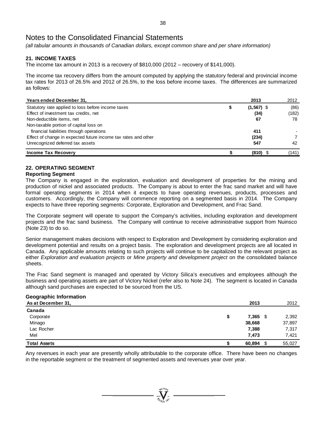*(all tabular amounts in thousands of Canadian dollars, except common share and per share information)*

# **21. INCOME TAXES**

The income tax amount in 2013 is a recovery of \$810,000 (2012 – recovery of \$141,000).

The income tax recovery differs from the amount computed by applying the statutory federal and provincial income tax rates for 2013 of 26.5% and 2012 of 26.5%, to the loss before income taxes. The differences are summarized as follows:

| Years ended December 31,                                       |   | 2013         | 2012  |
|----------------------------------------------------------------|---|--------------|-------|
| Statutory rate applied to loss before income taxes             | S | $(1,567)$ \$ | (86)  |
| Effect of investment tax credits, net                          |   | (34)         | (182) |
| Non-deductible items, net                                      |   | 67           | 78    |
| Non-taxable portion of capital loss on                         |   |              |       |
| financial liabilities through operations                       |   | 411          |       |
| Effect of change in expected future income tax rates and other |   | (234)        |       |
| Unrecognized deferred tax assets                               |   | 547          | 42    |
| <b>Income Tax Recovery</b>                                     |   | (810)        | (141) |

# **22. OPERATING SEGMENT**

#### **Reporting Segment**

The Company is engaged in the exploration, evaluation and development of properties for the mining and production of nickel and associated products. The Company is about to enter the frac sand market and will have formal operating segments in 2014 when it expects to have operating revenues, products, processes and customers. Accordingly, the Company will commence reporting on a segmented basis in 2014. The Company expects to have three reporting segments: Corporate, Exploration and Development, and Frac Sand.

The Corporate segment will operate to support the Company's activities, including exploration and development projects and the frac sand business. The Company will continue to receive administrative support from Nuinsco (Note 23) to do so.

Senior management makes decisions with respect to Exploration and Development by considering exploration and development potential and results on a project basis. The exploration and development projects are all located in Canada. Any applicable amounts relating to such projects will continue to be capitalized to the relevant project as either *Exploration and evaluation projects* or *Mine property and development project* on the consolidated balance sheets.

The Frac Sand segment is managed and operated by Victory Silica's executives and employees although the business and operating assets are part of Victory Nickel (refer also to Note 24). The segment is located in Canada although sand purchases are expected to be sourced from the US.

| <b>Geographic Information</b> |             |      |        |
|-------------------------------|-------------|------|--------|
| As at December 31,            | 2013        |      | 2012   |
| Canada                        |             |      |        |
| Corporate                     | \$<br>7,365 | - \$ | 2,392  |
| Minago                        | 38,668      |      | 37,897 |
| Lac Rocher                    | 7,388       |      | 7,317  |
| Mel                           | 7,473       |      | 7.421  |
| <b>Total Assets</b>           | 60,894      | \$   | 55,027 |

Any revenues in each year are presently wholly attributable to the corporate office. There have been no changes in the reportable segment or the treatment of segmented assets and revenues year over year.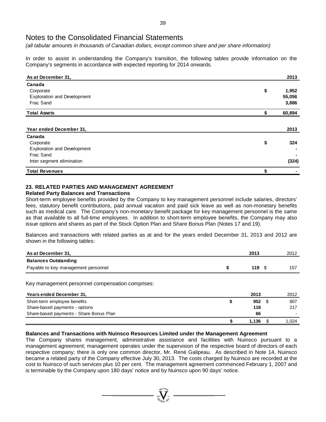*(all tabular amounts in thousands of Canadian dollars, except common share and per share information)*

In order to assist in understanding the Company's transition, the following tables provide information on the Company's segments in accordance with expected reporting for 2014 onwards.

| As at December 31,                 | 2013         |
|------------------------------------|--------------|
| Canada                             |              |
| Corporate                          | \$<br>1,952  |
| <b>Exploration and Development</b> | 55,056       |
| Frac Sand                          | 3,886        |
| <b>Total Assets</b>                | \$<br>60,894 |
|                                    |              |
| Year ended December 31,            | 2013         |
| Canada                             |              |
| Corporate                          | \$<br>324    |
| <b>Exploration and Development</b> |              |
| Frac Sand                          |              |
| Inter segment elimination          | (324)        |
| <b>Total Revenues</b>              | \$           |

# **23. RELATED PARTIES AND MANAGEMENT AGREEMENT**

# **Related Party Balances and Transactions**

Short-term employee benefits provided by the Company to key management personnel include salaries, directors' fees, statutory benefit contributions, paid annual vacation and paid sick leave as well as non-monetary benefits such as medical care. The Company's non-monetary benefit package for key management personnel is the same as that available to all full-time employees. In addition to short-term employee benefits, the Company may also issue options and shares as part of the Stock Option Plan and Share Bonus Plan (Notes 17 and 19).

Balances and transactions with related parties as at and for the years ended December 31, 2013 and 2012 are shown in the following tables:

| As at December 31,                  | 2013 | 2012 |
|-------------------------------------|------|------|
| <b>Balances Outstanding</b>         |      |      |
| Payable to key management personnel | 119  | 157  |

Key management personnel compensation comprises:

| Years ended December 31,                | 2013  | 2012  |
|-----------------------------------------|-------|-------|
| Short-term employee benefits            | 952   | 807   |
| Share-based payments - options          | 118   | 217   |
| Share-based payments - Share Bonus Plan | 66    |       |
|                                         | l.136 | 1.024 |

# **Balances and Transactions with Nuinsco Resources Limited under the Management Agreement**

The Company shares management, administrative assistance and facilities with Nuinsco pursuant to a management agreement; management operates under the supervision of the respective board of directors of each respective company; there is only one common director, Mr. René Galipeau. As described in Note 14, Nuinsco became a related party of the Company effective July 30, 2013. The costs charged by Nuinsco are recorded at the cost to Nuinsco of such services plus 10 per cent. The management agreement commenced February 1, 2007 and is terminable by the Company upon 180 days' notice and by Nuinsco upon 90 days' notice.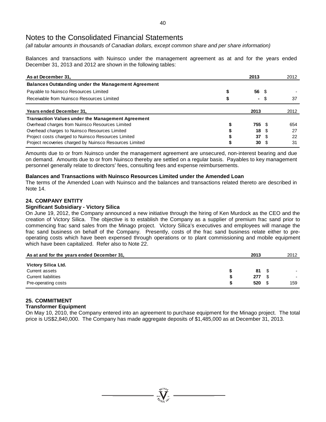*(all tabular amounts in thousands of Canadian dollars, except common share and per share information)*

Balances and transactions with Nuinsco under the management agreement as at and for the years ended December 31, 2013 and 2012 are shown in the following tables:

| As at December 31,                                         |   | 2013                     |      | 2012 |
|------------------------------------------------------------|---|--------------------------|------|------|
| <b>Balances Outstanding under the Management Agreement</b> |   |                          |      |      |
| Payable to Nuinsco Resources Limited                       |   | 56                       | - \$ |      |
| Receivable from Nuinsco Resources Limited                  |   | $\sim$                   | - \$ | 37   |
| Years ended December 31,                                   |   | 2013                     |      | 2012 |
| <b>Transaction Values under the Management Agreement</b>   |   |                          |      |      |
| Overhead charges from Nuinsco Resources Limited            | S | 755 \$                   |      | 654  |
| Overhead charges to Nuinsco Resources Limited              |   | $18 \quad$ $\frac{6}{3}$ |      | 27   |
| Project costs charged to Nuinsco Resources Limited         |   | 37S                      |      | 22   |
| Project recoveries charged by Nuinsco Resources Limited    |   | 30                       |      | 31   |

Amounts due to or from Nuinsco under the management agreement are unsecured, non-interest bearing and due on demand. Amounts due to or from Nuinsco thereby are settled on a regular basis. Payables to key management personnel generally relate to directors' fees, consulting fees and expense reimbursements.

# **Balances and Transactions with Nuinsco Resources Limited under the Amended Loan**

The terms of the Amended Loan with Nuinsco and the balances and transactions related thereto are described in Note 14.

# **24. COMPANY ENTITY**

#### **Significant Subsidiary - Victory Silica**

On June 19, 2012, the Company announced a new initiative through the hiring of Ken Murdock as the CEO and the creation of Victory Silica. The objective is to establish the Company as a supplier of premium frac sand prior to commencing frac sand sales from the Minago project. Victory Silica's executives and employees will manage the frac sand business on behalf of the Company. Presently, costs of the frac sand business relate either to preoperating costs which have been expensed through operations or to plant commissioning and mobile equipment which have been capitalized. Refer also to Note 22.

| As at and for the years ended December 31, |   | 2013 |      | 2012                     |
|--------------------------------------------|---|------|------|--------------------------|
| Victory Silica Ltd.                        |   |      |      |                          |
| Current assets                             |   | 81   | - S  | $\overline{\phantom{a}}$ |
| <b>Current liabilities</b>                 | S | 277  | - \$ |                          |
| Pre-operating costs                        |   | 520  |      | 159                      |

# **25. COMMITMENT**

#### **Transformer Equipment**

On May 10, 2010, the Company entered into an agreement to purchase equipment for the Minago project. The total price is US\$2,840,000. The Company has made aggregate deposits of \$1,485,000 as at December 31, 2013.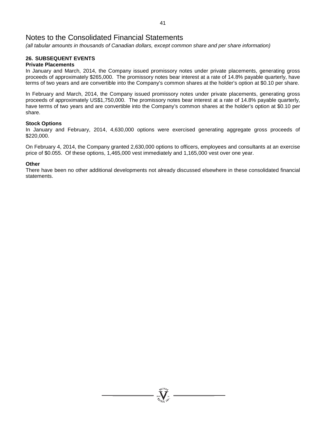*(all tabular amounts in thousands of Canadian dollars, except common share and per share information)*

#### **26. SUBSEQUENT EVENTS Private Placements**

In January and March, 2014, the Company issued promissory notes under private placements, generating gross proceeds of approximately \$265,000. The promissory notes bear interest at a rate of 14.8% payable quarterly, have terms of two years and are convertible into the Company's common shares at the holder's option at \$0.10 per share.

In February and March, 2014, the Company issued promissory notes under private placements, generating gross proceeds of approximately US\$1,750,000. The promissory notes bear interest at a rate of 14.8% payable quarterly, have terms of two years and are convertible into the Company's common shares at the holder's option at \$0.10 per share.

# **Stock Options**

In January and February, 2014, 4,630,000 options were exercised generating aggregate gross proceeds of \$220,000.

On February 4, 2014, the Company granted 2,630,000 options to officers, employees and consultants at an exercise price of \$0.055. Of these options, 1,465,000 vest immediately and 1,165,000 vest over one year.

# **Other**

There have been no other additional developments not already discussed elsewhere in these consolidated financial statements.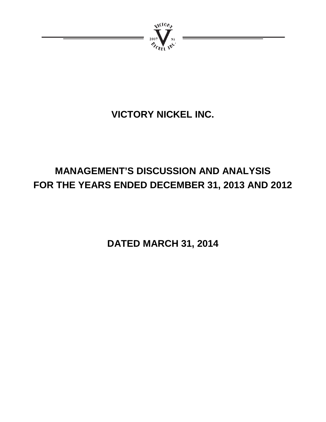

# **VICTORY NICKEL INC.**

# **MANAGEMENT'S DISCUSSION AND ANALYSIS FOR THE YEARS ENDED DECEMBER 31, 2013 AND 2012**

**DATED MARCH 31, 2014**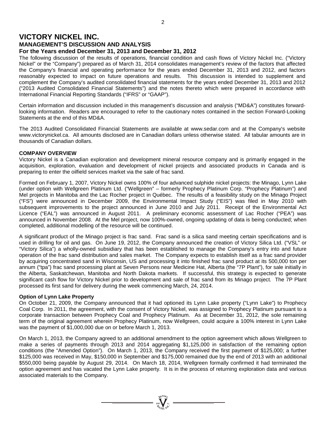# **VICTORY NICKEL INC.**

# **MANAGEMENT'S DISCUSSION AND ANALYSIS**

# **For the Years ended December 31, 2013 and December 31, 2012**

The following discussion of the results of operations, financial condition and cash flows of Victory Nickel Inc. ("Victory Nickel" or the "Company") prepared as of March 31, 2014 consolidates management's review of the factors that affected the Company's financial and operating performance for the years ended December 31, 2013 and 2012, and factors reasonably expected to impact on future operations and results. This discussion is intended to supplement and complement the Company's audited consolidated financial statements for the years ended December 31, 2013 and 2012 ("2013 Audited Consolidated Financial Statements") and the notes thereto which were prepared in accordance with International Financial Reporting Standards ("IFRS" or "GAAP").

Certain information and discussion included in this management's discussion and analysis ("MD&A") constitutes forwardlooking information. Readers are encouraged to refer to the cautionary notes contained in the section Forward-Looking Statements at the end of this MD&A.

The 2013 Audited Consolidated Financial Statements are available at www.sedar.com and at the Company's website www.victorynickel.ca. All amounts disclosed are in Canadian dollars unless otherwise stated. All tabular amounts are in thousands of Canadian dollars.

# **COMPANY OVERVIEW**

Victory Nickel is a Canadian exploration and development mineral resource company and is primarily engaged in the acquisition, exploration, evaluation and development of nickel projects and associated products in Canada and is preparing to enter the oilfield services market via the sale of frac sand.

Formed on February 1, 2007, Victory Nickel owns 100% of four advanced sulphide nickel projects: the Minago, Lynn Lake (under option with Wellgreen Platinum Ltd. ("Wellgreen" – formerly Prophecy Platinum Corp. "Prophecy Platinum") and Mel projects in Manitoba and the Lac Rocher project in Québec. The results of a feasibility study on the Minago Project ("FS") were announced in December 2009, the Environmental Impact Study ("EIS") was filed in May 2010 with subsequent improvements to the project announced in June 2010 and July 2011. Receipt of the Environmental Act Licence ("EAL") was announced in August 2011. A preliminary economic assessment of Lac Rocher ("PEA") was announced in November 2008. At the Mel project, now 100%-owned, ongoing updating of data is being conducted; when completed, additional modelling of the resource will be continued.

A significant product of the Minago project is frac sand. Frac sand is a silica sand meeting certain specifications and is used in drilling for oil and gas. On June 19, 2012, the Company announced the creation of Victory Silica Ltd. ("VSL" or "Victory Silica") a wholly-owned subsidiary that has been established to manage the Company's entry into and future operation of the frac sand distribution and sales market. The Company expects to establish itself as a frac sand provider by acquiring concentrated sand in Wisconsin, US and processing it into finished frac sand product at its 500,000 ton per annum ("tpa") frac sand processing plant at Seven Persons near Medicine Hat, Alberta (the "7P Plant"), for sale initially in the Alberta, Saskatchewan, Manitoba and North Dakota markets. If successful, this strategy is expected to generate significant cash flow for Victory Nickel prior to development and sale of frac sand from its Minago project. The 7P Plant processed its first sand for delivery during the week commencing March, 24, 2014.

# **Option of Lynn Lake Property**

On October 21, 2009, the Company announced that it had optioned its Lynn Lake property ("Lynn Lake") to Prophecy Coal Corp. In 2011, the agreement, with the consent of Victory Nickel, was assigned to Prophecy Platinum pursuant to a corporate transaction between Prophecy Coal and Prophecy Platinum. As at December 31, 2012, the sole remaining term of the original agreement wherein Prophecy Platinum, now Wellgreen, could acquire a 100% interest in Lynn Lake was the payment of \$1,000,000 due on or before March 1, 2013.

On March 1, 2013, the Company agreed to an additional amendment to the option agreement which allows Wellgreen to make a series of payments through 2013 and 2014 aggregating \$1,125,000 in satisfaction of the remaining option conditions (the "Amended Option"). On March 1, 2013, the Company received the first payment of \$125,000; a further \$125,000 was received in May, \$150,000 in September and \$175,000 remained due by the end of 2013 with an additional \$550,000 being payable by August 29, 2014. On March 18, 2014, Wellgreen formally confirmed it had terminated the option agreement and has vacated the Lynn Lake property. It is in the process of returning exploration data and various associated materials to the Company.

 $\sum_{\alpha}$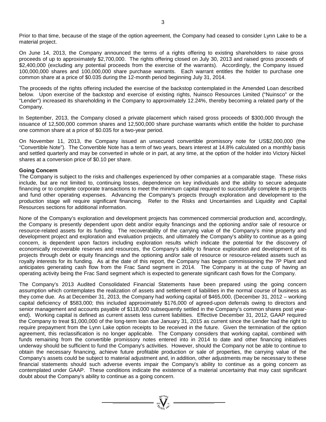Prior to that time, because of the stage of the option agreement, the Company had ceased to consider Lynn Lake to be a material project.

On June 14, 2013, the Company announced the terms of a rights offering to existing shareholders to raise gross proceeds of up to approximately \$2,700,000. The rights offering closed on July 30, 2013 and raised gross proceeds of \$2,400,000 (excluding any potential proceeds from the exercise of the warrants). Accordingly, the Company issued 100,000,000 shares and 100,000,000 share purchase warrants. Each warrant entitles the holder to purchase one common share at a price of \$0.035 during the 12-month period beginning July 31, 2014.

The proceeds of the rights offering included the exercise of the backstop contemplated in the Amended Loan described below. Upon exercise of the backstop and exercise of existing rights, Nuinsco Resources Limited ("Nuinsco" or the "Lender") increased its shareholding in the Company to approximately 12.24%, thereby becoming a related party of the Company.

In September, 2013, the Company closed a private placement which raised gross proceeds of \$300,000 through the issuance of 12,500,000 common shares and 12,500,000 share purchase warrants which entitle the holder to purchase one common share at a price of \$0.035 for a two-year period.

On November 11, 2013, the Company issued an unsecured convertible promissory note for US\$2,000,000 (the "Convertible Note"). The Convertible Note has a term of two years, bears interest at 14.8% calculated on a monthly basis and settled quarterly and may be converted in whole or in part, at any time, at the option of the holder into Victory Nickel shares at a conversion price of \$0.10 per share.

#### **Going Concern**

The Company is subject to the risks and challenges experienced by other companies at a comparable stage. These risks include, but are not limited to, continuing losses, dependence on key individuals and the ability to secure adequate financing or to complete corporate transactions to meet the minimum capital required to successfully complete its projects and fund other operating expenses. Advancing the Company's projects through exploration and development to the production stage will require significant financing. Refer to the Risks and Uncertainties and Liquidity and Capital Resources sections for additional information.

None of the Company's exploration and development projects has commenced commercial production and, accordingly, the Company is presently dependent upon debt and/or equity financings and the optioning and/or sale of resource or resource-related assets for its funding. The recoverability of the carrying value of the Company's mine property and development project and exploration and evaluation projects, and ultimately the Company's ability to continue as a going concern, is dependent upon factors including exploration results which indicate the potential for the discovery of economically recoverable reserves and resources, the Company's ability to finance exploration and development of its projects through debt or equity financings and the optioning and/or sale of resource or resource-related assets such as royalty interests for its funding. As at the date of this report, the Company has begun commissioning the 7P Plant and anticipates generating cash flow from the Frac Sand segment in 2014. The Company is at the cusp of having an operating activity being the Frac Sand segment which is expected to generate significant cash flows for the Company.

The Company's 2013 Audited Consolidated Financial Statements have been prepared using the going concern assumption which contemplates the realization of assets and settlement of liabilities in the normal course of business as they come due. As at December 31, 2013, the Company had working capital of \$465,000, (December 31, 2012 – working capital deficiency of \$583,000; this included approximately \$176,000 of agreed-upon deferrals owing to directors and senior management and accounts payable of \$118,000 subsequently settled in the Company's common shares post yearend). Working capital is defined as current assets less current liabilities. Effective December 31, 2012, GAAP required the Company to treat \$1,000,000 of the long-term loan due January 31, 2015 as current since the Lender had the right to require prepayment from the Lynn Lake option receipts to be received in the future. Given the termination of the option agreement, this reclassification is no longer applicable. The Company considers that working capital, combined with funds remaining from the convertible promissory notes entered into in 2014 to date and other financing initiatives underway should be sufficient to fund the Company's activities. However, should the Company not be able to continue to obtain the necessary financing, achieve future profitable production or sale of properties, the carrying value of the Company's assets could be subject to material adjustment and, in addition, other adjustments may be necessary to these financial statements should such adverse events impair the Company's ability to continue as a going concern as contemplated under GAAP. These conditions indicate the existence of a material uncertainty that may cast significant doubt about the Company's ability to continue as a going concern.

=  $\sum_{n=1}^{\infty} \frac{1}{n!}$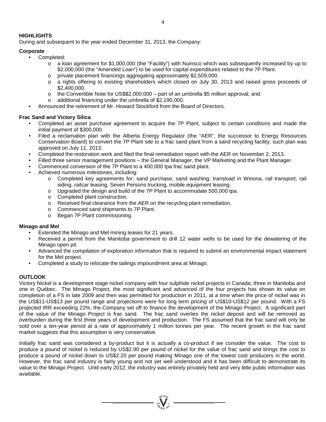# **HIGHLIGHTS**

During and subsequent to the year ended December 31, 2013, the Company:

# **Corporate**

- Completed:
	- o a loan agreement for \$1,000,000 (the "Facility") with Nuinsco which was subsequently increased by up to \$2,000,000 (the "Amended Loan") to be used for capital expenditures related to the 7P Plant.
	- o private placement financings aggregating approximately \$2,509,000.<br>  $\circ$  a rights offering to existing shareholders which closed on July 30.
	- a rights offering to existing shareholders which closed on July 30, 2013 and raised gross proceeds of \$2,400,000.
	- $\circ$  the Convertible Note for US\$\$2,000,000 part of an umbrella \$5 million approval; and.
	- o additional financing under the umbrella of \$2,190,000.
- Announced the retirement of Mr. Howard Stockford from the Board of Directors.

# **Frac Sand and Victory Silica**

- Completed an asset purchase agreement to acquire the 7P Plant, subject to certain conditions and made the initial payment of \$300,000.
- Filed a reclamation plan with the Alberta Energy Regulator (the "AER", the successor to Energy Resources Conservation Board) to convert the 7P Plant site to a frac sand plant from a sand recycling facility; such plan was approved on July 11, 2013.
- Completed the restoration work and filed the final remediation report with the AER on November 2, 2013.
- Filled three senior management positions the General Manager, the VP Marketing and the Plant Manager.
- Commenced conversion of the 7P Plant to a 400,000 tpa frac sand plant.
- Achieved numerous milestones, including:
	- o Completed key agreements for: sand purchase, sand washing, transload in Winona, rail transport, rail siding, railcar leasing, Seven Persons trucking, mobile equipment leasing.
	- o Upgraded the design and build of the 7P Plant to accommodate 500,000 tpa.
	- o Completed plant construction.
	- o Received final clearance from the AER on the recycling plant remediation.
	- o Commenced sand shipments to 7P Plant.
	- o Began 7P Plant commissioning.

# **Minago and Mel**

- Extended the Minago and Mel mining leases for 21 years.
- Received a permit from the Manitoba government to drill 12 water wells to be used for the dewatering of the Minago open pit.
- Advanced the compilation of exploration information that is required to submit an environmental impact statement for the Mel project.
- Completed a study to relocate the tailings impoundment area at Minago.

# **OUTLOOK**

Victory Nickel is a development stage nickel company with four sulphide nickel projects in Canada; three in Manitoba and one in Québec. The Minago Project, the most significant and advanced of the four projects has shown its value on completion of a FS in late 2009 and then was permitted for production in 2011, at a time when the price of nickel was in the US\$11-US\$13 per pound range and projections were for long term pricing of US\$10-US\$12 per pound. With a FS projected IRR exceeding 22%, the Company set off to finance the development of the Minago Project. A significant part of the value of the Minago Project is frac sand. The frac sand overlies the nickel deposit and will be removed as overburden during the first three years of development and production. The FS assumed that the frac sand will only be sold over a ten-year period at a rate of approximately 1 million tonnes per year. The recent growth in the frac sand market suggests that this assumption is very conservative.

Initially frac sand was considered a by-product but it is actually a co-product if we consider the value. The cost to produce a pound of nickel is reduced by US\$2.90 per pound of nickel for the value of frac sand and brings the cost to produce a pound of nickel down to US\$2.20 per pound making Minago one of the lowest cost producers in the world. However, the frac sand industry is fairly young and not yet well understood and it has been difficult to demonstrate its value to the Minago Project. Until early 2012, the industry was entirely privately held and very little public information was available.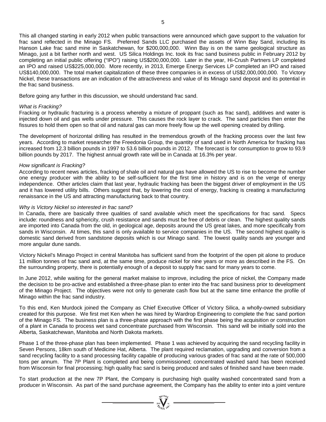This all changed starting in early 2012 when public transactions were announced which gave support to the valuation for frac sand reflected in the Minago FS. Preferred Sands LLC purchased the assets of Winn Bay Sand, including its Hanson Lake frac sand mine in Saskatchewan, for \$200,000,000. Winn Bay is on the same geological structure as Minago, just a bit farther north and west. US Silica Holdings Inc. took its frac sand business public in February 2012 by completing an initial public offering ("IPO") raising US\$200,000,000. Later in the year, Hi-Crush Partners LP completed an IPO and raised US\$225,000,000. More recently, in 2013, Emerge Energy Services LP completed an IPO and raised US\$140,000,000. The total market capitalization of these three companies is in excess of US\$2,000,000,000. To Victory Nickel, these transactions are an indication of the attractiveness and value of its Minago sand deposit and its potential in the frac sand business.

Before going any further in this discussion, we should understand frac sand.

#### *What is Fracking?*

Fracking or hydraulic fracturing is a process whereby a mixture of proppant (such as frac sand), additives and water is injected down oil and gas wells under pressure. This causes the rock layer to crack. The sand particles then enter the fissures to hold them open so that oil and natural gas can more freely flow up the well opening created by drilling.

The development of horizontal drilling has resulted in the tremendous growth of the fracking process over the last few years. According to market researcher the Freedonia Group, the quantity of sand used in North America for fracking has increased from 12.3 billion pounds in 1997 to 53.6 billion pounds in 2012. The forecast is for consumption to grow to 93.9 billion pounds by 2017. The highest annual growth rate will be in Canada at 16.3% per year.

#### *How significant is Fracking?*

According to recent news articles, fracking of shale oil and natural gas have allowed the US to rise to become the number one energy producer with the ability to be self-sufficient for the first time in history and is on the verge of energy independence. Other articles claim that last year, hydraulic fracking has been the biggest driver of employment in the US and it has lowered utility bills. Others suggest that, by lowering the cost of energy, fracking is creating a manufacturing renaissance in the US and attracting manufacturing back to that country.

#### *Why is Victory Nickel so interested in frac sand?*

In Canada, there are basically three qualities of sand available which meet the specifications for frac sand. Specs include: roundness and sphericity, crush resistance and sands must be free of debris or clean. The highest quality sands are imported into Canada from the old, in geological age, deposits around the US great lakes, and more specifically from sands in Wisconsin. At times, this sand is only available to service companies in the US. The second highest quality is domestic sand derived from sandstone deposits which is our Minago sand. The lowest quality sands are younger and more angular dune sands.

Victory Nickel's Minago Project in central Manitoba has sufficient sand from the footprint of the open pit alone to produce 11 million tonnes of frac sand and, at the same time, produce nickel for nine years or more as described in the FS. On the surrounding property, there is potentially enough of a deposit to supply frac sand for many years to come.

In June 2012, while waiting for the general market malaise to improve, including the price of nickel, the Company made the decision to be pro-active and established a three-phase plan to enter into the frac sand business prior to development of the Minago Project. The objectives were not only to generate cash flow but at the same time enhance the profile of Minago within the frac sand industry.

To this end, Ken Murdock joined the Company as Chief Executive Officer of Victory Silica, a wholly-owned subsidiary created for this purpose. We first met Ken when he was hired by Wardrop Engineering to complete the frac sand portion of the Minago FS. The business plan is a three-phase approach with the first phase being the acquisition or construction of a plant in Canada to process wet sand concentrate purchased from Wisconsin. This sand will be initially sold into the Alberta, Saskatchewan, Manitoba and North Dakota markets.

Phase 1 of the three-phase plan has been implemented. Phase 1 was achieved by acquiring the sand recycling facility in Seven Persons, 18km south of Medicine Hat, Alberta. The plant required reclamation, upgrading and conversion from a sand recycling facility to a sand processing facility capable of producing various grades of frac sand at the rate of 500,000 tons per annum. The 7P Plant is completed and being commissioned; concentrated washed sand has been received from Wisconsin for final processing; high quality frac sand is being produced and sales of finished sand have been made.

To start production at the new 7P Plant, the Company is purchasing high quality washed concentrated sand from a producer in Wisconsin. As part of the sand purchase agreement, the Company has the ability to enter into a joint venture

=  $\sum_{v \in V} \sum_{v \in V} \sum_{v \in V}$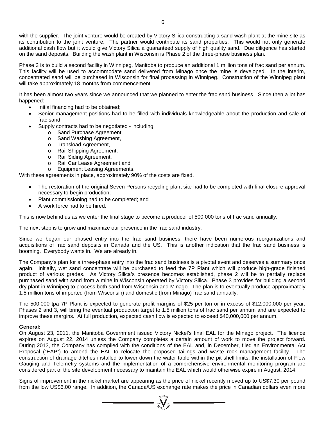with the supplier. The joint venture would be created by Victory Silica constructing a sand wash plant at the mine site as its contribution to the joint venture. The partner would contribute its sand properties. This would not only generate additional cash flow but it would give Victory Silica a guaranteed supply of high quality sand. Due diligence has started on the sand deposits. Building the wash plant in Wisconsin is Phase 2 of the three-phase business plan.

Phase 3 is to build a second facility in Winnipeg, Manitoba to produce an additional 1 million tons of frac sand per annum. This facility will be used to accommodate sand delivered from Minago once the mine is developed. In the interim, concentrated sand will be purchased in Wisconsin for final processing in Winnipeg. Construction of the Winnipeg plant will take approximately 18 months from commencement.

It has been almost two years since we announced that we planned to enter the frac sand business. Since then a lot has happened:

- Initial financing had to be obtained;
- Senior management positions had to be filled with individuals knowledgeable about the production and sale of frac sand;
- Supply contracts had to be negotiated including:
	- o Sand Purchase Agreement,
	- o Sand Washing Agreement,
	- o Transload Agreement,
	- o Rail Shipping Agreement,
	- o Rail Siding Agreement,
	- o Rail Car Lease Agreement and
	- o Equipment Leasing Agreements.

With these agreements in place, approximately 90% of the costs are fixed.

- The restoration of the original Seven Persons recycling plant site had to be completed with final closure approval necessary to begin production;
- Plant commissioning had to be completed; and
- A work force had to be hired.

This is now behind us as we enter the final stage to become a producer of 500,000 tons of frac sand annually.

The next step is to grow and maximize our presence in the frac sand industry.

Since we began our phased entry into the frac sand business, there have been numerous reorganizations and acquisitions of frac sand deposits in Canada and the US. This is another indication that the frac sand business is booming. Everybody wants in. We are already in.

The Company's plan for a three-phase entry into the frac sand business is a pivotal event and deserves a summary once again. Initially, wet sand concentrate will be purchased to feed the 7P Plant which will produce high-grade finished product of various grades. As Victory Silica's presence becomes established, phase 2 will be to partially replace purchased sand with sand from a mine in Wisconsin operated by Victory Silica. Phase 3 provides for building a second dry plant in Winnipeg to process both sand from Wisconsin and Minago. The plan is to eventually produce approximately 1.5 million tons of imported (from Wisconsin) and domestic (from Minago) frac sand annually.

The 500,000 tpa 7P Plant is expected to generate profit margins of \$25 per ton or in excess of \$12,000,000 per year. Phases 2 and 3, will bring the eventual production target to 1.5 million tons of frac sand per annum and are expected to improve these margins. At full production, expected cash flow is expected to exceed \$40,000,000 per annum.

#### **General:**

On August 23, 2011, the Manitoba Government issued Victory Nickel's final EAL for the Minago project. The licence expires on August 22, 2014 unless the Company completes a certain amount of work to move the project forward. During 2013, the Company has complied with the conditions of the EAL and, in December, filed an Environmental Act Proposal ("EAP") to amend the EAL to relocate the proposed tailings and waste rock management facility. The construction of drainage ditches installed to lower down the water table within the pit shell limits, the installation of Flow Gauging and Telemetry systems and the implementation of a comprehensive environmental monitoring program are considered part of the site development necessary to maintain the EAL which would otherwise expire in August, 2014.

Signs of improvement in the nickel market are appearing as the price of nickel recently moved up to US\$7.30 per pound from the low US\$6.00 range. In addition, the Canada/US exchange rate makes the price in Canadian dollars even more

=  $\sum_{i=1}^{\infty} \sum_{j=1}^{\infty} \sum_{j=1}^{n}$  =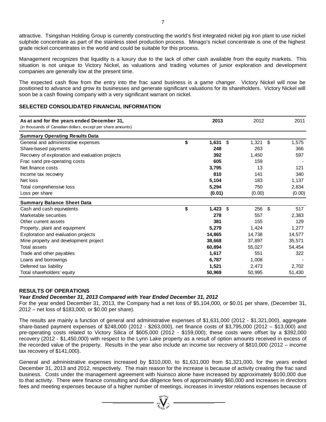attractive. Tsingshan Holding Group is currently constructing the world's first integrated nickel pig iron plant to use nickel sulphide concentrate as part of the stainless steel production process. Minago's nickel concentrate is one of the highest grade nickel concentrates in the world and could be suitable for this process.

Management recognizes that liquidity is a luxury due to the lack of other cash available from the equity markets. This situation is not unique to Victory Nickel, as valuations and trading volumes of junior exploration and development companies are generally low at the present time.

The expected cash flow from the entry into the frac sand business is a game changer. Victory Nickel will now be positioned to advance and grow its businesses and generate significant valuations for its shareholders. Victory Nickel will soon be a cash flowing company with a very significant warrant on nickel.

# **SELECTED CONSOLIDATED FINANCIAL INFORMATION**

| As at and for the years ended December 31,<br>(in thousands of Canadian dollars, except per share amounts) | 2013        | 2012        | 2011        |
|------------------------------------------------------------------------------------------------------------|-------------|-------------|-------------|
| <b>Summary Operating Results Data</b>                                                                      |             |             |             |
| General and administrative expenses                                                                        | \$<br>1,631 | \$<br>1,321 | \$<br>1,575 |
| Share-based payments                                                                                       | 248         | 263         | 366         |
| Recovery of exploration and evaluation projects                                                            | 392         | 1,450       | 597         |
| Frac sand pre-operating costs                                                                              | 605         | 159         |             |
| Net finance costs                                                                                          | 3,795       | 13          | 121         |
| Income tax recovery                                                                                        | 810         | 141         | 340         |
| Net loss                                                                                                   | 5,104       | 183         | 1,137       |
| Total comprehensive loss                                                                                   | 5,294       | 750         | 2,834       |
| Loss per share                                                                                             | (0.01)      | (0.00)      | (0.00)      |
| <b>Summary Balance Sheet Data</b>                                                                          |             |             |             |
| Cash and cash equivalents                                                                                  | \$<br>1,423 | \$<br>256   | \$<br>517   |
| Marketable securities                                                                                      | 278         | 557         | 2,383       |
| Other current assets                                                                                       | 381         | 155         | 129         |
| Property, plant and equipment                                                                              | 5,279       | 1,424       | 1,277       |
| Exploration and evaluation projects                                                                        | 14,865      | 14,738      | 14,577      |
| Mine property and development project                                                                      | 38,668      | 37,897      | 35,571      |
| Total assets                                                                                               | 60,894      | 55,027      | 54,454      |
| Trade and other payables                                                                                   | 1,617       | 551         | 322         |
| Loans and borrowings                                                                                       | 6,787       | 1,008       |             |
| Deferred tax liability                                                                                     | 1,521       | 2,473       | 2,702       |
| Total shareholders' equity                                                                                 | 50,969      | 50,995      | 51,430      |

# **RESULTS OF OPERATIONS**

#### *Year Ended December 31, 2013 Compared with Year Ended December 31, 2012*

For the year ended December 31, 2013, the Company had a net loss of \$5,104,000, or \$0.01 per share, (December 31, 2012 – net loss of \$183,000, or \$0.00 per share).

The results are mainly a function of general and administrative expenses of \$1,631,000 (2012 - \$1,321,000), aggregate share-based payment expenses of \$248,000 (2012 - \$263,000), net finance costs of \$3,795,000 (2012 – \$13,000) and pre-operating costs related to Victory Silica of \$605,000 (2012 - \$159,000); these costs were offset by a \$392,000 recovery (2012 - \$1,450,000) with respect to the Lynn Lake property as a result of option amounts received in excess of the recorded value of the property. Results in the year also include an income tax recovery of \$810,000 (2012 – income tax recovery of \$141,000).

General and administrative expenses increased by \$310,000, to \$1,631,000 from \$1,321,000, for the years ended December 31, 2013 and 2012, respectively. The main reason for the increase is because of activity creating the frac sand business. Costs under the management agreement with Nuinsco alone have increased by approximately \$100,000 due to that activity. There were finance consulting and due diligence fees of approximately \$60,000 and increases in directors fees and meeting expenses because of a higher number of meetings, increases in investor relations expenses because of

 $\sum_{n=1}^{\text{NLOB}} \sum_{n=1}^{\text{NLOB}}$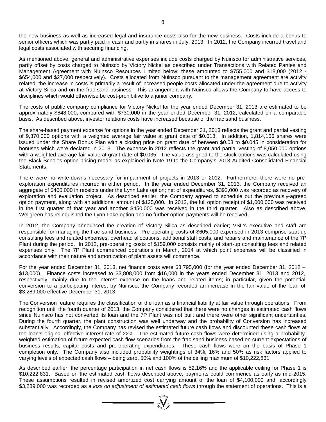the new business as well as increased legal and insurance costs also for the new business. Costs include a bonus to senior officers which was partly paid in cash and partly in shares in July, 2013. In 2012, the Company incurred travel and legal costs associated with securing financing.

As mentioned above, general and administrative expenses include costs charged by Nuinsco for administrative services, partly offset by costs charged to Nuinsco by Victory Nickel as described under Transactions with Related Parties and Management Agreement with Nuinsco Resources Limited below; these amounted to \$755,000 and \$18,000 (2012 - \$654,000 and \$27,000 respectively). Costs allocated from Nuinsco pursuant to the management agreement are activity related; the increase in costs is primarily a result of increased people costs allocated under the agreement due to activity at Victory Silica and on the frac sand business. This arrangement with Nuinsco allows the Company to have access to disciplines which would otherwise be cost-prohibitive to a junior company.

The costs of public company compliance for Victory Nickel for the year ended December 31, 2013 are estimated to be approximately \$848,000, compared with \$730,000 in the year ended December 31, 2012, calculated on a comparable basis. As described above, investor relations costs have increased because of the frac sand business.

The share-based payment expense for options in the year ended December 31, 2013 reflects the grant and partial vesting of 9,370,000 options with a weighted average fair value at grant date of \$0.018. In addition, 1,814,166 shares were issued under the Share Bonus Plan with a closing price on grant date of between \$0.03 to \$0.045 in consideration for bonuses which were declared in 2013. The expense in 2012 reflects the grant and partial vesting of 8,050,000 options with a weighted average fair value at grant date of \$0.035. The value assigned to the stock options was calculated using the Black-Scholes option-pricing model as explained in Note 19 to the Company's 2013 Audited Consolidated Financial Statements.

There were no write-downs necessary for impairment of projects in 2013 or 2012. Furthermore, there were no preexploration expenditures incurred in either period. In the year ended December 31, 2013, the Company received an aggregate of \$400,000 in receipts under the Lynn Lake option; net of expenditures, \$392,000 was recorded as recovery of exploration and evaluation project. As described earlier, the Company agreed to schedule out the previously-agreed option payment, along with an additional amount of \$125,000. In 2012, the full option receipt of \$1,000,000 was received in the first quarter of that year and another \$450,000 was received in the third quarter. Also as described above, Wellgreen has relinquished the Lynn Lake option and no further option payments will be received.

In 2012, the Company announced the creation of Victory Silica as described earlier; VSL's executive and staff are responsible for managing the frac sand business. Pre-operating costs of \$605,000 expensed in 2013 comprise start-up consulting fees and related expenses, overhead allocations, additional staff costs, and repairs and maintenance of the 7P Plant during the period. In 2012, pre-operating costs of \$159,000 consists mainly of start-up consulting fees and related expenses only. The 7P Plant commenced operations in March, 2014 at which point expenses will be classified in accordance with their nature and amortization of plant assets will commence.

For the year ended December 31, 2013, net finance costs were \$3,795,000 (for the year ended December 31, 2012 – \$13,000). Finance costs increased to \$3,808,000 from \$16,000 in the years ended December 31, 2013 and 2012, respectively, mainly due to the interest expense on the loans and related items; in particular, given the potential conversion to a participating interest by Nuinsco, the Company recorded an increase in the fair value of the loan of \$3,289,000 effective December 31, 2013.

The Conversion feature requires the classification of the loan as a financial liability at fair value through operations. From recognition until the fourth quarter of 2013, the Company considered that there were no changes in estimated cash flows since Nuinsco has not converted its loan and the 7P Plant was not built and there were other significant uncertainties. During the fourth quarter, the plant construction was well underway and the probability of Conversion has increased substantially. Accordingly, the Company has revised the estimated future cash flows and discounted these cash flows at the loan's original effective interest rate of 22%. The estimated future cash flows were determined using a probabilityweighted estimation of future expected cash flow scenarios from the frac sand business based on current expectations of business results, capital costs and pre-operating expenditures. These cash flows were on the basis of Phase 1 completion only. The Company also included probability weightings of 34%, 16% and 50% as risk factors applied to varying levels of expected cash flows – being zero, 50% and 100% of the ceiling maximum of \$10,222,831.

As described earlier, the percentage participation in net cash flows is 52.16% and the applicable ceiling for Phase 1 is \$10,222,831. Based on the estimated cash flows described above, payments could commence as early as mid-2015. These assumptions resulted in revised amortized cost carrying amount of the loan of \$4,100,000 and, accordingly \$3,289,000 was recorded as a *loss on adjustment of estimated cash flows* through the statement of operations. This is a

 $\sum_{i=1}^{n} \sum_{i=1}^{n} \sum_{j=1}^{n}$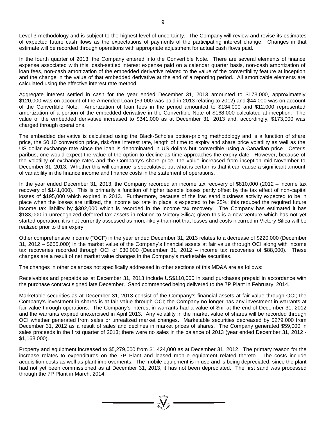Level 3 methodology and is subject to the highest level of uncertainty. The Company will review and revise its estimates of expected future cash flows as the expectations of payments of the participating interest change. Changes in that estimate will be recorded through operations with appropriate adjustment for actual cash flows paid.

In the fourth quarter of 2013, the Company entered into the Convertible Note. There are several elements of finance expense associated with this: cash-settled interest expense paid on a calendar quarter basis, non-cash amortization of loan fees, non-cash amortization of the embedded derivative related to the value of the convertibility feature at inception and the change in the value of that embedded derivative at the end of a reporting period. All amortizable elements are calculated using the effective interest rate method.

Aggregate interest settled in cash for the year ended December 31, 2013 amounted to \$173,000, approximately \$120,000 was on account of the Amended Loan (\$9,000 was paid in 2013 relating to 2012) and \$44,000 was on account of the Convertible Note. Amortization of loan fees in the period amounted to \$134,000 and \$12,000 represented amortization of a portion of the embedded derivative in the Convertible Note of \$168,000 calculated at inception. The value of the embedded derivative increased to \$341,000 as at December 31, 2013 and, accordingly, \$173,000 was charged through operations.

The embedded derivative is calculated using the Black-Scholes option-pricing methodology and is a function of share price, the \$0.10 conversion price, risk-free interest rate, length of time to expiry and share price volatility as well as the US dollar exchange rate since the loan is denominated in US dollars but convertible using a Canadian price. Ceteris paribus, one would expect the value of the option to decline as time approaches the expiry date. However, because of the volatility of exchange rates and the Company's share price, the value increased from inception mid-November to December 31, 2013. Whether this will continue is speculative, but what is certain is that it can cause a significant amount of variability in the finance income and finance costs in the statement of operations.

In the year ended December 31, 2013, the Company recorded an income tax recovery of \$810,000 (2012 – income tax recovery of \$141,000). This is primarily a function of higher taxable losses partly offset by the tax effect of non-capital losses of \$195,000 which expired in 2013. Furthermore, because of the frac sand business activity expected to be in place when the losses are utilized, the income tax rate in place is expected to be 25%; this reduced the required future income tax liability by \$302,000 which is recorded in the income tax recovery. The Company has estimated it has \$183,000 in unrecognized deferred tax assets in relation to Victory Silica; given this is a new venture which has not yet started operation, it is not currently assessed as more-likely-than-not that losses and costs incurred in Victory Silica will be realized prior to their expiry.

Other comprehensive income ("OCI") in the year ended December 31, 2013 relates to a decrease of \$220,000 (December 31, 2012 – \$655,000) in the market value of the Company's financial assets at fair value through OCI along with income tax recoveries recorded through OCI of \$30,000 (December 31, 2012 – income tax recoveries of \$88,000). These changes are a result of net market value changes in the Company's marketable securities.

The changes in other balances not specifically addressed in other sections of this MD&A are as follows:

Receivables and prepaids as at December 31, 2013 include US\$110,000 in sand purchases prepaid in accordance with the purchase contract signed late December. Sand commenced being delivered to the 7P Plant in February, 2014.

Marketable securities as at December 31, 2013 consist of the Company's financial assets at fair value through OCI; the Company's investment in shares is at fair value through OCI; the Company no longer has any investment in warrants at fair value through operations. The Company's interest in warrants had a value of \$nil at the end of December 31, 2012 and the warrants expired unexercised in April 2013. Any volatility in the market value of shares will be recorded through OCI whether generated from sales or unrealized market changes. Marketable securities decreased by \$279,000 from December 31, 2012 as a result of sales and declines in market prices of shares. The Company generated \$59,000 in sales proceeds in the first quarter of 2013; there were no sales in the balance of 2013 (year ended December 31, 2012 - \$1,168,000).

Property and equipment increased to \$5,279,000 from \$1,424,000 as at December 31, 2012. The primary reason for the increase relates to expenditures on the 7P Plant and leased mobile equipment related thereto. The costs include acquisition costs as well as plant improvements. The mobile equipment is in use and is being depreciated; since the plant had not yet been commissioned as at December 31, 2013, it has not been depreciated. The first sand was processed through the 7P Plant in March, 2014.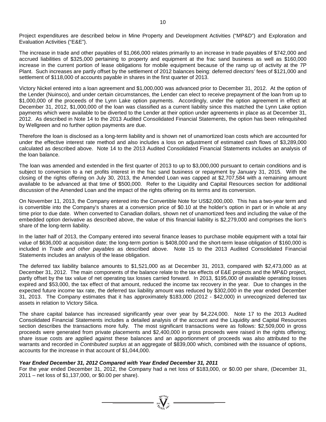Project expenditures are described below in Mine Property and Development Activities ("MP&D") and Exploration and Evaluation Activities ("E&E").

The increase in trade and other payables of \$1,066,000 relates primarily to an increase in trade payables of \$742,000 and accrued liabilities of \$325,000 pertaining to property and equipment at the frac sand business as well as \$160,000 increase in the current portion of lease obligations for mobile equipment because of the ramp up of activity at the 7P Plant. Such increases are partly offset by the settlement of 2012 balances being: deferred directors' fees of \$121,000 and settlement of \$118,000 of accounts payable in shares in the first quarter of 2013.

Victory Nickel entered into a loan agreement and \$1,000,000 was advanced prior to December 31, 2012. At the option of the Lender (Nuinsco), and under certain circumstances, the Lender can elect to receive prepayment of the loan from up to \$1,000,000 of the proceeds of the Lynn Lake option payments. Accordingly, under the option agreement in effect at December 31, 2012, \$1,000,000 of the loan was classified as a current liability since this matched the Lynn Lake option payments which were available to be diverted to the Lender at their option under agreements in place as at December 31, 2012. As described in Note 14 to the 2013 Audited Consolidated Financial Statements, the option has been relinquished by Wellgreen and no further option payments are due.

Therefore the loan is disclosed as a long-term liability and is shown net of unamortized loan costs which are accounted for under the effective interest rate method and also includes a loss on adjustment of estimated cash flows of \$3,289,000 calculated as described above. Note 14 to the 2013 Audited Consolidated Financial Statements includes an analysis of the loan balance.

The loan was amended and extended in the first quarter of 2013 to up to \$3,000,000 pursuant to certain conditions and is subject to conversion to a net profits interest in the frac sand business or repayment by January 31, 2015. With the closing of the rights offering on July 30, 2013, the Amended Loan was capped at \$2,707,584 with a remaining amount available to be advanced at that time of \$500,000. Refer to the Liquidity and Capital Resources section for additional discussion of the Amended Loan and the impact of the rights offering on its terms and its conversion.

On November 11, 2013, the Company entered into the Convertible Note for US\$2,000,000. This has a two-year term and is convertible into the Company's shares at a conversion price of \$0.10 at the holder's option in part or in whole at any time prior to due date. When converted to Canadian dollars, shown net of unamortized fees and including the value of the embedded option derivative as described above, the value of this financial liability is \$2,279,000 and comprises the lion's share of the long-term liability.

In the latter half of 2013, the Company entered into several finance leases to purchase mobile equipment with a total fair value of \$636,000 at acquisition date; the long-term portion is \$408,000 and the short-term lease obligation of \$160,000 is included in *Trade and other payables* as described above. Note 15 to the 2013 Audited Consolidated Financial Statements includes an analysis of the lease obligation.

The deferred tax liability balance amounts to \$1,521,000 as at December 31, 2013, compared with \$2,473,000 as at December 31, 2012. The main components of the balance relate to the tax effects of E&E projects and the MP&D project, partly offset by the tax value of net operating tax losses carried forward. In 2013, \$195,000 of available operating losses expired and \$53,000, the tax effect of that amount, reduced the income tax recovery in the year. Due to changes in the expected future income tax rate, the deferred tax liability amount was reduced by \$302,000 in the year ended December 31, 2013. The Company estimates that it has approximately \$183,000 (2012 - \$42,000) in unrecognized deferred tax assets in relation to Victory Silica.

The share capital balance has increased significantly year over year by \$4,224,000. Note 17 to the 2013 Audited Consolidated Financial Statements includes a detailed analysis of the account and the Liquidity and Capital Resources section describes the transactions more fully. The most significant transactions were as follows: \$2,509,000 in gross proceeds were generated from private placements and \$2,400,000 in gross proceeds were raised in the rights offering; share issue costs are applied against these balances and an apportionment of proceeds was also attributed to the warrants and recorded in *Contributed surplus* at an aggregate of \$839,000 which, combined with the issuance of options, accounts for the increase in that account of \$1,044,000.

# *Year Ended December 31, 2012 Compared with Year Ended December 31, 2011*

For the year ended December 31, 2012, the Company had a net loss of \$183,000, or \$0.00 per share, (December 31, 2011 – net loss of \$1,137,000, or \$0.00 per share).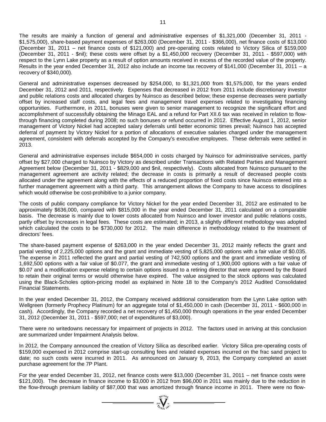The results are mainly a function of general and administrative expenses of \$1,321,000 (December 31, 2011 - \$1,575,000), share-based payment expenses of \$263,000 (December 31, 2011 - \$366,000), net finance costs of \$13,000 (December 31, 2011 – net finance costs of \$121,000) and pre-operating costs related to Victory Silica of \$159,000 (December 31, 2011 - \$nil); these costs were offset by a \$1,450,000 recovery (December 31, 2011 - \$597,000) with respect to the Lynn Lake property as a result of option amounts received in excess of the recorded value of the property. Results in the year ended December 31, 2012 also include an income tax recovery of \$141,000 (December 31, 2011 – a recovery of \$340,000).

General and administrative expenses decreased by \$254,000, to \$1,321,000 from \$1,575,000, for the years ended December 31, 2012 and 2011, respectively. Expenses that decreased in 2012 from 2011 include discretionary investor and public relations costs and allocated charges by Nuinsco as described below; these expense decreases were partially offset by increased staff costs, and legal fees and management travel expenses related to investigating financing opportunities. Furthermore, in 2011, bonuses were given to senior management to recognize the significant effort and accomplishment of successfully obtaining the Minago EAL and a refund for Part XII.6 tax was received in relation to flowthrough financing completed during 2008; no such bonuses or refund occurred in 2012. Effective August 1, 2012, senior management of Victory Nickel had accepted salary deferrals until better economic times prevail; Nuinsco has accepted deferral of payment by Victory Nickel for a portion of allocations of executive salaries charged under the management agreement, consistent with deferrals accepted by the Company's executive employees. These deferrals were settled in 2013.

General and administrative expenses include \$654,000 in costs charged by Nuinsco for administrative services, partly offset by \$27,000 charged to Nuinsco by Victory as described under Transactions with Related Parties and Management Agreement below (December 31, 2011 - \$829,000 and \$nil, respectively). Costs allocated from Nuinsco pursuant to the management agreement are activity related; the decrease in costs is primarily a result of decreased people costs allocated under the agreement along with the effects of a reduced proportion of fixed costs since Nuinsco entered into a further management agreement with a third party. This arrangement allows the Company to have access to disciplines which would otherwise be cost-prohibitive to a junior company.

The costs of public company compliance for Victory Nickel for the year ended December 31, 2012 are estimated to be approximately \$636,000, compared with \$815,000 in the year ended December 31, 2011 calculated on a comparable basis. The decrease is mainly due to lower costs allocated from Nuinsco and lower investor and public relations costs, partly offset by increases in legal fees. These costs are estimated; in 2013, a slightly different methodology was adopted which calculated the costs to be \$730,000 for 2012. The main difference in methodology related to the treatment of directors' fees.

The share-based payment expense of \$263,000 in the year ended December 31, 2012 mainly reflects the grant and partial vesting of 2,225,000 options and the grant and immediate vesting of 5,825,000 options with a fair value of \$0.035. The expense in 2011 reflected the grant and partial vesting of 742,500 options and the grant and immediate vesting of 1,692,500 options with a fair value of \$0.077, the grant and immediate vesting of 1,900,000 options with a fair value of \$0.07 and a modification expense relating to certain options issued to a retiring director that were approved by the Board to retain their original terms or would otherwise have expired. The value assigned to the stock options was calculated using the Black-Scholes option-pricing model as explained in Note 18 to the Company's 2012 Audited Consolidated Financial Statements.

In the year ended December 31, 2012, the Company received additional consideration from the Lynn Lake option with Wellgreen (formerly Prophecy Platinum) for an aggregate total of \$1,450,000 in cash (December 31, 2011 - \$600,000 in cash). Accordingly, the Company recorded a net recovery of \$1,450,000 through operations in the year ended December 31, 2012 (December 31, 2011 - \$597,000; net of expenditures of \$3,000).

There were no writedowns necessary for impairment of projects in 2012. The factors used in arriving at this conclusion are summarized under Impairment Analysis below.

In 2012, the Company announced the creation of Victory Silica as described earlier. Victory Silica pre-operating costs of \$159,000 expensed in 2012 comprise start-up consulting fees and related expenses incurred on the frac sand project to date; no such costs were incurred in 2011. As announced on January 9, 2013, the Company completed an asset purchase agreement for the 7P Plant.

For the year ended December 31, 2012, net finance costs were \$13,000 (December 31, 2011 – net finance costs were \$121,000). The decrease in finance income to \$3,000 in 2012 from \$96,000 in 2011 was mainly due to the reduction in the flow-through premium liability of \$87,000 that was amortized through finance income in 2011. There were no flow-

 $=$   $\sum_{i=1}^{N} \sum_{j=1}^{N}$  =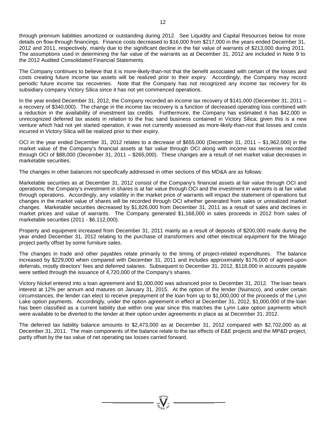through premium liabilities amortized or outstanding during 2012. See Liquidity and Capital Resources below for more details on flow-through financings. Finance costs decreased to \$16,000 from \$217,000 in the years ended December 31, 2012 and 2011, respectively, mainly due to the significant decline in the fair value of warrants of \$213,000 during 2011. The assumptions used in determining the fair value of the warrants as at December 31, 2012 are included in Note 9 to the 2012 Audited Consolidated Financial Statements.

The Company continues to believe that it is more-likely-than-not that the benefit associated with certain of the losses and costs creating future income tax assets will be realized prior to their expiry. Accordingly, the Company may record periodic future income tax recoveries. Note that the Company has not recognized any income tax recovery for its subsidiary company Victory Silica since it has not yet commenced operations.

In the year ended December 31, 2012, the Company recorded an income tax recovery of \$141,000 (December 31, 2011 – a recovery of \$340,000). The change in the income tax recovery is a function of decreased operating loss combined with a reduction in the availability of investment tax credits. Furthermore, the Company has estimated it has \$42,000 in unrecognized deferred tax assets in relation to the frac sand business contained in Victory Silica; given this is a new venture which had not yet started operation, it was not currently assessed as more-likely-than-not that losses and costs incurred in Victory Silica will be realized prior to their expiry.

OCI in the year ended December 31, 2012 relates to a decrease of \$655,000 (December 31, 2011 – \$1,962,000) in the market value of the Company's financial assets at fair value through OCI along with income tax recoveries recorded through OCI of \$88,000 (December 31, 2011 – \$265,000). These changes are a result of net market value decreases in marketable securities.

The changes in other balances not specifically addressed in other sections of this MD&A are as follows:

Marketable securities as at December 31, 2012 consist of the Company's financial assets at fair value through OCI and operations; the Company's investment in shares is at fair value through OCI and the investment in warrants is at fair value through operations. Accordingly, any volatility in the market price of warrants will impact the statement of operations but changes in the market value of shares will be recorded through OCI whether generated from sales or unrealized market changes. Marketable securities decreased by \$1,826,000 from December 31, 2011 as a result of sales and declines in market prices and value of warrants. The Company generated \$1,168,000 in sales proceeds in 2012 from sales of marketable securities (2011 - \$6,112,000).

Property and equipment increased from December 31, 2011 mainly as a result of deposits of \$200,000 made during the year ended December 31, 2012 relating to the purchase of transformers and other electrical equipment for the Minago project partly offset by some furniture sales.

The changes in trade and other payables relate primarily to the timing of project-related expenditures. The balance increased by \$229,000 when compared with December 31, 2011 and includes approximately \$176,000 of agreed-upon deferrals, mostly directors' fees and deferred salaries. Subsequent to December 31, 2012, \$118,000 in accounts payable were settled through the issuance of 4,720,000 of the Company's shares.

Victory Nickel entered into a loan agreement and \$1,000,000 was advanced prior to December 31, 2012. The loan bears interest at 12% per annum and matures on January 31, 2015. At the option of the lender (Nuinsco), and under certain circumstances, the lender can elect to receive prepayment of the loan from up to \$1,000,000 of the proceeds of the Lynn Lake option payments. Accordingly, under the option agreement in effect at December 31, 2012, \$1,000,000 of the loan has been classified as a current liability due within one year since this matches the Lynn Lake option payments which were available to be diverted to the lender at their option under agreements in place as at December 31, 2012.

The deferred tax liability balance amounts to \$2,473,000 as at December 31, 2012 compared with \$2,702,000 as at December 31, 2011. The main components of the balance relate to the tax effects of E&E projects and the MP&D project, partly offset by the tax value of net operating tax losses carried forward.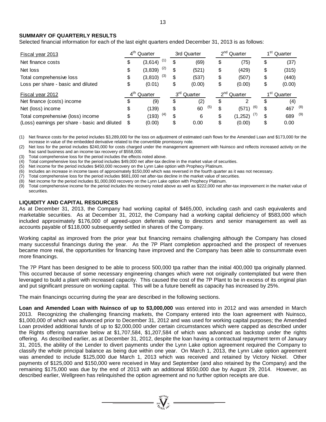#### **SUMMARY OF QUARTERLY RESULTS**

Selected financial information for each of the last eight quarters ended December 31, 2013 is as follows:

| Fiscal year 2013                              |    | 4 <sup>th</sup> Quarter<br>3rd Quarter |     |                         |     | 2 <sup>nd</sup> Quarter |     |                         |  | 1 <sup>st</sup> Quarter |
|-----------------------------------------------|----|----------------------------------------|-----|-------------------------|-----|-------------------------|-----|-------------------------|--|-------------------------|
| Net finance costs                             | S  | (1)<br>(3,614)                         | \$. | (69)                    | \$  | (75)                    | S   | (37)                    |  |                         |
| Net loss                                      | \$ | (2)<br>(3, 839)                        | \$  | (521)                   | \$  | (429)                   | S   | (315)                   |  |                         |
| Total comprehensive loss                      | \$ | (3)<br>(3, 810)                        | \$  | (537)                   | \$  | (507)                   | S   | (440)                   |  |                         |
| Loss per share - basic and diluted            | \$ | (0.01)                                 | \$  | (0.00)                  | \$  | (0.00)                  |     | (0.00)                  |  |                         |
| Fiscal year 2012                              |    | 4 <sup>th</sup> Quarter                |     | 3 <sup>rd</sup> Quarter |     | 2 <sup>nd</sup> Quarter |     | 1 <sup>st</sup> Quarter |  |                         |
| Net finance (costs) income                    |    | (9)                                    | S   | (2)                     | \$. | 2                       | \$. | (4)                     |  |                         |
| Net (loss) income                             | S  | (139)                                  | \$  | (5)<br>60               | \$  | (6)<br>(571)            | \$  | (8)<br>467              |  |                         |
| Total comprehensive (loss) income             | \$ | (4)<br>(193)                           | \$  | 6                       | \$  | (7)<br>(1, 252)         | \$  | (9)<br>689              |  |                         |
| (Loss) earnings per share - basic and diluted |    | (0.00)                                 | \$  | 0.00                    |     | (0.00)                  |     | 0.00                    |  |                         |

(1) Net finance costs for the period includes \$3,289,000 for the loss on adjustment of estimated cash flows for the Amended Loan and \$173,000 for the increase in value of the embedded derivative related to the convertible promissory note.

(2) Net loss for the period includes \$240,000 for costs charged under the management agreement with Nuinsco and reflects increased activity on the frac sand business and an income tax recovery of \$558,000.

(3) Total comprehensive loss for the period includes the effects noted above.

(4) Total comprehensive loss for the period includes \$49,000 net after-tax decline in the market value of securities.

(5) Net income for the period includes \$450,000 recovery on the Lynn Lake option with Prophecy Platinum.

(6) Includes an increase in income taxes of approximately \$150,000 which was reversed in the fourth quarter as it was not necessary.

(7) Total comprehensive loss for the period includes \$681,000 net after-tax decline in the market value of securities.

(8) Net income for the period includes \$1,000,000 recovery on the Lynn Lake option with Prophecy Platinum.

(9) Total comprehensive income for the period includes the recovery noted above as well as \$222,000 net after-tax improvement in the market value of securities.

# **LIQUIDITY AND CAPITAL RESOURCES**

As at December 31, 2013, the Company had working capital of \$465,000, including cash and cash equivalents and marketable securities. As at December 31, 2012, the Company had a working capital deficiency of \$583,000 which included approximately \$176,000 of agreed-upon deferrals owing to directors and senior management as well as accounts payable of \$118,000 subsequently settled in shares of the Company.

Working capital as improved from the prior year but financing remains challenging although the Company has closed many successful financings during the year. As the 7P Plant completion approached and the prospect of revenues became more real, the opportunities for financing have improved and the Company has been able to consummate even more financings.

The 7P Plant has been designed to be able to process 500,000 tpa rather than the initial 400,000 tpa originally planned. This occurred because of some necessary engineering changes which were not originally contemplated but were then leveraged to build a plant with increased capacity. This caused the cost of the 7P Plant to be in excess of its original plan and put significant pressure on working capital. This will be a future benefit as capacity has increased by 25%.

The main financings occurring during the year are described in the following sections.

**Loan and Amended Loan with Nuinsco of up to \$3,000,000** was entered into in 2012 and was amended in March 2013. Recognizing the challenging financing markets, the Company entered into the loan agreement with Nuinsco, \$1,000,000 of which was advanced prior to December 31, 2012 and was used for working capital purposes; the Amended Loan provided additional funds of up to \$2,000,000 under certain circumstances which were capped as described under the Rights offering narrative below at \$1,707,584, \$1,207,584 of which was advanced as backstop under the rights offering. As described earlier, as at December 31, 2012, despite the loan having a contractual repayment term of January 31, 2015, the ability of the Lender to divert payments under the Lynn Lake option agreement required the Company to classify the whole principal balance as being due within one year. On March 1, 2013, the Lynn Lake option agreement was amended to include \$125,000 due March 1, 2013 which was received and retained by Victory Nickel. Other payments of \$125,000 and \$150,000 were received in May and September (and also retained by the Company) and the remaining \$175,000 was due by the end of 2013 with an additional \$550,000 due by August 29, 2014. However, as described earlier, Wellgreen has relinquished the option agreement and no further option receipts are due.

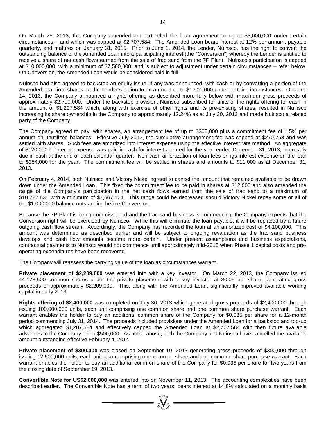On March 25, 2013, the Company amended and extended the loan agreement to up to \$3,000,000 under certain circumstances – and which was capped at \$2,707,584. The Amended Loan bears interest at 12% per annum, payable quarterly, and matures on January 31, 2015. Prior to June 1, 2014, the Lender, Nuinsco, has the right to convert the outstanding balance of the Amended Loan into a participating interest (the "Conversion") whereby the Lender is entitled to receive a share of net cash flows earned from the sale of frac sand from the 7P Plant. Nuinsco's participation is capped at \$10,000,000, with a minimum of \$7,500,000, and is subject to adjustment under certain circumstances – refer below. On Conversion, the Amended Loan would be considered paid in full.

Nuinsco had also agreed to backstop an equity issue, if any was announced, with cash or by converting a portion of the Amended Loan into shares, at the Lender's option to an amount up to \$1,500,000 under certain circumstances. On June 14, 2013, the Company announced a rights offering as described more fully below with maximum gross proceeds of approximately \$2,700,000. Under the backstop provision, Nuinsco subscribed for units of the rights offering for cash in the amount of \$1,207,584 which, along with exercise of other rights and its pre-existing shares, resulted in Nuinsco increasing its share ownership in the Company to approximately 12.24% as at July 30, 2013 and made Nuinsco a related party of the Company.

The Company agreed to pay, with shares, an arrangement fee of up to \$300,000 plus a commitment fee of 1.5% per annum on unutilized balances. Effective July 2013, the cumulative arrangement fee was capped at \$270,758 and was settled with shares. Such fees are amortized into interest expense using the effective interest rate method. An aggregate of \$120,000 in interest expense was paid in cash for interest accrued for the year ended December 31, 2013; interest is due in cash at the end of each calendar quarter. Non-cash amortization of loan fees brings interest expense on the loan to \$254,000 for the year. The commitment fee will be settled in shares and amounts to \$11,000 as at December 31, 2013.

On February 4, 2014, both Nuinsco and Victory Nickel agreed to cancel the amount that remained available to be drawn down under the Amended Loan. This fixed the commitment fee to be paid in shares at \$12,000 and also amended the range of the Company's participation in the net cash flows earned from the sale of frac sand to a maximum of \$10,222,831 with a minimum of \$7,667,124. This range could be decreased should Victory Nickel repay some or all of the \$1,000,000 balance outstanding before Conversion.

Because the 7P Plant is being commissioned and the frac sand business is commencing, the Company expects that the Conversion right will be exercised by Nuinsco. While this will eliminate the loan payable, it will be replaced by a future outgoing cash flow stream. Accordingly, the Company has recorded the loan at an amortized cost of \$4,100,000. This amount was determined as described earlier and will be subject to ongoing revaluation as the frac sand business develops and cash flow amounts become more certain. Under present assumptions and business expectations, contractual payments to Nuinsco would not commence until approximately mid-2015 when Phase 1 capital costs and preoperating expenditures have been recovered.

The Company will reassess the carrying value of the loan as circumstances warrant.

**Private placement of \$2,209,000** was entered into with a key investor. On March 22, 2013, the Company issued 44,178,500 common shares under the private placement with a key investor at \$0.05 per share, generating gross proceeds of approximately \$2,209,000. This, along with the Amended Loan, significantly improved available working capital in early 2013.

**Rights offering of \$2,400,000** was completed on July 30, 2013 which generated gross proceeds of \$2,400,000 through issuing 100,000,000 units, each unit comprising one common share and one common share purchase warrant. Each warrant enables the holder to buy an additional common share of the Company for \$0.035 per share for a 12-month period commencing July 31, 2014. The proceeds included provisions under the Amended Loan for a backstop and top-up which aggregated \$1,207,584 and effectively capped the Amended Loan at \$2,707,584 with then future available advances to the Company being \$500,000. As noted above, both the Company and Nuinsco have cancelled the available amount outstanding effective February 4, 2014.

**Private placement of \$300,000** was closed on September 19, 2013 generating gross proceeds of \$300,000 through issuing 12,500,000 units, each unit also comprising one common share and one common share purchase warrant. Each warrant enables the holder to buy an additional common share of the Company for \$0.035 per share for two years from the closing date of September 19, 2013.

**Convertible Note for US\$2,000,000** was entered into on November 11, 2013. The accounting complexities have been described earlier. The Convertible Note has a term of two years, bears interest at 14.8% calculated on a monthly basis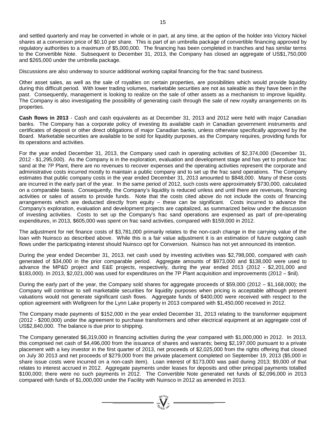15

and settled quarterly and may be converted in whole or in part, at any time, at the option of the holder into Victory Nickel shares at a conversion price of \$0.10 per share. This is part of an umbrella package of convertible financing approved by regulatory authorities to a maximum of \$5,000,000. The financing has been completed in tranches and has similar terms to the Convertible Note. Subsequent to December 31, 2013, the Company has closed an aggregate of US\$1,750,000 and \$265,000 under the umbrella package.

Discussions are also underway to source additional working capital financing for the frac sand business.

Other asset sales, as well as the sale of royalties on certain properties, are possibilities which would provide liquidity during this difficult period. With lower trading volumes, marketable securities are not as saleable as they have been in the past. Consequently, management is looking to realize on the sale of other assets as a mechanism to improve liquidity. The Company is also investigating the possibility of generating cash through the sale of new royalty arrangements on its properties.

**Cash flows in 2013** - Cash and cash equivalents as at December 31, 2013 and 2012 were held with major Canadian banks. The Company has a corporate policy of investing its available cash in Canadian government instruments and certificates of deposit or other direct obligations of major Canadian banks, unless otherwise specifically approved by the Board. Marketable securities are available to be sold for liquidity purposes, as the Company requires, providing funds for its operations and activities.

For the year ended December 31, 2013, the Company used cash in operating activities of \$2,374,000 (December 31, 2012 - \$1,295,000). As the Company is in the exploration, evaluation and development stage and has yet to produce frac sand at the 7P Plant, there are no revenues to recover expenses and the operating activities represent the corporate and administrative costs incurred mostly to maintain a public company and to set up the frac sand operations. The Company estimates that public company costs in the year ended December 31, 2013 amounted to \$848,000. Many of these costs are incurred in the early part of the year. In the same period of 2012, such costs were approximately \$730,000, calculated on a comparable basis. Consequently, the Company's liquidity is reduced unless and until there are revenues, financing activities or sales of assets to provide funds. Note that the costs cited above do not include the costs of financing arrangements which are deducted directly from equity – these can be significant. Costs incurred to advance the Company's exploration, evaluation and development projects are capitalized, as summarized below under the discussion of investing activities. Costs to set up the Company's frac sand operations are expensed as part of pre-operating expenditures, in 2013, \$605,000 was spent on frac sand activities, compared with \$159,000 in 2012.

The adjustment for net finance costs of \$3,781,000 primarily relates to the non-cash change in the carrying value of the loan with Nuinsco as described above. While this is a fair value adjustment it is an estimation of future outgoing cash flows under the participating interest should Nuinsco opt for Conversion. Nuinsco has not yet announced its intention.

During the year ended December 31, 2013, net cash used by investing activities was \$2,798,000, compared with cash generated of \$34,000 in the prior comparable period. Aggregate amounts of \$973,000 and \$138,000 were used to advance the MP&D project and E&E projects, respectively, during the year ended 2013 (2012 - \$2,201,000 and \$183,000). In 2013, \$2,021,000 was used for expenditures on the 7P Plant acquisition and improvements (2012 – \$nil).

During the early part of the year, the Company sold shares for aggregate proceeds of \$59,000 (2012 – \$1,168,000); the Company will continue to sell marketable securities for liquidity purposes when pricing is acceptable although present valuations would not generate significant cash flows. Aggregate funds of \$400,000 were received with respect to the option agreement with Wellgreen for the Lynn Lake property in 2013 compared with \$1,450,000 received in 2012.

The Company made payments of \$152,000 in the year ended December 31, 2013 relating to the transformer equipment (2012 - \$200,000) under the agreement to purchase transformers and other electrical equipment at an aggregate cost of US\$2,840,000. The balance is due prior to shipping.

The Company generated \$6,319,000 in financing activities during the year compared with \$1,000,000 in 2012. In 2013, this comprised net cash of \$4,496,000 from the issuance of shares and warrants; being \$2,197,000 pursuant to a private placement with a key investor in the first quarter of 2013, net proceeds of \$2,025,000 from the rights offering that closed on July 30 2013 and net proceeds of \$279,000 from the private placement completed on September 19, 2013 (\$5,000 in share issue costs were incurred on a non-cash item). Loan interest of \$173,000 was paid during 2013; \$9,000 of that relates to interest accrued in 2012. Aggregate payments under leases for deposits and other principal payments totalled \$100,000; there were no such payments in 2012. The Convertible Note generated net funds of \$2,096,000 in 2013 compared with funds of \$1,000,000 under the Facility with Nuinsco in 2012 as amended in 2013.

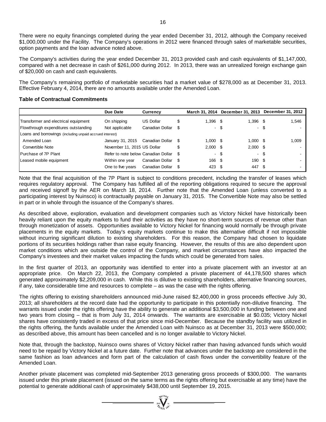There were no equity financings completed during the year ended December 31, 2012, although the Company received \$1,000,000 under the Facility. The Company's operations in 2012 were financed through sales of marketable securities, option payments and the loan advance noted above.

The Company's activities during the year ended December 31, 2013 provided cash and cash equivalents of \$1,147,000, compared with a net decrease in cash of \$261,000 during 2012. In 2013, there was an unrealized foreign exchange gain of \$20,000 on cash and cash equivalents.

The Company's remaining portfolio of marketable securities had a market value of \$278,000 as at December 31, 2013. Effective February 4, 2014, there are no amounts available under the Amended Loan.

# **Table of Contractual Commitments**

|                                                          | Due Date                            | <b>Currency</b>  |   |               | March 31, 2014 December 31, 2013 December 31, 2012 |       |
|----------------------------------------------------------|-------------------------------------|------------------|---|---------------|----------------------------------------------------|-------|
| Transformer and electrical equipment                     | On shipping                         | <b>US Dollar</b> | S | 1,396 \$      | 1,396 \$                                           | 1,546 |
| Flowthrough expenditures outstanding                     | Not applicable                      | Canadian Dollar  |   |               | - \$<br>- \$                                       |       |
| Loans and borrowings (including unpaid accrued interest) |                                     |                  |   |               |                                                    |       |
| Amended Loan                                             | January 31, 2015                    | Canadian Dollar  |   | $1,000$ \$    | $1.000$ \$                                         | 1,009 |
| Convertible Note                                         | November 11, 2015 US Dollar         |                  |   | $2,000$ \$    | $2,000$ \$                                         |       |
| Purchase of 7P Plant                                     | Refer to note below Canadian Dollar |                  |   |               | - \$<br>- \$                                       |       |
| Leased mobile equipment                                  | Within one year                     | Canadian Dollar  |   | 166 \$        | 190 \$                                             |       |
|                                                          | One to five years                   | Canadian Dollar  |   | $423 \quad $$ | 447 \$                                             |       |

Note that the final acquisition of the 7P Plant is subject to conditions precedent, including the transfer of leases which requires regulatory approval. The Company has fulfilled all of the reporting obligations required to secure the approval and received signoff by the AER on March 18, 2014. Further note that the Amended Loan (unless converted to a participating interest by Nuinsco) is contractually payable on January 31, 2015. The Convertible Note may also be settled in part or in whole through the issuance of the Company's shares.

As described above, exploration, evaluation and development companies such as Victory Nickel have historically been heavily reliant upon the equity markets to fund their activities as they have no short-term sources of revenue other than through monetization of assets. Opportunities available to Victory Nickel for financing would normally be through private placements in the equity markets. Today's equity markets continue to make this alternative difficult if not impossible without incurring significant dilution to existing shareholders. For this reason, the Company had chosen to liquidate portions of its securities holdings rather than raise equity financing. However, the results of this are also dependent upon market conditions which are outside the control of the Company, and market circumstances have also impacted the Company's investees and their market values impacting the funds which could be generated from sales.

In the first quarter of 2013, an opportunity was identified to enter into a private placement with an investor at an appropriate price. On March 22, 2013, the Company completed a private placement of 44,178,500 shares which generated approximately \$2,209,000 in cash. While this is dilutive to existing shareholders, alternative financing sources, if any, take considerable time and resources to complete – as was the case with the rights offering.

The rights offering to existing shareholders announced mid-June raised \$2,400,000 in gross proceeds effective July 30, 2013; all shareholders at the record date had the opportunity to participate in this potentially non-dilutive financing. The warrants issued under the rights offering have the ability to generate an additional \$3,500,000 in funding between one and two years from closing – that is from July 31, 2014 onwards. The warrants are exercisable at \$0.035; Victory Nickel shares have consistently traded in excess of that price since mid-December. Because the standby facility was utilized in the rights offering, the funds available under the Amended Loan with Nuinsco as at December 31, 2013 were \$500,000; as described above, this amount has been cancelled and is no longer available to Victory Nickel.

Note that, through the backstop, Nuinsco owns shares of Victory Nickel rather than having advanced funds which would need to be repaid by Victory Nickel at a future date. Further note that advances under the backstop are considered in the same fashion as loan advances and form part of the calculation of cash flows under the convertibility feature of the Amended Loan.

Another private placement was completed mid-September 2013 generating gross proceeds of \$300,000. The warrants issued under this private placement (issued on the same terms as the rights offering but exercisable at any time) have the potential to generate additional cash of approximately \$438,000 until September 19, 2015.

 $\sum_{n=1}^{\text{NLO},b}$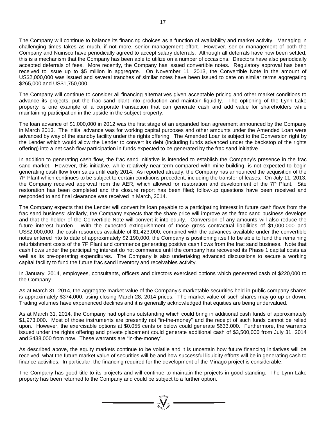The Company will continue to balance its financing choices as a function of availability and market activity. Managing in challenging times takes as much, if not more, senior management effort. However, senior management of both the Company and Nuinsco have periodically agreed to accept salary deferrals. Although all deferrals have now been settled, this is a mechanism that the Company has been able to utilize on a number of occasions. Directors have also periodically accepted deferrals of fees. More recently, the Company has issued convertible notes. Regulatory approval has been received to issue up to \$5 million in aggregate. On November 11, 2013, the Convertible Note in the amount of US\$2,000,000 was issued and several tranches of similar notes have been issued to date on similar terms aggregating \$265,000 and US\$1,750,000.

The Company will continue to consider all financing alternatives given acceptable pricing and other market conditions to advance its projects, put the frac sand plant into production and maintain liquidity. The optioning of the Lynn Lake property is one example of a corporate transaction that can generate cash and add value for shareholders while maintaining participation in the upside in the subject property.

The loan advance of \$1,000,000 in 2012 was the first stage of an expanded loan agreement announced by the Company in March 2013. The initial advance was for working capital purposes and other amounts under the Amended Loan were advanced by way of the standby facility under the rights offering. The Amended Loan is subject to the Conversion right by the Lender which would allow the Lender to convert its debt (including funds advanced under the backstop of the rights offering) into a net cash flow participation in funds expected to be generated by the frac sand initiative.

In addition to generating cash flow, the frac sand initiative is intended to establish the Company's presence in the frac sand market. However, this initiative, while relatively near-term compared with mine-building, is not expected to begin generating cash flow from sales until early 2014. As reported already, the Company has announced the acquisition of the 7P Plant which continues to be subject to certain conditions precedent, including the transfer of leases. On July 11, 2013, the Company received approval from the AER, which allowed for restoration and development of the 7P Plant. Site restoration has been completed and the closure report has been filed; follow-up questions have been received and responded to and final clearance was received in March, 2014.

The Company expects that the Lender will convert its loan payable to a participating interest in future cash flows from the frac sand business; similarly, the Company expects that the share price will improve as the frac sand business develops and that the holder of the Convertible Note will convert it into equity. Conversion of any amounts will also reduce the future interest burden. With the expected extinguishment of those gross contractual liabilities of \$1,000,000 and US\$2,000,000, the cash resources available of \$1,423,000, combined with the advances available under the convertible notes entered into to date of approximately \$2,190,000, the Company is positioning itself to be able to fund the remaining refurbishment costs of the 7P Plant and commence generating positive cash flows from the frac sand business. Note that cash flows under the participating interest do not commence until the company has recovered its Phase 1 capital costs as well as its pre-operating expenditures. The Company is also undertaking advanced discussions to secure a working capital facility to fund the future frac sand inventory and receivables activity.

In January, 2014, employees, consultants, officers and directors exercised options which generated cash of \$220,000 to the Company.

As at March 31, 2014, the aggregate market value of the Company's marketable securities held in public company shares is approximately \$374,000, using closing March 28, 2014 prices. The market value of such shares may go up or down. Trading volumes have experienced declines and it is generally acknowledged that equities are being undervalued.

As at March 31, 2014, the Company had options outstanding which could bring in additional cash funds of approximately \$1,973,000. Most of those instruments are presently not "in-the-money" and the receipt of such funds cannot be relied upon. However, the exercisable options at \$0.055 cents or below could generate \$633,000. Furthermore, the warrants issued under the rights offering and private placement could generate additional cash of \$3,500,000 from July 31, 2014 and \$438,000 from now. These warrants are "in-the-money".

As described above, the equity markets continue to be volatile and it is uncertain how future financing initiatives will be received, what the future market value of securities will be and how successful liquidity efforts will be in generating cash to finance activities. In particular, the financing required for the development of the Minago project is considerable.

The Company has good title to its projects and will continue to maintain the projects in good standing. The Lynn Lake property has been returned to the Company and could be subject to a further option.

=  $\sum_{n=1}^{\infty} \frac{1}{n!}$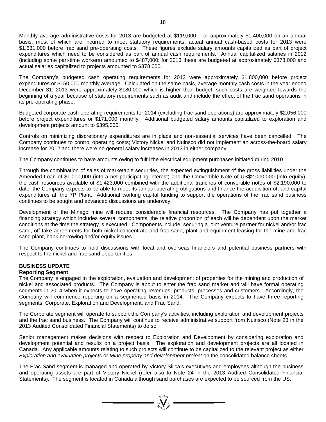Monthly average administrative costs for 2013 are budgeted at \$119,000 – or approximately \$1,400,000 on an annual basis, most of which are incurred to meet statutory requirements; actual annual cash-based costs for 2013 were \$1,631,000 before frac sand pre-operating costs. These figures exclude salary amounts capitalized as part of project expenditures which need to be considered as part of annual cash requirements. Annual capitalized salaries in 2012 (including some part-time workers) amounted to \$487,000; for 2013 these are budgeted at approximately \$373,000 and actual salaries capitalized to projects amounted to \$378,000.

The Company's budgeted cash operating requirements for 2013 were approximately \$1,800,000 before project expenditures or \$150,000 monthly average. Calculated on the same basis, average monthly cash costs in the year ended December 31, 2013 were approximately \$180,000 which is higher than budget; such costs are weighted towards the beginning of a year because of statutory requirements such as audit and include the effect of the frac sand operations in its pre-operating phase.

Budgeted corporate cash operating requirements for 2014 (excluding frac sand operations) are approximately \$2,056,000 before project expenditures or \$171,000 monthly. Additional budgeted salary amounts capitalized to exploration and development projects amount to \$395,000.

Controls on minimizing discretionary expenditures are in place and non-essential services have been cancelled. The Company continues to control operating costs; Victory Nickel and Nuinsco did not implement an across-the-board salary increase for 2012 and there were no general salary increases in 2013 in either company.

The Company continues to have amounts owing to fulfil the electrical equipment purchases initiated during 2010.

Through the combination of sales of marketable securities, the expected extinguishment of the gross liabilities under the Amended Loan of \$1,000,000 (into a net participating interest) and the Convertible Note of US\$2,000,000 (into equity), the cash resources available of \$1,423,000 combined with the additional tranches of convertible notes of \$2,190,000 to date, the Company expects to be able to meet its annual operating obligations and finance the acquisition of, and capital expenditures at, the 7P Plant. Additional working capital funding to support the operations of the frac sand business continues to be sought and advanced discussions are underway.

Development of the Minago mine will require considerable financial resources. The Company has put together a financing strategy which includes several components; the relative proportion of each will be dependent upon the market conditions at the time the strategy is executed. Components include: securing a joint venture partner for nickel and/or frac sand, off-take agreements for both nickel concentrate and frac sand, plant and equipment leasing for the mine and frac sand plant, bank borrowing and/or equity issues.

The Company continues to hold discussions with local and overseas financiers and potential business partners with respect to the nickel and frac sand opportunities.

# **BUSINESS UPDATE**

# **Reporting Segment**

The Company is engaged in the exploration, evaluation and development of properties for the mining and production of nickel and associated products. The Company is about to enter the frac sand market and will have formal operating segments in 2014 when it expects to have operating revenues, products, processes and customers. Accordingly, the Company will commence reporting on a segmented basis in 2014. The Company expects to have three reporting segments: Corporate, Exploration and Development, and Frac Sand.

The Corporate segment will operate to support the Company's activities, including exploration and development projects and the frac sand business. The Company will continue to receive administrative support from Nuinsco (Note 23 in the 2013 Audited Consolidated Financial Statements) to do so.

Senior management makes decisions with respect to Exploration and Development by considering exploration and development potential and results on a project basis. The exploration and development projects are all located in Canada. Any applicable amounts relating to such projects will continue to be capitalized to the relevant project as either *Exploration and evaluation projects* or *Mine property and development project* on the consolidated balance sheets.

The Frac Sand segment is managed and operated by Victory Silica's executives and employees although the business and operating assets are part of Victory Nickel (refer also to Note 24 in the 2013 Audited Consolidated Financial Statements). The segment is located in Canada although sand purchases are expected to be sourced from the US.

=  $\sum_{\substack{i=1\\ i\neq j}}^{n} \sum_{\substack{i=1\\ i\neq j}}^{n}$  =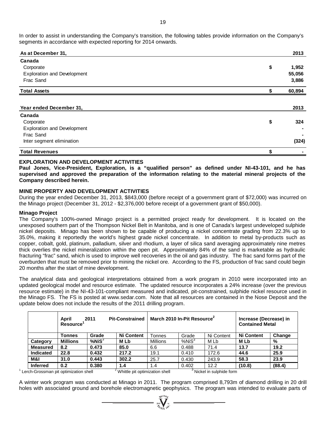In order to assist in understanding the Company's transition, the following tables provide information on the Company's segments in accordance with expected reporting for 2014 onwards.

| As at December 31,                 | 2013        |
|------------------------------------|-------------|
| Canada                             |             |
| Corporate                          | \$<br>1,952 |
| <b>Exploration and Development</b> | 55,056      |
| Frac Sand                          | 3,886       |
| <b>Total Assets</b>                | 60,894      |
|                                    |             |
| Year ended December 31,            | 2013        |
| Canada                             |             |
| Corporate                          | \$<br>324   |
| <b>Exploration and Development</b> |             |
| Frac Sand                          |             |
| Inter segment elimination          | (324)       |
| <b>Total Revenues</b>              | \$          |

#### **EXPLORATION AND DEVELOPMENT ACTIVITIES**

**Paul Jones, Vice-President, Exploration, is a "qualified person" as defined under NI-43-101, and he has supervised and approved the preparation of the information relating to the material mineral projects of the Company described herein.**

#### **MINE PROPERTY AND DEVELOPMENT ACTIVITIES**

During the year ended December 31, 2013, \$843,000 (before receipt of a government grant of \$72,000) was incurred on the Minago project (December 31, 2012 - \$2,376,000 before receipt of a government grant of \$50,000).

#### **Minago Project**

The Company's 100%-owned Minago project is a permitted project ready for development. It is located on the unexposed southern part of the Thompson Nickel Belt in Manitoba, and is one of Canada's largest undeveloped sulphide nickel deposits. Minago has been shown to be capable of producing a nickel concentrate grading from 22.3% up to 35.0%, making it reportedly the world's highest grade nickel concentrate. In addition to metal by-products such as copper, cobalt, gold, platinum, palladium, silver and rhodium, a layer of silica sand averaging approximately nine metres thick overlies the nickel mineralization within the open pit. Approximately 84% of the sand is marketable as hydraulic fracturing "frac" sand, which is used to improve well recoveries in the oil and gas industry. The frac sand forms part of the overburden that must be removed prior to mining the nickel ore. According to the FS, production of frac sand could begin 20 months after the start of mine development.

The analytical data and geological interpretations obtained from a work program in 2010 were incorporated into an updated geological model and resource estimate. The updated resource incorporates a 24% increase (over the previous resource estimate) in the NI-43-101-compliant measured and indicated, pit-constrained, sulphide nickel resource used in the Minago FS. The FS is posted at [www.sedar.com.](http://www.sedar.com/) Note that all resources are contained in the Nose Deposit and the update below does not include the results of the 2011 drilling program.

|                                       | April<br>2011<br>Resource' |              | <b>Pit-Constrained</b>         |                 | March 2010 In-Pit Resource <sup>2</sup> |                         | Increase (Decrease) in<br><b>Contained Metal</b> |        |
|---------------------------------------|----------------------------|--------------|--------------------------------|-----------------|-----------------------------------------|-------------------------|--------------------------------------------------|--------|
|                                       | Tonnes                     | Grade        | <b>Ni Content</b>              | Tonnes          | Grade                                   | Ni Content              | <b>Ni Content</b>                                | Change |
| Category                              | <b>Millions</b>            | $%$ Ni $S^3$ | <b>MLb</b>                     | <b>Millions</b> | %NiS <sup>3</sup>                       | M Lb                    | M Lb                                             | %      |
| <b>Measured</b>                       | 8.2                        | 0.473        | 85.0                           | 6.6             | 0.488                                   | 71.4                    | 13.7                                             | 19.2   |
| <b>Indicated</b>                      | 22.8                       | 0.432        | 217.2                          | 19.1            | 0.410                                   | 172.6                   | 44.6                                             | 25.9   |
| M&I                                   | 31.0                       | 0.443        | 302.2                          | 25.7            | 0.430                                   | 243.9                   | 58.3                                             | 23.9   |
| <b>Inferred</b>                       | 0.2                        | 0.380        | 1.4                            | 1.4             | 0.402                                   | 12.2                    | (10.8)                                           | (88.4) |
| Lerch-Grossman pit optimization shell |                            |              | Whittle pit optimization shell |                 |                                         | Nickel in sulphide form |                                                  |        |

A winter work program was conducted at Minago in 2011. The program comprised 8,793m of diamond drilling in 20 drill holes with associated ground and borehole electromagnetic geophysics. The program was intended to evaluate parts of

 $\sum_{\alpha}$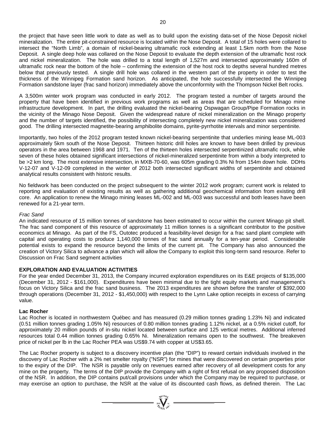the project that have seen little work to date as well as to build upon the existing data-set of the Nose Deposit nickel mineralization. The entire pit-constrained resource is located within the Nose Deposit. A total of 15 holes were collared to intersect the "North Limb", a domain of nickel-bearing ultramafic rock extending at least 1.5km north from the Nose Deposit. A single deep hole was collared on the Nose Deposit to evaluate the depth extension of the ultramafic host rock and nickel mineralization. The hole was drilled to a total length of 1,527m and intersected approximately 160m of ultramafic rock near the bottom of the hole – confirming the extension of the host rock to depths several hundred metres below that previously tested. A single drill hole was collared in the western part of the property in order to test the thickness of the Winnipeg Formation sand horizon. As anticipated, the hole successfully intersected the Winnipeg Formation sandstone layer (frac sand horizon) immediately above the unconformity with the Thompson Nickel Belt rocks.

A 3,500m winter work program was conducted in early 2012. The program tested a number of targets around the property that have been identified in previous work programs as well as areas that are scheduled for Minago mine infrastructure development. In part, the drilling evaluated the nickel-bearing Ospwagan Group/Pipe Formation rocks in the vicinity of the Minago Nose Deposit. Given the widespread nature of nickel mineralization on the Minago property and the number of targets identified, the possibility of intersecting completely new nickel mineralization was considered good. The drilling intersected magnetite-bearing amphibolite domains, pyrite-pyrrhotite intervals and minor serpentinite.

Importantly, two holes of the 2012 program tested known nickel-bearing serpentinite that underlies mining lease ML-003 approximately 5km south of the Nose Deposit. Thirteen historic drill holes are known to have been drilled by previous operators in the area between 1968 and 1971. Ten of the thirteen holes intersected serpentinized ultramafic rock, while seven of these holes obtained significant intersections of nickel-mineralized serpentinite from within a body interpreted to be >2 km long. The most extensive intersection, in MXB-70-60, was 605m grading 0.3% Ni from 154m down hole. DDHs V-12-07 and V-12-09 completed in the winter of 2012 both intersected significant widths of serpentinite and obtained analytical results consistent with historic results.

No fieldwork has been conducted on the project subsequent to the winter 2012 work program; current work is related to reporting and evaluation of existing results as well as gathering additional geochemical information from existing drill core. An application to renew the Minago mining leases ML-002 and ML-003 was successful and both leases have been renewed for a 21-year term.

# *Frac Sand*

An indicated resource of 15 million tonnes of sandstone has been estimated to occur within the current Minago pit shell. The frac sand component of this resource of approximately 11 million tonnes is a significant contributor to the positive economics at Minago. As part of the FS, Outotec produced a feasibility-level design for a frac sand plant complete with capital and operating costs to produce 1,140,000 tonnes of frac sand annually for a ten-year period. Considerable potential exists to expand the resource beyond the limits of the current pit. The Company has also announced the creation of Victory Silica to advance a plan which will allow the Company to exploit this long-term sand resource. Refer to Discussion on Frac Sand segment activities

# **EXPLORATION AND EVALUATION ACTIVITIES**

For the year ended December 31, 2013, the Company incurred exploration expenditures on its E&E projects of \$135,000 (December 31, 2012 - \$161,000). Expenditures have been minimal due to the tight equity markets and management's focus on Victory Silica and the frac sand business. The 2013 expenditures are shown before the transfer of \$392,000 through operations (December 31, 2012 - \$1,450,000) with respect to the Lynn Lake option receipts in excess of carrying value.

#### **Lac Rocher**

Lac Rocher is located in northwestern Québec and has measured (0.29 million tonnes grading 1.23% Ni) and indicated (0.51 million tonnes grading 1.05% Ni) resources of 0.80 million tonnes grading 1.12% nickel, at a 0.5% nickel cutoff, for approximately 20 million pounds of in-situ nickel located between surface and 125 vertical metres. Additional inferred resources total 0.44 million tonnes grading 0.65% Ni. Mineralization remains open to the southwest. The breakeven price of nickel per lb in the Lac Rocher PEA was US\$9.74 with copper at US\$3.65.

The Lac Rocher property is subject to a discovery incentive plan (the "DIP") to reward certain individuals involved in the discovery of Lac Rocher with a 2% net smelter royalty ("NSR") for mines that were discovered on certain properties prior to the expiry of the DIP. The NSR is payable only on revenues earned after recovery of all development costs for any mine on the property. The terms of the DIP provide the Company with a right of first refusal on any proposed disposition of the NSR. In addition, the DIP contains put/call provisions under which the Company may be required to purchase, or may exercise an option to purchase, the NSR at the value of its discounted cash flows, as defined therein. The Lac

=  $\sum_{i=1}^{N^{(10)}}$  =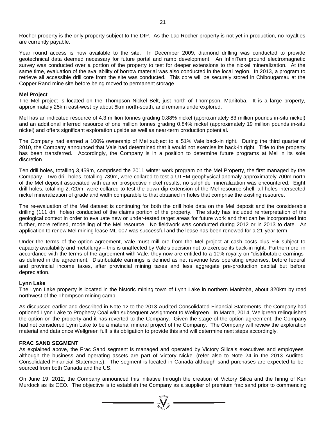Rocher property is the only property subject to the DIP. As the Lac Rocher property is not yet in production, no royalties are currently payable.

Year round access is now available to the site. In December 2009, diamond drilling was conducted to provide geotechnical data deemed necessary for future portal and ramp development. An InfiniTem ground electromagnetic survey was conducted over a portion of the property to test for deeper extensions to the nickel mineralization. At the same time, evaluation of the availability of borrow material was also conducted in the local region. In 2013, a program to retrieve all accessible drill core from the site was conducted. This core will be securely stored in Chibougamau at the Copper Rand mine site before being moved to permanent storage.

#### **Mel Project**

The Mel project is located on the Thompson Nickel Belt, just north of Thompson, Manitoba. It is a large property, approximately 25km east-west by about 6km north-south, and remains underexplored.

Mel has an indicated resource of 4.3 million tonnes grading 0.88% nickel (approximately 83 million pounds in-situ nickel) and an additional inferred resource of one million tonnes grading 0.84% nickel (approximately 19 million pounds in-situ nickel) and offers significant exploration upside as well as near-term production potential.

The Company had earned a 100% ownership of Mel subject to a 51% Vale back-in right. During the third quarter of 2010, the Company announced that Vale had determined that it would not exercise its back-in right. Title to the property has been transferred. Accordingly, the Company is in a position to determine future programs at Mel in its sole discretion.

Ten drill holes, totalling 3,459m, comprised the 2011 winter work program on the Mel Property, the first managed by the Company. Two drill holes, totalling 739m, were collared to test a UTEM geophysical anomaly approximately 700m north of the Mel deposit associated with earlier prospective nickel results; no sulphide mineralization was encountered. Eight drill holes, totalling 2,720m, were collared to test the down-dip extension of the Mel resource shell; all holes intersected nickel mineralization of grade and width comparable to that obtained in holes that comprise the existing resource.

The re-evaluation of the Mel dataset is continuing for both the drill hole data on the Mel deposit and the considerable drilling (111 drill holes) conducted of the claims portion of the property. The study has included reinterpretation of the geological context in order to evaluate new or under-tested target areas for future work and that can be incorporated into further, more refined, modelling of the Mel resource. No fieldwork was conducted during 2012 or in 2013 to date. An application to renew Mel mining lease ML-007 was successful and the lease has been renewed for a 21-year term.

Under the terms of the option agreement, Vale must mill ore from the Mel project at cash costs plus 5% subject to capacity availability and metallurgy – this is unaffected by Vale's decision not to exercise its back-in right. Furthermore, in accordance with the terms of the agreement with Vale, they now are entitled to a 10% royalty on "distributable earnings" as defined in the agreement. Distributable earnings is defined as net revenue less operating expenses, before federal and provincial income taxes, after provincial mining taxes and less aggregate pre-production capital but before depreciation.

#### **Lynn Lake**

The Lynn Lake property is located in the historic mining town of Lynn Lake in northern Manitoba, about 320km by road northwest of the Thompson mining camp.

As discussed earlier and described in Note 12 to the 2013 Audited Consolidated Financial Statements, the Company had optioned Lynn Lake to Prophecy Coal with subsequent assignment to Wellgreen. In March, 2014, Wellgreen relinquished the option on the property and it has reverted to the Company. Given the stage of the option agreement, the Company had not considered Lynn Lake to be a material mineral project of the Company. The Company will review the exploration material and data once Wellgreen fulfils its obligation to provide this and will determine next steps accordingly.

#### **FRAC SAND SEGMENT**

As explained above, the Frac Sand segment is managed and operated by Victory Silica's executives and employees although the business and operating assets are part of Victory Nickel (refer also to Note 24 in the 2013 Audited Consolidated Financial Statements). The segment is located in Canada although sand purchases are expected to be sourced from both Canada and the US.

On June 19, 2012, the Company announced this initiative through the creation of Victory Silica and the hiring of Ken Murdock as its CEO. The objective is to establish the Company as a supplier of premium frac sand prior to commencing

 $= \sum_{i=1}^{N^{(10)}p_i}$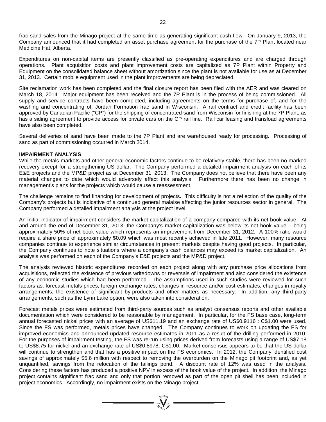frac sand sales from the Minago project at the same time as generating significant cash flow. On January 9, 2013, the Company announced that it had completed an asset purchase agreement for the purchase of the 7P Plant located near Medicine Hat, Alberta.

Expenditures on non-capital items are presently classified as pre-operating expenditures and are charged through operations. Plant acquisition costs and plant improvement costs are capitalized as 7P Plant within Property and Equipment on the consolidated balance sheet without amortization since the plant is not available for use as at December 31, 2013. Certain mobile equipment used in the plant improvements are being depreciated.

Site reclamation work has been completed and the final closure report has been filed with the AER and was cleared on March 18, 2014. Major equipment has been received and the 7P Plant is in the process of being commissioned. All supply and service contracts have been completed, including agreements on the terms for purchase of, and for the washing and concentrating of, Jordan Formation frac sand in Wisconsin. A rail contract and credit facility has been approved by Canadian Pacific ("CP") for the shipping of concentrated sand from Wisconsin for finishing at the 7P Plant, as has a siding agreement to provide access for private cars on the CP rail line. Rail car leasing and transload agreements have also been completed.

Several deliveries of sand have been made to the 7P Plant and are warehoused ready for processing. Processing of sand as part of commissioning occurred in March 2014.

# **IMPAIRMENT ANALYSIS**

While the metals markets and other general economic factors continue to be relatively stable, there has been no marked recovery except for a strengthening US dollar. The Company performed a detailed impairment analysis on each of its E&E projects and the MP&D project as at December 31, 2013. The Company does not believe that there have been any material changes to date which would adversely affect this analysis. Furthermore there has been no change in management's plans for the projects which would cause a reassessment.

The challenge remains to find financing for development of projects*.* This difficulty is not a reflection of the quality of the Company's projects but is indicative of a continued general malaise affecting the junior resources sector in general. The Company performed a detailed impairment analysis at the project level.

An initial indicator of impairment considers the market capitalization of a company compared with its net book value. At and around the end of December 31, 2013, the Company's market capitalization was below its net book value – being approximately 50% of net book value which represents an improvement from December 31, 2012. A 100% ratio would require a share price of approximately \$0.09 which was most recently achieved in late 2011. However, many resource companies continue to experience similar circumstances in present markets despite having good projects. In particular, the Company continues to note situations where a company's cash balances may exceed its market capitalization. An analysis was performed on each of the Company's E&E projects and the MP&D project.

The analysis reviewed historic expenditures recorded on each project along with any purchase price allocations from acquisitions, reflected the existence of previous writedowns or reversals of impairment and also considered the existence of any economic studies which had been performed. The assumptions used in such studies were reviewed for such factors as: forecast metals prices, foreign exchange rates, changes in resource and/or cost estimates, changes in royalty arrangements, the existence of significant by-products and other matters as necessary. In addition, any third-party arrangements, such as the Lynn Lake option, were also taken into consideration.

Forecast metals prices were estimated from third-party sources such as analyst consensus reports and other available documentation which were considered to be reasonable by management. In particular, for the FS base case, long-term annual forecasted nickel prices with an average of US\$11.19 and an exchange rate of US\$0.9116 : C\$1.00 were used. Since the FS was performed, metals prices have changed. The Company continues to work on updating the FS for improved economics and announced updated resource estimates in 2011 as a result of the drilling performed in 2010. For the purposes of impairment testing, the FS was re-run using prices derived from forecasts using a range of US\$7.18 to US\$8.75 for nickel and an exchange rate of US\$0.8978: C\$1.00. Market consensus appears to be that the US dollar will continue to strengthen and that has a positive impact on the FS economics. In 2012, the Company identified cost savings of approximately \$5.6 million with respect to removing the overburden on the Minago pit footprint and, as yet unquantified, savings from the relocation of the tailings pond. A discount rate of 12% was used in the analysis. Considering these factors has produced a positive NPV in excess of the book value of the project. In addition, the Minago project contains significant frac sand and only that portion removed as part of the open pit shell has been included in project economics. Accordingly, no impairment exists on the Minago project.

=  $\sum_{\substack{3007\\760 \text{ Hz}}}^{3007} \sum_{\substack{311\\100}}^{31}$  =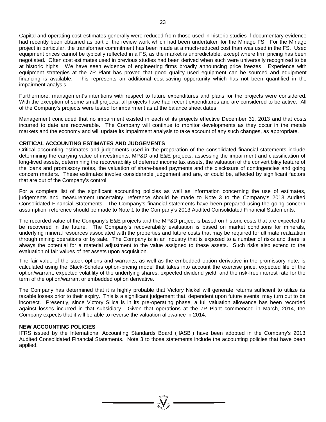Capital and operating cost estimates generally were reduced from those used in historic studies if documentary evidence had recently been obtained as part of the review work which had been undertaken for the Minago FS. For the Minago project in particular, the transformer commitment has been made at a much-reduced cost than was used in the FS. Used equipment prices cannot be typically reflected in a FS, as the market is unpredictable, except where firm pricing has been negotiated. Often cost estimates used in previous studies had been derived when such were universally recognized to be at historic highs. We have seen evidence of engineering firms broadly announcing price freezes. Experience with equipment strategies at the 7P Plant has proved that good quality used equipment can be sourced and equipment financing is available. This represents an additional cost-saving opportunity which has not been quantified in the impairment analysis.

Furthermore, management's intentions with respect to future expenditures and plans for the projects were considered. With the exception of some small projects, all projects have had recent expenditures and are considered to be active. All of the Company's projects were tested for impairment as at the balance sheet dates.

Management concluded that no impairment existed in each of its projects effective December 31, 2013 and that costs incurred to date are recoverable. The Company will continue to monitor developments as they occur in the metals markets and the economy and will update its impairment analysis to take account of any such changes, as appropriate.

# **CRITICAL ACCOUNTING ESTIMATES AND JUDGEMENTS**

Critical accounting estimates and judgements used in the preparation of the consolidated financial statements include determining the carrying value of investments, MP&D and E&E projects, assessing the impairment and classification of long-lived assets, determining the recoverability of deferred income tax assets, the valuation of the convertibility feature of the loans and promissory notes, the valuation of share-based payments and the disclosure of contingencies and going concern matters. These estimates involve considerable judgement and are, or could be, affected by significant factors that are out of the Company's control.

For a complete list of the significant accounting policies as well as information concerning the use of estimates, judgements and measurement uncertainty, reference should be made to Note 3 to the Company's 2013 Audited Consolidated Financial Statements. The Company's financial statements have been prepared using the going concern assumption; reference should be made to Note 1 to the Company's 2013 Audited Consolidated Financial Statements.

The recorded value of the Company's E&E projects and the MP&D project is based on historic costs that are expected to be recovered in the future. The Company's recoverability evaluation is based on market conditions for minerals, underlying mineral resources associated with the properties and future costs that may be required for ultimate realization through mining operations or by sale. The Company is in an industry that is exposed to a number of risks and there is always the potential for a material adjustment to the value assigned to these assets. Such risks also extend to the evaluation of fair values of net assets upon acquisition.

The fair value of the stock options and warrants, as well as the embedded option derivative in the promissory note, is calculated using the Black-Scholes option-pricing model that takes into account the exercise price, expected life of the option/warrant, expected volatility of the underlying shares, expected dividend yield, and the risk-free interest rate for the term of the option/warrant or embedded option derivative.

The Company has determined that it is highly probable that Victory Nickel will generate returns sufficient to utilize its taxable losses prior to their expiry. This is a significant judgement that, dependent upon future events, may turn out to be incorrect. Presently, since Victory Silica is in its pre-operating phase, a full valuation allowance has been recorded against losses incurred in that subsidiary. Given that operations at the 7P Plant commenced in March, 2014, the Company expects that it will be able to reverse the valuation allowance in 2014.

# **NEW ACCOUNTING POLICIES**

IFRS issued by the International Accounting Standards Board ("IASB") have been adopted in the Company's 2013 Audited Consolidated Financial Statements. Note 3 to those statements include the accounting policies that have been applied.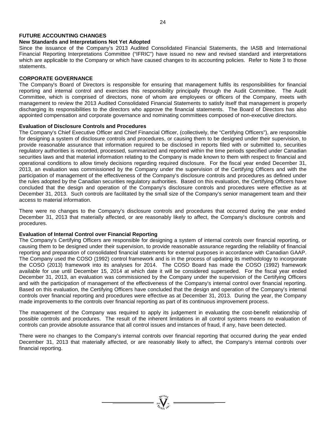# **FUTURE ACCOUNTING CHANGES**

# **New Standards and Interpretations Not Yet Adopted**

Since the issuance of the Company's 2013 Audited Consolidated Financial Statements, the IASB and International Financial Reporting Interpretations Committee ("IFRIC") have issued no new and revised standard and interpretations which are applicable to the Company or which have caused changes to its accounting policies. Refer to Note 3 to those statements.

# **CORPORATE GOVERNANCE**

The Company's Board of Directors is responsible for ensuring that management fulfils its responsibilities for financial reporting and internal control and exercises this responsibility principally through the Audit Committee. The Audit Committee, which is comprised of directors, none of whom are employees or officers of the Company, meets with management to review the 2013 Audited Consolidated Financial Statements to satisfy itself that management is properly discharging its responsibilities to the directors who approve the financial statements. The Board of Directors has also appointed compensation and corporate governance and nominating committees composed of non-executive directors.

#### **Evaluation of Disclosure Controls and Procedures**

The Company's Chief Executive Officer and Chief Financial Officer, (collectively, the "Certifying Officers"), are responsible for designing a system of disclosure controls and procedures, or causing them to be designed under their supervision, to provide reasonable assurance that information required to be disclosed in reports filed with or submitted to, securities regulatory authorities is recorded, processed, summarized and reported within the time periods specified under Canadian securities laws and that material information relating to the Company is made known to them with respect to financial and operational conditions to allow timely decisions regarding required disclosure. For the fiscal year ended December 31, 2013, an evaluation was commissioned by the Company under the supervision of the Certifying Officers and with the participation of management of the effectiveness of the Company's disclosure controls and procedures as defined under the rules adopted by the Canadian securities regulatory authorities. Based on this evaluation, the Certifying Officers have concluded that the design and operation of the Company's disclosure controls and procedures were effective as at December 31, 2013. Such controls are facilitated by the small size of the Company's senior management team and their access to material information.

There were no changes to the Company's disclosure controls and procedures that occurred during the year ended December 31, 2013 that materially affected, or are reasonably likely to affect, the Company's disclosure controls and procedures.

# **Evaluation of Internal Control over Financial Reporting**

The Company's Certifying Officers are responsible for designing a system of internal controls over financial reporting, or causing them to be designed under their supervision, to provide reasonable assurance regarding the reliability of financial reporting and preparation of consolidated financial statements for external purposes in accordance with Canadian GAAP. The Company used the COSO (1992) control framework and is in the process of updating its methodology to incorporate the COSO (2013) framework into its analyses for 2014. The COSO Board has made the COSO (1992) framework available for use until December 15, 2014 at which date it will be considered superseded. For the fiscal year ended December 31, 2013, an evaluation was commissioned by the Company under the supervision of the Certifying Officers and with the participation of management of the effectiveness of the Company's internal control over financial reporting. Based on this evaluation, the Certifying Officers have concluded that the design and operation of the Company's internal controls over financial reporting and procedures were effective as at December 31, 2013. During the year, the Company made improvements to the controls over financial reporting as part of its continuous improvement process.

The management of the Company was required to apply its judgement in evaluating the cost-benefit relationship of possible controls and procedures. The result of the inherent limitations in all control systems means no evaluation of controls can provide absolute assurance that all control issues and instances of fraud, if any, have been detected.

There were no changes to the Company's internal controls over financial reporting that occurred during the year ended December 31, 2013 that materially affected, or are reasonably likely to affect, the Company's internal controls over financial reporting.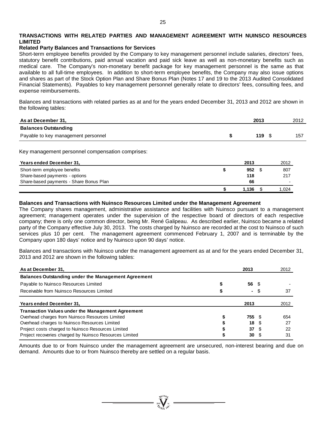# **TRANSACTIONS WITH RELATED PARTIES AND MANAGEMENT AGREEMENT WITH NUINSCO RESOURCES LIMITED**

# **Related Party Balances and Transactions for Services**

Short-term employee benefits provided by the Company to key management personnel include salaries, directors' fees, statutory benefit contributions, paid annual vacation and paid sick leave as well as non-monetary benefits such as medical care. The Company's non-monetary benefit package for key management personnel is the same as that available to all full-time employees. In addition to short-term employee benefits, the Company may also issue options and shares as part of the Stock Option Plan and Share Bonus Plan (Notes 17 and 19 to the 2013 Audited Consolidated Financial Statements). Payables to key management personnel generally relate to directors' fees, consulting fees, and expense reimbursements.

Balances and transactions with related parties as at and for the years ended December 31, 2013 and 2012 are shown in the following tables:

| As at December 31,                  | 2013 | 2012 |
|-------------------------------------|------|------|
| <b>Balances Outstanding</b>         |      |      |
| Payable to key management personnel | 119  | 157  |

Key management personnel compensation comprises:

| Years ended December 31,                | 2013  | 2012 |
|-----------------------------------------|-------|------|
| Short-term employee benefits            | 952   | 807  |
| Share-based payments - options          | 118   | 217  |
| Share-based payments - Share Bonus Plan | 66    |      |
|                                         | 1.136 | .024 |

# **Balances and Transactions with Nuinsco Resources Limited under the Management Agreement**

The Company shares management, administrative assistance and facilities with Nuinsco pursuant to a management agreement; management operates under the supervision of the respective board of directors of each respective company; there is only one common director, being Mr. René Galipeau. As described earlier, Nuinsco became a related party of the Company effective July 30, 2013. The costs charged by Nuinsco are recorded at the cost to Nuinsco of such services plus 10 per cent. The management agreement commenced February 1, 2007 and is terminable by the Company upon 180 days' notice and by Nuinsco upon 90 days' notice.

Balances and transactions with Nuinsco under the management agreement as at and for the years ended December 31, 2013 and 2012 are shown in the following tables:

| As at December 31,                                         | 2013           |      | 2012 |
|------------------------------------------------------------|----------------|------|------|
| <b>Balances Outstanding under the Management Agreement</b> |                |      |      |
| Payable to Nuinsco Resources Limited                       | 56 \$          |      |      |
| Receivable from Nuinsco Resources Limited                  | $\blacksquare$ | -SS  | 37   |
| Years ended December 31,                                   | 2013           |      | 2012 |
| <b>Transaction Values under the Management Agreement</b>   |                |      |      |
| Overhead charges from Nuinsco Resources Limited            | 755            |      | 654  |
| Overhead charges to Nuinsco Resources Limited              | 18             |      | 27   |
| Project costs charged to Nuinsco Resources Limited         | 37             | - \$ | 22   |
| Project recoveries charged by Nuinsco Resources Limited    | 30             |      | 31   |

Amounts due to or from Nuinsco under the management agreement are unsecured, non-interest bearing and due on demand. Amounts due to or from Nuinsco thereby are settled on a regular basis.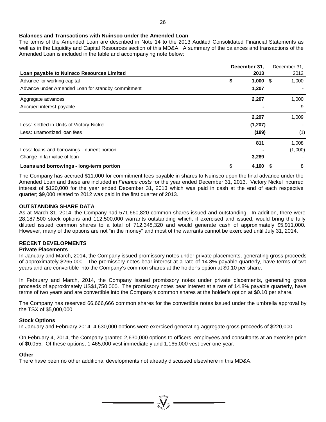#### **Balances and Transactions with Nuinsco under the Amended Loan**

The terms of the Amended Loan are described in Note 14 to the 2013 Audited Consolidated Financial Statements as well as in the Liquidity and Capital Resources section of this MD&A. A summary of the balances and transactions of the Amended Loan is included in the table and accompanying note below:

|                                                   | December 31,     | December 31, |
|---------------------------------------------------|------------------|--------------|
| Loan payable to Nuinsco Resources Limited         | 2013             | 2012         |
| Advance for working capital                       | \$<br>$1,000$ \$ | 1,000        |
| Advance under Amended Loan for standby commitment | 1,207            |              |
| Aggregate advances                                | 2,207            | 1,000        |
| Accrued interest payable                          |                  | 9            |
|                                                   | 2,207            | 1,009        |
| Less: settled in Units of Victory Nickel          | (1, 207)         |              |
| Less: unamortized loan fees                       | (189)            | (1)          |
|                                                   | 811              | 1,008        |
| Less: loans and borrowings - current portion      |                  | (1,000)      |
| Change in fair value of loan                      | 3,289            |              |
| Loans and borrowings - long-term portion          | \$<br>4,100      | 8<br>\$      |

The Company has accrued \$11,000 for commitment fees payable in shares to Nuinsco upon the final advance under the Amended Loan and these are included in *Finance costs* for the year ended December 31, 2013. Victory Nickel incurred interest of \$120,000 for the year ended December 31, 2013 which was paid in cash at the end of each respective quarter; \$9,000 related to 2012 was paid in the first quarter of 2013.

# **OUTSTANDING SHARE DATA**

As at March 31, 2014, the Company had 571,660,820 common shares issued and outstanding. In addition, there were 28,187,500 stock options and 112,500,000 warrants outstanding which, if exercised and issued, would bring the fully diluted issued common shares to a total of 712,348,320 and would generate cash of approximately \$5,911,000. However, many of the options are not "in the money" and most of the warrants cannot be exercised until July 31, 2014.

# **RECENT DEVELOPMENTS**

#### **Private Placements**

In January and March, 2014, the Company issued promissory notes under private placements, generating gross proceeds of approximately \$265,000. The promissory notes bear interest at a rate of 14.8% payable quarterly, have terms of two years and are convertible into the Company's common shares at the holder's option at \$0.10 per share.

In February and March, 2014, the Company issued promissory notes under private placements, generating gross proceeds of approximately US\$1,750,000. The promissory notes bear interest at a rate of 14.8% payable quarterly, have terms of two years and are convertible into the Company's common shares at the holder's option at \$0.10 per share.

The Company has reserved 66,666,666 common shares for the convertible notes issued under the umbrella approval by the TSX of \$5,000,000.

# **Stock Options**

In January and February 2014, 4,630,000 options were exercised generating aggregate gross proceeds of \$220,000.

On February 4, 2014, the Company granted 2,630,000 options to officers, employees and consultants at an exercise price of \$0.055. Of these options, 1,465,000 vest immediately and 1,165,000 vest over one year.

# **Other**

There have been no other additional developments not already discussed elsewhere in this MD&A.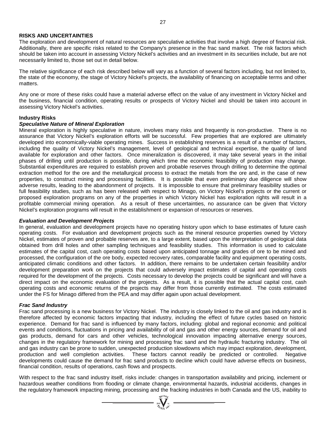#### **RISKS AND UNCERTAINTIES**

The exploration and development of natural resources are speculative activities that involve a high degree of financial risk. Additionally, there are specific risks related to the Company's presence in the frac sand market. The risk factors which should be taken into account in assessing Victory Nickel's activities and an investment in its securities include, but are not necessarily limited to, those set out in detail below.

The relative significance of each risk described below will vary as a function of several factors including, but not limited to, the state of the economy, the stage of Victory Nickel's projects, the availability of financing on acceptable terms and other matters.

Any one or more of these risks could have a material adverse effect on the value of any investment in Victory Nickel and the business, financial condition, operating results or prospects of Victory Nickel and should be taken into account in assessing Victory Nickel's activities.

#### **Industry Risks**

#### *Speculative Nature of Mineral Exploration*

Mineral exploration is highly speculative in nature, involves many risks and frequently is non-productive. There is no assurance that Victory Nickel's exploration efforts will be successful. Few properties that are explored are ultimately developed into economically-viable operating mines. Success in establishing reserves is a result of a number of factors, including the quality of Victory Nickel's management, level of geological and technical expertise, the quality of land available for exploration and other factors. Once mineralization is discovered, it may take several years in the initial phases of drilling until production is possible, during which time the economic feasibility of production may change. Substantial expenditures are required to establish proven and probable reserves through drilling to determine the optimal extraction method for the ore and the metallurgical process to extract the metals from the ore and, in the case of new properties, to construct mining and processing facilities. It is possible that even preliminary due diligence will show adverse results, leading to the abandonment of projects. It is impossible to ensure that preliminary feasibility studies or full feasibility studies, such as has been released with respect to Minago, on Victory Nickel's projects or the current or proposed exploration programs on any of the properties in which Victory Nickel has exploration rights will result in a profitable commercial mining operation. As a result of these uncertainties, no assurance can be given that Victory Nickel's exploration programs will result in the establishment or expansion of resources or reserves.

#### *Evaluation and Development Projects*

In general, evaluation and development projects have no operating history upon which to base estimates of future cash operating costs. For evaluation and development projects such as the mineral resource properties owned by Victory Nickel, estimates of proven and probable reserves are, to a large extent, based upon the interpretation of geological data obtained from drill holes and other sampling techniques and feasibility studies. This information is used to calculate estimates of the capital cost, cash operating costs based upon anticipated tonnage and grades of ore to be mined and processed, the configuration of the ore body, expected recovery rates, comparable facility and equipment operating costs, anticipated climatic conditions and other factors. In addition, there remains to be undertaken certain feasibility and/or development preparation work on the projects that could adversely impact estimates of capital and operating costs required for the development of the projects. Costs necessary to develop the projects could be significant and will have a direct impact on the economic evaluation of the projects. As a result, it is possible that the actual capital cost, cash operating costs and economic returns of the projects may differ from those currently estimated. The costs estimated under the FS for Minago differed from the PEA and may differ again upon actual development.

#### *Frac Sand Industry*

Frac sand processing is a new business for Victory Nickel. The industry is closely linked to the oil and gas industry and is therefore affected by economic factors impacting that industry, including the effect of future cycles based on historic experience. Demand for frac sand is influenced by many factors, including: global and regional economic and political events and conditions, fluctuations in pricing and availability of oil and gas and other energy sources, demand for oil and gas products, demand for cars and other vehicles, technological innovation impacting alternative energy sources, changes in the regulatory framework for mining and processing frac sand and the hydraulic fracturing industry. The oil and gas industry can be prone to sudden, unexpected production slowdowns which may impact exploration, development, production and well completion activities. These factors cannot readily be predicted or controlled. Negative developments could cause the demand for frac sand products to decline which could have adverse effects on business, financial condition, results of operations, cash flows and prospects.

With respect to the frac sand industry itself, risks include: changes in transportation availability and pricing, inclement or hazardous weather conditions from flooding or climate change, environmental hazards, industrial accidents, changes in the regulatory framework impacting mining, processing and the fracking industries in both Canada and the US, inability to<br> $\frac{W^{10}_{\lambda}P_{\lambda}}{W^{10}_{\lambda}P_{\lambda}}$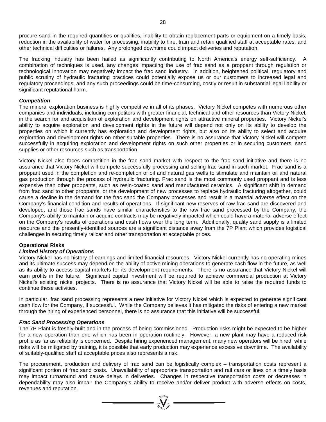procure sand in the required quantities or qualities, inability to obtain replacement parts or equipment on a timely basis, reduction in the availability of water for processing, inability to hire, train and retain qualified staff at acceptable rates; and other technical difficulties or failures. Any prolonged downtime could impact deliveries and reputation.

The fracking industry has been hailed as significantly contributing to North America's energy self-sufficiency. A combination of techniques is used, any changes impacting the use of frac sand as a proppant through regulation or technological innovation may negatively impact the frac sand industry. In addition, heightened political, regulatory and public scrutiny of hydraulic fracturing practices could potentially expose us or our customers to increased legal and regulatory proceedings, and any such proceedings could be time-consuming, costly or result in substantial legal liability or significant reputational harm.

#### *Competition*

The mineral exploration business is highly competitive in all of its phases. Victory Nickel competes with numerous other companies and individuals, including competitors with greater financial, technical and other resources than Victory Nickel, in the search for and acquisition of exploration and development rights on attractive mineral properties. Victory Nickel's ability to acquire exploration and development rights in the future will depend not only on its ability to develop the properties on which it currently has exploration and development rights, but also on its ability to select and acquire exploration and development rights on other suitable properties. There is no assurance that Victory Nickel will compete successfully in acquiring exploration and development rights on such other properties or in securing customers, sand supplies or other resources such as transportation.

Victory Nickel also faces competition in the frac sand market with respect to the frac sand initiative and there is no assurance that Victory Nickel will compete successfully processing and selling frac sand in such market. Frac sand is a proppant used in the completion and re-completion of oil and natural gas wells to stimulate and maintain oil and natural gas production through the process of hydraulic fracturing. Frac sand is the most commonly used proppant and is less expensive than other proppants, such as resin-coated sand and manufactured ceramics. A significant shift in demand from frac sand to other proppants, or the development of new processes to replace hydraulic fracturing altogether, could cause a decline in the demand for the frac sand the Company processes and result in a material adverse effect on the Company's financial condition and results of operations. If significant new reserves of raw frac sand are discovered and developed, and those frac sands have similar characteristics to the raw frac sand processed by the Company, the Company's ability to maintain or acquire contracts may be negatively impacted which could have a material adverse effect on the Company's results of operations and cash flows over the long term. Additionally, quality sand supply is a limited resource and the presently-identified sources are a significant distance away from the 7P Plant which provides logistical challenges in securing timely railcar and other transportation at acceptable prices.

# **Operational Risks**

#### *Limited History of Operations*

Victory Nickel has no history of earnings and limited financial resources. Victory Nickel currently has no operating mines and its ultimate success may depend on the ability of active mining operations to generate cash flow in the future, as well as its ability to access capital markets for its development requirements. There is no assurance that Victory Nickel will earn profits in the future. Significant capital investment will be required to achieve commercial production at Victory Nickel's existing nickel projects. There is no assurance that Victory Nickel will be able to raise the required funds to continue these activities.

In particular, frac sand processing represents a new initiative for Victory Nickel which is expected to generate significant cash flow for the Company, if successful. While the Company believes it has mitigated the risks of entering a new market through the hiring of experienced personnel, there is no assurance that this initiative will be successful.

#### *Frac Sand Processing Operations*

The 7P Plant is freshly-built and in the process of being commissioned. Production risks might be expected to be higher for a new operation than one which has been in operation routinely. However, a new plant may have a reduced risk profile as far as reliability is concerned. Despite hiring experienced management, many new operators will be hired, while risks will be mitigated by training, it is possible that early production may experience excessive downtime. The availability of suitably-qualified staff at acceptable prices also represents a risk.

The procurement, production and delivery of frac sand can be logistically complex – transportation costs represent a significant portion of frac sand costs. Unavailability of appropriate transportation and rail cars or lines on a timely basis may impact turnaround and cause delays in deliveries. Changes in respective transportation costs or decreases in dependability may also impair the Company's ability to receive and/or deliver product with adverse effects on costs, revenues and reputation.

 $= \sum_{\substack{1007 \ \text{odd } \text{yN}}} \sum_{\substack{N=1 \ \text{odd } \text{yN}}}$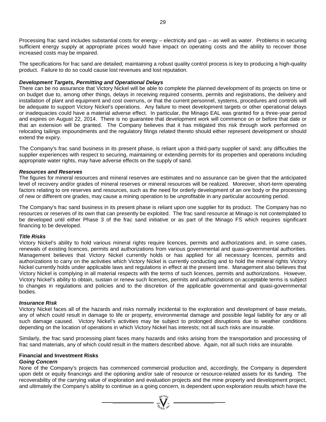Processing frac sand includes substantial costs for energy – electricity and gas – as well as water. Problems in securing sufficient energy supply at appropriate prices would have impact on operating costs and the ability to recover those increased costs may be impaired.

The specifications for frac sand are detailed; maintaining a robust quality control process is key to producing a high-quality product. Failure to do so could cause lost revenues and lost reputation.

# *Development Targets, Permitting and Operational Delays*

There can be no assurance that Victory Nickel will be able to complete the planned development of its projects on time or on budget due to, among other things, delays in receiving required consents, permits and registrations, the delivery and installation of plant and equipment and cost overruns, or that the current personnel, systems, procedures and controls will be adequate to support Victory Nickel's operations. Any failure to meet development targets or other operational delays or inadequacies could have a material adverse effect. In particular, the Minago EAL was granted for a three-year period and expires on August 22, 2014. There is no guarantee that development work will commence on or before that date or that an extension will be granted. The Company believes that it has mitigated this risk through work performed on relocating tailings impoundments and the regulatory filings related thereto should either represent development or should extend the expiry.

The Company's frac sand business in its present phase, is reliant upon a third-party supplier of sand; any difficulties the supplier experiences with respect to securing, maintaining or extending permits for its properties and operations including appropriate water rights, may have adverse effects on the supply of sand.

# *Resources and Reserves*

The figures for mineral resources and mineral reserves are estimates and no assurance can be given that the anticipated level of recovery and/or grades of mineral reserves or mineral resources will be realized. Moreover, short-term operating factors relating to ore reserves and resources, such as the need for orderly development of an ore body or the processing of new or different ore grades, may cause a mining operation to be unprofitable in any particular accounting period.

The Company's frac sand business in its present phase is reliant upon one supplier for its product. The Company has no resources or reserves of its own that can presently be exploited. The frac sand resource at Minago is not contemplated to be developed until either Phase 3 of the frac sand initiative or as part of the Minago FS which requires significant financing to be developed.

# *Title Risks*

Victory Nickel's ability to hold various mineral rights require licences, permits and authorizations and, in some cases, renewals of existing licences, permits and authorizations from various governmental and quasi-governmental authorities. Management believes that Victory Nickel currently holds or has applied for all necessary licences, permits and authorizations to carry on the activities which Victory Nickel is currently conducting and to hold the mineral rights Victory Nickel currently holds under applicable laws and regulations in effect at the present time. Management also believes that Victory Nickel is complying in all material respects with the terms of such licences, permits and authorizations. However, Victory Nickel's ability to obtain, sustain or renew such licences, permits and authorizations on acceptable terms is subject to changes in regulations and policies and to the discretion of the applicable governmental and quasi-governmental bodies.

# *Insurance Risk*

Victory Nickel faces all of the hazards and risks normally incidental to the exploration and development of base metals, any of which could result in damage to life or property, environmental damage and possible legal liability for any or all such damage caused. Victory Nickel's activities may be subject to prolonged disruptions due to weather conditions depending on the location of operations in which Victory Nickel has interests; not all such risks are insurable.

Similarly, the frac sand processing plant faces many hazards and risks arising from the transportation and processing of frac sand materials, any of which could result in the matters described above. Again, not all such risks are insurable.

# **Financial and Investment Risks**

# *Going Concern*

None of the Company's projects has commenced commercial production and, accordingly, the Company is dependent upon debt or equity financings and the optioning and/or sale of resource or resource-related assets for its funding. The recoverability of the carrying value of exploration and evaluation projects and the mine property and development project, and ultimately the Company's ability to continue as a going concern, is dependent upon exploration results which have the

 $= \sum_{i=1}^{N^{(10)}_{N}}$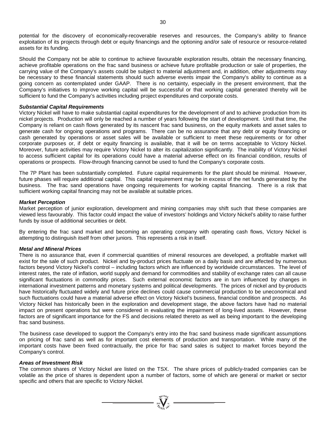potential for the discovery of economically-recoverable reserves and resources, the Company's ability to finance exploitation of its projects through debt or equity financings and the optioning and/or sale of resource or resource-related assets for its funding.

Should the Company not be able to continue to achieve favourable exploration results, obtain the necessary financing, achieve profitable operations on the frac sand business or achieve future profitable production or sale of properties, the carrying value of the Company's assets could be subject to material adjustment and, in addition, other adjustments may be necessary to these financial statements should such adverse events impair the Company's ability to continue as a going concern as contemplated under GAAP. There is no certainty, especially in the present environment, that the Company's initiatives to improve working capital will be successful or that working capital generated thereby will be sufficient to fund the Company's activities including project expenditures and corporate costs.

#### *Substantial Capital Requirements*

Victory Nickel will have to make substantial capital expenditures for the development of and to achieve production from its nickel projects. Production will only be reached a number of years following the start of development. Until that time, the Company is reliant on cash flows generated by its nascent frac sand business, on the equity markets and asset sales to generate cash for ongoing operations and programs. There can be no assurance that any debt or equity financing or cash generated by operations or asset sales will be available or sufficient to meet these requirements or for other corporate purposes or, if debt or equity financing is available, that it will be on terms acceptable to Victory Nickel. Moreover, future activities may require Victory Nickel to alter its capitalization significantly. The inability of Victory Nickel to access sufficient capital for its operations could have a material adverse effect on its financial condition, results of operations or prospects. Flow-through financing cannot be used to fund the Company's corporate costs.

The 7P Plant has been substantially completed. Future capital requirements for the plant should be minimal. However, future phases will require additional capital. This capital requirement may be in excess of the net funds generated by the business. The frac sand operations have ongoing requirements for working capital financing. There is a risk that sufficient working capital financing may not be available at suitable prices.

#### *Market Perception*

Market perception of junior exploration, development and mining companies may shift such that these companies are viewed less favourably. This factor could impact the value of investors' holdings and Victory Nickel's ability to raise further funds by issue of additional securities or debt.

By entering the frac sand market and becoming an operating company with operating cash flows, Victory Nickel is attempting to distinguish itself from other juniors. This represents a risk in itself.

# *Metal and Mineral Prices*

There is no assurance that, even if commercial quantities of mineral resources are developed, a profitable market will exist for the sale of such product. Nickel and by-product prices fluctuate on a daily basis and are affected by numerous factors beyond Victory Nickel's control – including factors which are influenced by worldwide circumstances. The level of interest rates, the rate of inflation, world supply and demand for commodities and stability of exchange rates can all cause significant fluctuations in commodity prices. Such external economic factors are in turn influenced by changes in international investment patterns and monetary systems and political developments. The prices of nickel and by-products have historically fluctuated widely and future price declines could cause commercial production to be uneconomical and such fluctuations could have a material adverse effect on Victory Nickel's business, financial condition and prospects. As Victory Nickel has historically been in the exploration and development stage, the above factors have had no material impact on present operations but were considered in evaluating the impairment of long-lived assets. However, these factors are of significant importance for the FS and decisions related thereto as well as being important to the developing frac sand business.

The business case developed to support the Company's entry into the frac sand business made significant assumptions on pricing of frac sand as well as for important cost elements of production and transportation. While many of the important costs have been fixed contractually, the price for frac sand sales is subject to market forces beyond the Company's control.

#### *Areas of Investment Risk*

The common shares of Victory Nickel are listed on the TSX. The share prices of publicly-traded companies can be volatile as the price of shares is dependent upon a number of factors, some of which are general or market or sector specific and others that are specific to Victory Nickel.

 $=\prod_{\alpha_{i} \in \mathcal{N}_{\alpha_{i}}}^{\alpha_{i} \alpha_{i}}$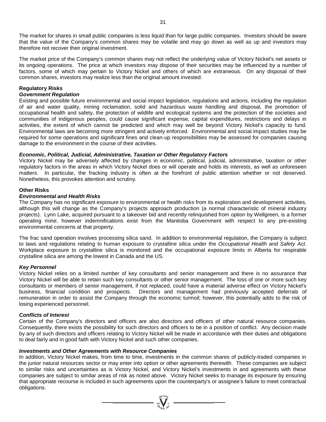The market for shares in small public companies is less liquid than for large public companies. Investors should be aware that the value of the Company's common shares may be volatile and may go down as well as up and investors may therefore not recover their original investment.

The market price of the Company's common shares may not reflect the underlying value of Victory Nickel's net assets or its ongoing operations. The price at which investors may dispose of their securities may be influenced by a number of factors, some of which may pertain to Victory Nickel and others of which are extraneous. On any disposal of their common shares, investors may realize less than the original amount invested.

# **Regulatory Risks**

#### *Government Regulation*

Existing and possible future environmental and social impact legislation, regulations and actions, including the regulation of air and water quality, mining reclamation, solid and hazardous waste handling and disposal, the promotion of occupational health and safety, the protection of wildlife and ecological systems and the protection of the societies and communities of indigenous peoples, could cause significant expense, capital expenditures, restrictions and delays in activities, the extent of which cannot be predicted and which may well be beyond Victory Nickel's capacity to fund. Environmental laws are becoming more stringent and actively enforced. Environmental and social impact studies may be required for some operations and significant fines and clean-up responsibilities may be assessed for companies causing damage to the environment in the course of their activities.

# *Economic, Political, Judicial, Administrative, Taxation or Other Regulatory Factors*

Victory Nickel may be adversely affected by changes in economic, political, judicial, administrative, taxation or other regulatory factors in the areas in which Victory Nickel does or will operate and holds its interests, as well as unforeseen matters. In particular, the fracking industry is often at the forefront of public attention whether or not deserved. Nonetheless, this provokes attention and scrutiny.

# **Other Risks**

# *Environmental and Health Risks*

The Company has no significant exposure to environmental or health risks from its exploration and development activities, although this will change as the Company's projects approach production (a normal characteristic of mineral industry projects). Lynn Lake, acquired pursuant to a takeover bid and recently relinquished from option by Wellgreen, is a former operating mine; however indemnifications exist from the Manitoba Government with respect to any pre-existing environmental concerns at that property.

The frac sand operation involves processing silica sand. In addition to environmental regulation, the Company is subject to laws and regulations relating to human exposure to crystalline silica under the *Occupational Health and Safety Act*. Workplace exposure to crystalline silica is monitored and the occupational exposure limits in Alberta for respirable crystalline silica are among the lowest in Canada and the US.

#### *Key Personnel*

Victory Nickel relies on a limited number of key consultants and senior management and there is no assurance that Victory Nickel will be able to retain such key consultants or other senior management. The loss of one or more such key consultants or members of senior management, if not replaced, could have a material adverse effect on Victory Nickel's business, financial condition and prospects. Directors and management had previously accepted deferrals of remuneration in order to assist the Company through the economic turmoil; however, this potentially adds to the risk of losing experienced personnel.

#### *Conflicts of Interest*

Certain of the Company's directors and officers are also directors and officers of other natural resource companies. Consequently, there exists the possibility for such directors and officers to be in a position of conflict. Any decision made by any of such directors and officers relating to Victory Nickel will be made in accordance with their duties and obligations to deal fairly and in good faith with Victory Nickel and such other companies.

#### *Investments and Other Agreements with Resource Companies*

In addition, Victory Nickel makes, from time to time, investments in the common shares of publicly-traded companies in the junior natural resources sector or may enter into option or other agreements therewith. These companies are subject to similar risks and uncertainties as is Victory Nickel, and Victory Nickel's investments in and agreements with these companies are subject to similar areas of risk as noted above. Victory Nickel seeks to manage its exposure by ensuring that appropriate recourse is included in such agreements upon the counterparty's or assignee's failure to meet contractual obligations.

=  $\sum_{\substack{i=1\\ i\neq j}}^{\infty} \sum_{\substack{i=1\\ i\neq j}}^{\infty}$  =